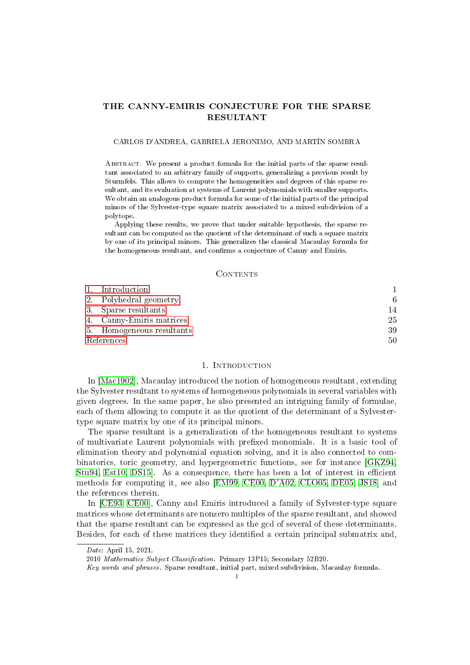# THE CANNY-EMIRIS CONJECTURE FOR THE SPARSE RESULTANT

## CARLOS D'ANDREA, GABRIELA JERONIMO, AND MARTÍN SOMBRA

Abstract. We present a product formula for the initial parts of the sparse resultant associated to an arbitrary family of supports, generalizing a previous result by Sturmfels. This allows to compute the homogeneities and degrees of this sparse resultant, and its evaluation at systems of Laurent polynomials with smaller supports. We obtain an analogous product formula for some of the initial parts of the principal minors of the Sylvester-type square matrix associated to a mixed subdivision of a polytope.

Applying these results, we prove that under suitable hypothesis, the sparse resultant can be computed as the quotient of the determinant of such a square matrix by one of its principal minors. This generalizes the classical Macaulay formula for the homogeneous resultant, and confirms a conjecture of Canny and Emiris.

#### CONTENTS

|            | 1. Introduction           |    |
|------------|---------------------------|----|
|            | 2. Polyhedral geometry    | 6  |
|            | 3. Sparse resultants      | 14 |
|            | 4. Canny-Emiris matrices  | 25 |
|            | 5. Homogeneous resultants | 39 |
| References |                           | 50 |

### 1. INTRODUCTION

<span id="page-0-0"></span>In [\[Mac1902\]](#page-50-0), Macaulay introduced the notion of homogeneous resultant, extending the Sylvester resultant to systems of homogeneous polynomials in several variables with given degrees. In the same paper, he also presented an intriguing family of formulae, each of them allowing to compute it as the quotient of the determinant of a Sylvestertype square matrix by one of its principal minors.

The sparse resultant is a generalization of the homogeneous resultant to systems of multivariate Laurent polynomials with prefixed monomials. It is a basic tool of elimination theory and polynomial equation solving, and it is also connected to combinatorics, toric geometry, and hypergeometric functions, see for instance [\[GKZ94,](#page-50-1) [Stu94,](#page-50-2) [Est10,](#page-50-3) DS15. As a consequence, there has been a lot of interest in efficient methods for computing it, see also [\[EM99,](#page-50-5) [CE00,](#page-49-1) [D'A02,](#page-49-2) [CLO05,](#page-49-3) [DE05,](#page-49-4) [JS18\]](#page-50-6) and the references therein.

In [\[CE93,](#page-49-5) [CE00\]](#page-49-1), Canny and Emiris introduced a family of Sylvester-type square matrices whose determinants are nonzero multiples of the sparse resultant, and showed that the sparse resultant can be expressed as the gcd of several of these determinants. Besides, for each of these matrices they identified a certain principal submatrix and,

Date: April 15, 2021.

<sup>2010</sup> Mathematics Subject Classification. Primary 13P15; Secondary 52B20.

Key words and phrases. Sparse resultant, initial part, mixed subdivision, Macaulay formula.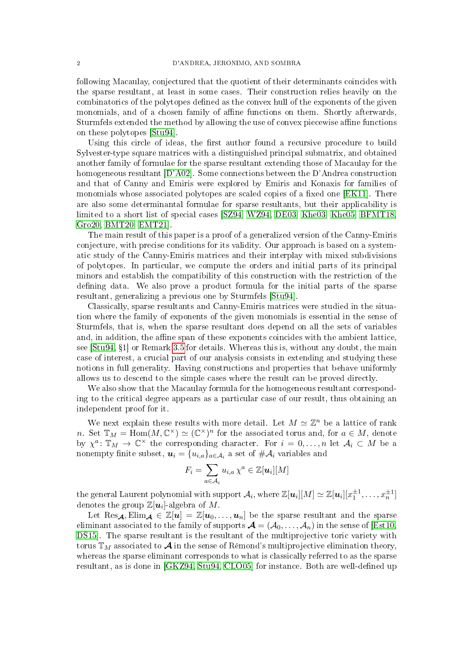following Macaulay, conjectured that the quotient of their determinants coincides with the sparse resultant, at least in some cases. Their construction relies heavily on the combinatorics of the polytopes defined as the convex hull of the exponents of the given monomials, and of a chosen family of affine functions on them. Shortly afterwards, Sturmfels extended the method by allowing the use of convex piecewise affine functions on these polytopes [\[Stu94\]](#page-50-2).

Using this circle of ideas, the first author found a recursive procedure to build Sylvester-type square matrices with a distinguished principal submatrix, and obtained another family of formulae for the sparse resultant extending those of Macaulay for the homogeneous resultant [\[D'A02\]](#page-49-2). Some connections between the D'Andrea construction and that of Canny and Emiris were explored by Emiris and Konaxis for families of monomials whose associated polytopes are scaled copies of a fixed one [\[EK11\]](#page-50-7). There are also some determinantal formulae for sparse resultants, but their applicability is limited to a short list of special cases [\[SZ94,](#page-50-8) [WZ94,](#page-50-9) [DE03,](#page-49-6) [Khe03,](#page-50-10) [Khe05,](#page-50-11) [BFMT18,](#page-49-7) [Gro20,](#page-50-12) [BMT20,](#page-49-8) [EMT21\]](#page-50-13).

The main result of this paper is a proof of a generalized version of the Canny-Emiris conjecture, with precise conditions for its validity. Our approach is based on a systematic study of the Canny-Emiris matrices and their interplay with mixed subdivisions of polytopes. In particular, we compute the orders and initial parts of its principal minors and establish the compatibility of this construction with the restriction of the defining data. We also prove a product formula for the initial parts of the sparse resultant, generalizing a previous one by Sturmfels [\[Stu94\]](#page-50-2).

Classically, sparse resultants and Canny-Emiris matrices were studied in the situation where the family of exponents of the given monomials is essential in the sense of Sturmfels, that is, when the sparse resultant does depend on all the sets of variables and, in addition, the affine span of these exponents coincides with the ambient lattice, see  $[\text{Stu94}, \{1\}]$  or Remark [3.5](#page-16-0) for details. Whereas this is, without any doubt, the main case of interest, a crucial part of our analysis consists in extending and studying these notions in full generality. Having constructions and properties that behave uniformly allows us to descend to the simple cases where the result can be proved directly.

We also show that the Macaulay formula for the homogeneous resultant corresponding to the critical degree appears as a particular case of our result, thus obtaining an independent proof for it.

We next explain these results with more detail. Let  $M \simeq \mathbb{Z}^n$  be a lattice of rank n. Set  $\mathbb{T}_M = \text{Hom}(M, \mathbb{C}^{\times}) \simeq (\mathbb{C}^{\times})^n$  for the associated torus and, for  $a \in M$ , denote by  $\chi^a: \mathbb{T}_M \to \mathbb{C}^\times$  the corresponding character. For  $i = 0, \ldots, n$  let  $\mathcal{A}_i \subset M$  be a nonempty finite subset,  $\bm{u}_i = \{u_{i,a}\}_{a \in \mathcal{A}_i}$  a set of  $\#\mathcal{A}_i$  variables and

$$
F_i = \sum_{a \in \mathcal{A}_i} u_{i,a} \, \chi^a \in \mathbb{Z}[\bm{u}_i][M]
$$

the general Laurent polynomial with support  $\mathcal{A}_i$ , where  $\mathbb{Z}[\bm{u}_i][M] \simeq \mathbb{Z}[\bm{u}_i][x_1^{\pm 1},\ldots,x_n^{\pm 1}]$ denotes the group  $\mathbb{Z}[\boldsymbol{u}_i]$ -algebra of M.

Let Res<sub>A</sub>, Elim<sub>A</sub>  $\in \mathbb{Z}[u] = \mathbb{Z}[u_0,\ldots,u_n]$  be the sparse resultant and the sparse eliminant associated to the family of supports  $\mathcal{A} = (\mathcal{A}_0, \ldots, \mathcal{A}_n)$  in the sense of [\[Est10,](#page-50-3) [DS15\]](#page-50-4). The sparse resultant is the resultant of the multiprojective toric variety with torus  $\mathbb{T}_M$  associated to  $\mathcal A$  in the sense of Rémond's multiprojective elimination theory, whereas the sparse eliminant corresponds to what is classically referred to as the sparse resultant, as is done in  $[GKZ94, Stu94, CLO05]$  $[GKZ94, Stu94, CLO05]$  $[GKZ94, Stu94, CLO05]$  for instance. Both are well-defined up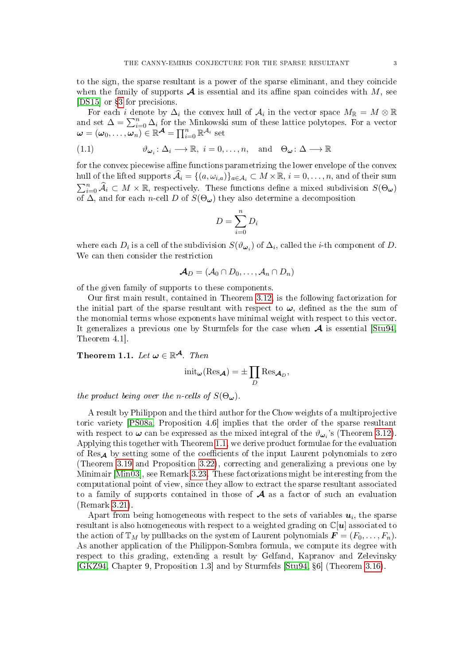to the sign, the sparse resultant is a power of the sparse eliminant, and they coincide when the family of supports  $\mathcal A$  is essential and its affine span coincides with M, see [\[DS15\]](#page-50-4) or  $\S$ [3](#page-13-0) for precisions.

For each *i* denote by  $\Delta_i$  the convex hull of  $\mathcal{A}_i$  in the vector space  $M_{\mathbb{R}} = M \otimes \mathbb{R}$ and set  $\Delta = \sum_{i=0}^{n} \Delta_i$  for the Minkowski sum of these lattice polytopes. For a vector  $\boldsymbol{\omega} = (\omega_0, \dots, \omega_n) \in \mathbb{R}^{\mathcal{A}} = \prod_{i=0}^n \mathbb{R}^{\mathcal{A}_i}$  set

<span id="page-2-1"></span>(1.1) 
$$
\vartheta_{\omega_i} : \Delta_i \longrightarrow \mathbb{R}, i = 0, \dots, n, \text{ and } \Theta_{\omega} : \Delta \longrightarrow \mathbb{R}
$$

for the convex piecewise affine functions parametrizing the lower envelope of the convex hull of the lifted supports  $\mathcal{A}_i = \{(a, \omega_{i,a})\}_{a \in \mathcal{A}_i} \subset M \times \mathbb{R}, i = 0, \ldots, n$ , and of their sum  $\sum_{i=0}^{n} \widehat{A}_i \subset M \times \mathbb{R}$ , respectively. These functions define a mixed subdivision  $S(\Theta_{\omega})$ of  $\overline{\Delta}$ , and for each *n*-cell D of  $S(\Theta_{\omega})$  they also determine a decomposition

$$
D = \sum_{i=0}^{n} D_i
$$

where each  $D_i$  is a cell of the subdivision  $S(\vartheta_{\omega_i})$  of  $\Delta_i$ , called the *i*-th component of  $D$ . We can then consider the restriction

$$
\boldsymbol{\mathcal{A}}_D=(\mathcal{A}_0\cap D_0,\ldots,\mathcal{A}_n\cap D_n)
$$

of the given family of supports to these components.

Our first main result, contained in Theorem  $3.12$ , is the following factorization for the initial part of the sparse resultant with respect to  $\omega$ , defined as the the sum of the monomial terms whose exponents have minimal weight with respect to this vector. It generalizes a previous one by Sturmfels for the case when  $\mathcal A$  is essential [\[Stu94,](#page-50-2) Theorem 4.1].

<span id="page-2-0"></span>Theorem 1.1. Let  $\boldsymbol{\omega} \in \mathbb{R}^{\mathcal{A}}$ . Then

$$
init_{\boldsymbol{\omega}}(Res_{\boldsymbol{\mathcal{A}}}) = \pm \prod_{D} Res_{\boldsymbol{\mathcal{A}}_D},
$$

the product being over the n-cells of  $S(\Theta_{\omega})$ .

A result by Philippon and the third author for the Chow weights of a multiprojective toric variety [\[PS08a,](#page-50-14) Proposition 4.6] implies that the order of the sparse resultant with respect to  $\boldsymbol{\omega}$  can be expressed as the mixed integral of the  $\vartheta_{\boldsymbol{\omega}_i}$ 's (Theorem [3.12\)](#page-18-0). Applying this together with Theorem [1.1,](#page-2-0) we derive product formulae for the evaluation of Res<sub>A</sub> by setting some of the coefficients of the input Laurent polynomials to zero (Theorem [3.19](#page-21-0) and Proposition [3.22\)](#page-23-0), correcting and generalizing a previous one by Minimair [\[Min03\]](#page-50-15), see Remark [3.23.](#page-24-1) These factorizations might be interesting from the computational point of view, since they allow to extract the sparse resultant associated to a family of supports contained in those of  $\mathcal A$  as a factor of such an evaluation (Remark [3.21\)](#page-23-1).

Apart from being homogeneous with respect to the sets of variables  $u_i$ , the sparse resultant is also homogeneous with respect to a weighted grading on  $\mathbb{C}[u]$  associated to the action of  $\mathbb{T}_M$  by pullbacks on the system of Laurent polynomials  $\mathbf{F} = (F_0, \ldots, F_n)$ . As another application of the Philippon-Sombra formula, we compute its degree with respect to this grading, extending a result by Gelfand, Kapranov and Zelevinsky [\[GKZ94,](#page-50-1) Chapter 9, Proposition 1.3] and by Sturmfels [\[Stu94,](#page-50-2) 6] (Theorem [3.16\)](#page-21-1).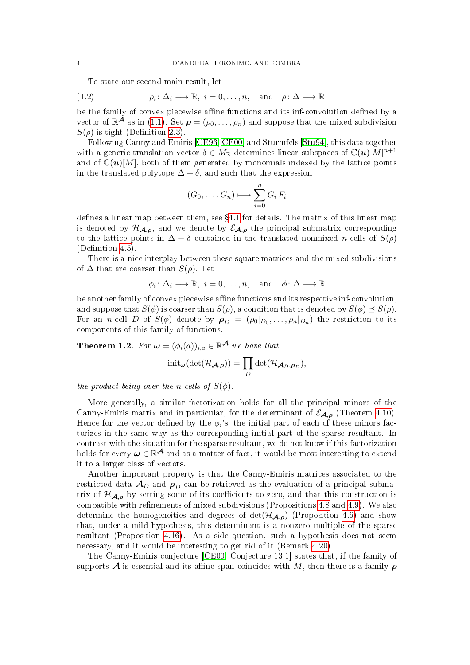To state our second main result, let

(1.2) 
$$
\rho_i \colon \Delta_i \longrightarrow \mathbb{R}, i = 0, \dots, n, \text{ and } \rho \colon \Delta \longrightarrow \mathbb{R}
$$

be the family of convex piecewise affine functions and its inf-convolution defined by a vector of  $\mathbb{R}^{\mathcal{A}}$  as in [\(1.1\)](#page-2-1). Set  $\rho = (\rho_0, \ldots, \rho_n)$  and suppose that the mixed subdivision  $S(\rho)$  is tight (Definition [2.3\)](#page-8-0).

Following Canny and Emiris [\[CE93,](#page-49-5) [CE00\]](#page-49-1) and Sturmfels [\[Stu94\]](#page-50-2), this data together with a generic translation vector  $\delta \in M_{\mathbb{R}}$  determines linear subspaces of  $\mathbb{C}(u)[M]^{n+1}$ and of  $\mathbb{C}(\boldsymbol{u})[M]$ , both of them generated by monomials indexed by the lattice points in the translated polytope  $\Delta + \delta$ , and such that the expression

$$
(G_0,\ldots,G_n)\longmapsto \sum_{i=0}^n G_i F_i
$$

defines a linear map between them, see  $\S 4.1$  $\S 4.1$  for details. The matrix of this linear map is denoted by  $\mathcal{H}_{\mathcal{A},\rho}$ , and we denote by  $\mathcal{E}_{\mathcal{A},\rho}$  the principal submatrix corresponding to the lattice points in  $\Delta + \delta$  contained in the translated nonmixed *n*-cells of  $S(\rho)$  $(Definition 4.5).$  $(Definition 4.5).$  $(Definition 4.5).$ 

There is a nice interplay between these square matrices and the mixed subdivisions of  $\Delta$  that are coarser than  $S(\rho)$ . Let

$$
\phi_i \colon \Delta_i \longrightarrow \mathbb{R}, i = 0, \dots, n, \text{ and } \phi \colon \Delta \longrightarrow \mathbb{R}
$$

be another family of convex piecewise affine functions and its respective inf-convolution, and suppose that  $S(\phi)$  is coarser than  $S(\rho)$ , a condition that is denoted by  $S(\phi) \preceq S(\rho)$ . For an *n*-cell D of  $S(\phi)$  denote by  $\rho_D = (\rho_0|_{D_0}, \ldots, \rho_n|_{D_n})$  the restriction to its components of this family of functions.

<span id="page-3-0"></span>**Theorem 1.2.** For  $\boldsymbol{\omega} = (\phi_i(a))_{i,a} \in \mathbb{R}^{\mathcal{A}}$  we have that

$$
\mathrm{init}_{\boldsymbol{\omega}}(\mathrm{det}(\mathcal{H}_{\boldsymbol{\mathcal{A}},\boldsymbol{\rho}}))=\prod_{D}\mathrm{det}(\mathcal{H}_{\boldsymbol{\mathcal{A}}_D,\boldsymbol{\rho}_D}),
$$

the product being over the n-cells of  $S(\phi)$ .

More generally, a similar factorization holds for all the principal minors of the Canny-Emiris matrix and in particular, for the determinant of  $\mathcal{E}_{A,\rho}$  (Theorem [4.10\)](#page-28-0). Hence for the vector defined by the  $\phi_i$ 's, the initial part of each of these minors factorizes in the same way as the corresponding initial part of the sparse resultant. In contrast with the situation for the sparse resultant, we do not know if this factorization holds for every  $\omega \in \mathbb{R}^{\mathcal{A}}$  and as a matter of fact, it would be most interesting to extend it to a larger class of vectors.

Another important property is that the Canny-Emiris matrices associated to the restricted data  $\mathcal{A}_D$  and  $\rho_D$  can be retrieved as the evaluation of a principal submatrix of  $\mathcal{H}_{A,\rho}$  by setting some of its coefficients to zero, and that this construction is compatible with refinements of mixed subdivisions (Propositions [4.8](#page-27-0) and [4.9\)](#page-28-1). We also determine the homogeneities and degrees of  $\det(\mathcal{H}_{A,\rho})$  (Proposition [4.6\)](#page-26-1) and show that, under a mild hypothesis, this determinant is a nonzero multiple of the sparse resultant (Proposition [4.16\)](#page-31-0). As a side question, such a hypothesis does not seem necessary, and it would be interesting to get rid of it (Remark [4.20\)](#page-33-0).

The Canny-Emiris conjecture [\[CE00,](#page-49-1) Conjecture 13.1] states that, if the family of supports  $\mathcal A$  is essential and its affine span coincides with M, then there is a family  $\rho$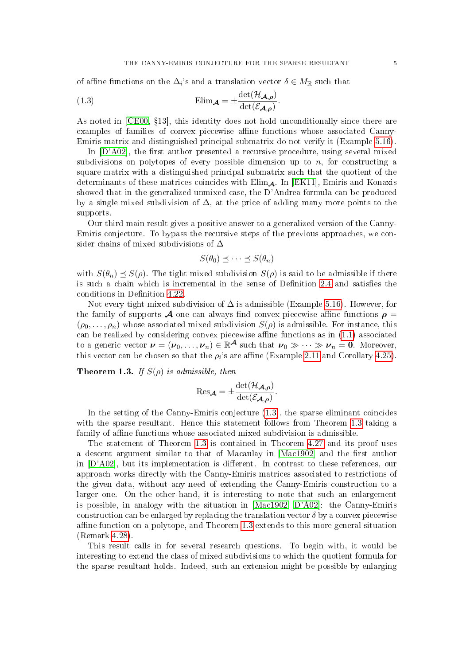<span id="page-4-0"></span>of affine functions on the  $\Delta_i$ 's and a translation vector  $\delta \in M_{\mathbb{R}}$  such that

(1.3) 
$$
\text{Elim}_{\mathcal{A}} = \pm \frac{\det(\mathcal{H}_{\mathcal{A},\rho})}{\det(\mathcal{E}_{\mathcal{A},\rho})}.
$$

As noted in  $[CE00, §13]$  $[CE00, §13]$ , this identity does not hold unconditionally since there are examples of families of convex piecewise affine functions whose associated Canny-Emiris matrix and distinguished principal submatrix do not verify it (Example [5.16\)](#page-48-0).

In  $[D'AO2]$ , the first author presented a recursive procedure, using several mixed subdivisions on polytopes of every possible dimension up to  $n$ , for constructing a square matrix with a distinguished principal submatrix such that the quotient of the determinants of these matrices coincides with  $\text{Elim}_{\mathcal{A}}$ . In [\[EK11\]](#page-50-7), Emiris and Konaxis showed that in the generalized unmixed case, the D'Andrea formula can be produced by a single mixed subdivision of  $\Delta$ , at the price of adding many more points to the supports.

Our third main result gives a positive answer to a generalized version of the Canny-Emiris conjecture. To bypass the recursive steps of the previous approaches, we consider chains of mixed subdivisions of  $\Delta$ 

$$
S(\theta_0) \preceq \cdots \preceq S(\theta_n)
$$

with  $S(\theta_n) \preceq S(\rho)$ . The tight mixed subdivision  $S(\rho)$  is said to be admissible if there is such a chain which is incremental in the sense of Definition [2.4](#page-8-1) and satisfies the conditions in Definition [4.22.](#page-34-0)

Not every tight mixed subdivision of  $\Delta$  is admissible (Example [5.16\)](#page-48-0). However, for the family of supports  $\mathcal A$  one can always find convex piecewise affine functions  $\rho =$  $(\rho_0, \ldots, \rho_n)$  whose associated mixed subdivision  $S(\rho)$  is admissible. For instance, this can be realized by considering convex piecewise affine functions as in  $(1.1)$  associated to a generic vector  $\boldsymbol{\nu} = (\boldsymbol{\nu}_0, \dots, \boldsymbol{\nu}_n) \in \mathbb{R}^{\mathcal{A}}$  such that  $\boldsymbol{\nu}_0 \gg \dots \gg \boldsymbol{\nu}_n = \boldsymbol{0}$ . Moreover, this vector can be chosen so that the  $\rho_i$ 's are affine (Example [2.11](#page-12-0) and Corollary [4.25\)](#page-35-0).

<span id="page-4-1"></span>**Theorem 1.3.** If  $S(\rho)$  is admissible, then

$$
\operatorname{Res}_{\mathcal{A}} = \pm \frac{\det(\mathcal{H}_{\mathcal{A},\rho})}{\det(\mathcal{E}_{\mathcal{A},\rho})}.
$$

In the setting of the Canny-Emiris conjecture [\(1.3\)](#page-4-0), the sparse eliminant coincides with the sparse resultant. Hence this statement follows from Theorem [1.3](#page-4-1) taking a family of affine functions whose associated mixed subdivision is admissible.

The statement of Theorem [1.3](#page-4-1) is contained in Theorem [4.27](#page-36-0) and its proof uses a descent argument similar to that of Macaulay in [\[Mac1902\]](#page-50-0) and the first author in  $[D'A02]$ , but its implementation is different. In contrast to these references, our approach works directly with the Canny-Emiris matrices associated to restrictions of the given data, without any need of extending the Canny-Emiris construction to a larger one. On the other hand, it is interesting to note that such an enlargement is possible, in analogy with the situation in [\[Mac1902,](#page-50-0) [D'A02\]](#page-49-2): the Canny-Emiris construction can be enlarged by replacing the translation vector  $\delta$  by a convex piecewise affine function on a polytope, and Theorem  $1.3$  extends to this more general situation (Remark [4.28\)](#page-37-0).

This result calls in for several research questions. To begin with, it would be interesting to extend the class of mixed subdivisions to which the quotient formula for the sparse resultant holds. Indeed, such an extension might be possible by enlarging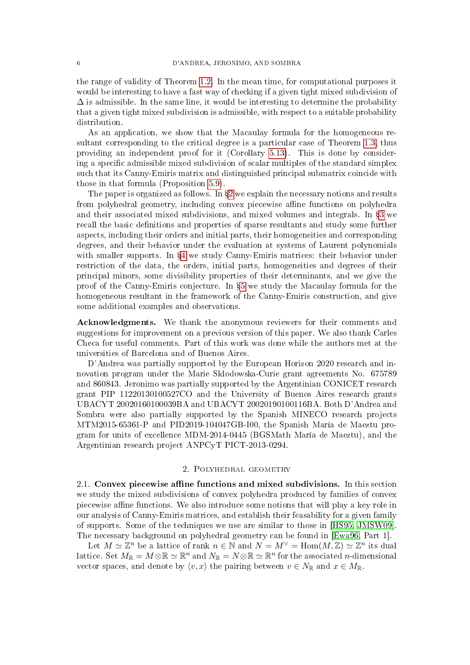the range of validity of Theorem [1.2.](#page-3-0) In the mean time, for computational purposes it would be interesting to have a fast way of checking if a given tight mixed subdivision of  $\Delta$  is admissible. In the same line, it would be interesting to determine the probability that a given tight mixed subdivision is admissible, with respect to a suitable probability distribution.

As an application, we show that the Macaulay formula for the homogeneous resultant corresponding to the critical degree is a particular case of Theorem [1.3,](#page-4-1) thus providing an independent proof for it (Corollary [5.13\)](#page-47-0). This is done by considering a specific admissible mixed subdivision of scalar multiples of the standard simplex such that its Canny-Emiris matrix and distinguished principal submatrix coincide with those in that formula (Proposition [5.9\)](#page-46-0).

The paper is organized as follows. In  $\S2$  $\S2$  we explain the necessary notions and results from polyhedral geometry, including convex piecewise affine functions on polyhedra and their associated mixed subdivisions, and mixed volumes and integrals. In §[3](#page-13-0) we recall the basic definitions and properties of sparse resultants and study some further aspects, including their orders and initial parts, their homogeneities and corresponding degrees, and their behavior under the evaluation at systems of Laurent polynomials with smaller supports. In §[4](#page-24-0) we study Canny-Emiris matrices: their behavior under restriction of the data, the orders, initial parts, homogeneities and degrees of their principal minors, some divisibility properties of their determinants, and we give the proof of the Canny-Emiris conjecture. In  $\S5$  $\S5$  we study the Macaulay formula for the homogeneous resultant in the framework of the Canny-Emiris construction, and give some additional examples and observations.

Acknowledgments. We thank the anonymous reviewers for their comments and suggestions for improvement on a previous version of this paper. We also thank Carles Checa for useful comments. Part of this work was done while the authors met at the universities of Barcelona and of Buenos Aires.

D'Andrea was partially supported by the European Horizon 2020 research and innovation program under the Marie Sklodowska-Curie grant agreements No. 675789 and 860843. Jeronimo was partially supported by the Argentinian CONICET research grant PIP 11220130100527CO and the University of Buenos Aires research grants UBACYT 20020160100039BA and UBACYT 20020190100116BA. Both D'Andrea and Sombra were also partially supported by the Spanish MINECO research projects MTM2015-65361-P and PID2019-104047GB-I00, the Spanish María de Maeztu program for units of excellence MDM-2014-0445 (BGSMath María de Maeztu), and the Argentinian research project ANPCyT PICT-2013-0294.

### 2. Polyhedral geometry

<span id="page-5-0"></span>2.1. Convex piecewise affine functions and mixed subdivisions. In this section we study the mixed subdivisions of convex polyhedra produced by families of convex piecewise affine functions. We also introduce some notions that will play a key role in our analysis of Canny-Emiris matrices, and establish their feasability for a given family of supports. Some of the techniques we use are similar to those in [\[HS95,](#page-50-16) [JMSW09\]](#page-50-17). The necessary background on polyhedral geometry can be found in [\[Ewa96,](#page-50-18) Part 1].

Let  $M \simeq \mathbb{Z}^n$  be a lattice of rank  $n \in \mathbb{N}$  and  $N = M^{\vee} = \text{Hom}(M, \mathbb{Z}) \simeq \mathbb{Z}^n$  its dual lattice. Set  $M_\mathbb{R} = M\otimes \mathbb{R} \simeq \mathbb{R}^n$  and  $N_\mathbb{R} = N\otimes \mathbb{R} \simeq \mathbb{R}^n$  for the associated *n*-dimensional vector spaces, and denote by  $\langle v, x \rangle$  the pairing between  $v \in N_{\mathbb{R}}$  and  $x \in M_{\mathbb{R}}$ .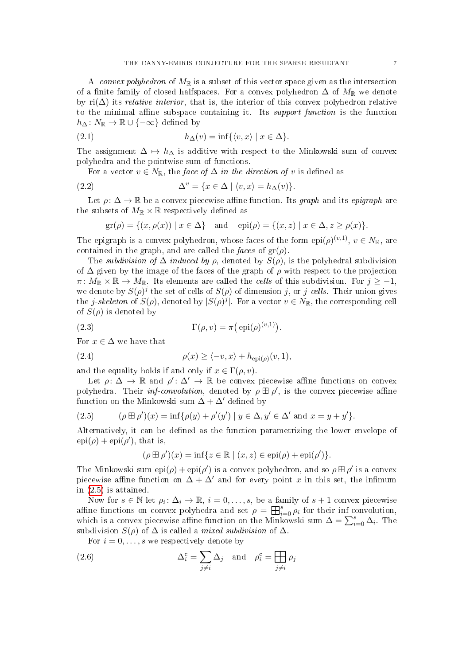A convex polyhedron of  $M_{\mathbb{R}}$  is a subset of this vector space given as the intersection of a finite family of closed halfspaces. For a convex polyhedron  $\Delta$  of  $M_{\mathbb{R}}$  we denote by ri $(\Delta)$  its *relative interior*, that is, the interior of this convex polyhedron relative to the minimal affine subspace containing it. Its *support function* is the function  $h_{\Delta} : N_{\mathbb{R}} \to \mathbb{R} \cup \{-\infty\}$  defined by

(2.1) 
$$
h_{\Delta}(v) = \inf \{ \langle v, x \rangle \mid x \in \Delta \}.
$$

The assignment  $\Delta \mapsto h_{\Delta}$  is additive with respect to the Minkowski sum of convex polyhedra and the pointwise sum of functions.

<span id="page-6-3"></span>For a vector  $v \in N_{\mathbb{R}}$ , the face of  $\Delta$  in the direction of v is defined as

(2.2) 
$$
\Delta^v = \{x \in \Delta \mid \langle v, x \rangle = h_\Delta(v)\}.
$$

Let  $\rho: \Delta \to \mathbb{R}$  be a convex piecewise affine function. Its graph and its epigraph are the subsets of  $M_{\mathbb{R}} \times \mathbb{R}$  respectively defined as

<span id="page-6-2"></span>
$$
gr(\rho) = \{(x, \rho(x)) \mid x \in \Delta\}
$$
 and  $epi(\rho) = \{(x, z) \mid x \in \Delta, z \ge \rho(x)\}.$ 

The epigraph is a convex polyhedron, whose faces of the form  $epi(\rho)^{(v,1)}$ ,  $v \in N_{\mathbb{R}}$ , are contained in the graph, and are called the faces of  $gr(\rho)$ .

The *subdivision of*  $\Delta$  *induced by*  $\rho$ , denoted by  $S(\rho)$ , is the polyhedral subdivision of  $\Delta$  given by the image of the faces of the graph of  $\rho$  with respect to the projection  $\pi\colon M_{\mathbb{R}}\times\mathbb{R}\to M_{\mathbb{R}}$ . Its elements are called the *cells* of this subdivision. For  $j\geq -1$ , we denote by  $S(\rho)^j$  the set of cells of  $S(\rho)$  of dimension j, or j-cells. Their union gives the *j-skeleton* of  $S(\rho)$ , denoted by  $|S(\rho)^j|$ . For a vector  $v \in N_{\mathbb{R}}$ , the corresponding cell of  $S(\rho)$  is denoted by

<span id="page-6-4"></span>(2.3) 
$$
\Gamma(\rho, v) = \pi(\text{epi}(\rho)^{(v, 1)}).
$$

For  $x \in \Delta$  we have that

<span id="page-6-1"></span>(2.4) 
$$
\rho(x) \ge \langle -v, x \rangle + h_{\text{epi}(\rho)}(v, 1)
$$

and the equality holds if and only if  $x \in \Gamma(\rho, v)$ .

Let  $\rho: \Delta \to \mathbb{R}$  and  $\rho' : \Delta' \to \mathbb{R}$  be convex piecewise affine functions on convex polyhedra. Their *inf-convolution*, denoted by  $\rho \boxplus \rho'$ , is the convex piecewise affine function on the Minkowski sum  $\Delta + \Delta'$  defined by

<span id="page-6-0"></span>(2.5) 
$$
(\rho \boxplus \rho')(x) = \inf \{ \rho(y) + \rho'(y') \mid y \in \Delta, y' \in \Delta' \text{ and } x = y + y' \}.
$$

Alternatively, it can be defined as the function parametrizing the lower envelope of  $epi(\rho) + epi(\rho'),$  that is,

$$
(\rho \boxplus \rho')(x) = \inf\{z \in \mathbb{R} \mid (x, z) \in \text{epi}(\rho) + \text{epi}(\rho')\}.
$$

The Minkowski sum  $epi(\rho) + epi(\rho')$  is a convex polyhedron, and so  $\rho \boxplus \rho'$  is a convex piecewise affine function on  $\Delta + \Delta'$  and for every point x in this set, the infimum in [\(2.5\)](#page-6-0) is attained.

Now for  $s \in \mathbb{N}$  let  $\rho_i \colon \Delta_i \to \mathbb{R}$ ,  $i = 0, \ldots, s$ , be a family of  $s + 1$  convex piecewise affine functions on convex polyhedra and set  $\rho = \bigoplus_{i=0}^{s} \rho_i$  for their inf-convolution, which is a convex piecewise affine function on the Minkowski sum  $\Delta = \sum_{i=0}^{s} \Delta_i$ . The subdivision  $S(\rho)$  of  $\Delta$  is called a *mixed subdivision* of  $\Delta$ .

<span id="page-6-5"></span>For  $i = 0, \ldots, s$  we respectively denote by

(2.6) 
$$
\Delta_i^c = \sum_{j \neq i} \Delta_j \text{ and } \rho_i^c = \prod_{j \neq i} \rho_j
$$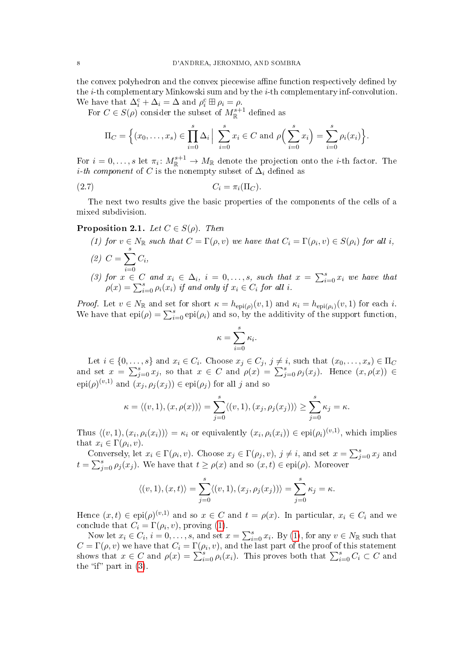the convex polyhedron and the convex piecewise affine function respectively defined by the i-th complementary Minkowski sum and by the i-th complementary inf-convolution. We have that  $\Delta_i^c + \Delta_i = \Delta$  and  $\rho_i^c \boxplus \rho_i = \rho$ .

For  $C \in S(\rho)$  consider the subset of  $M^{s+1}_{\mathbb{R}}$  defined as

<span id="page-7-3"></span>
$$
\Pi_C = \left\{ (x_0, ..., x_s) \in \prod_{i=0}^s \Delta_i \middle| \sum_{i=0}^s x_i \in C \text{ and } \rho \left( \sum_{i=0}^s x_i \right) = \sum_{i=0}^s \rho_i(x_i) \right\}.
$$

For  $i=0,\ldots,s$  let  $\pi_i\colon M_{\mathbb{R}}^{s+1}\to M_{\mathbb{R}}$  denote the projection onto the *i*-th factor. The *i*-th component of C is the nonempty subset of  $\Delta_i$  defined as

$$
(2.7) \tC_i = \pi_i(\Pi_C).
$$

The next two results give the basic properties of the components of the cells of a mixed subdivision.

# <span id="page-7-4"></span><span id="page-7-0"></span>**Proposition 2.1.** Let  $C \in S(\rho)$ . Then

<span id="page-7-2"></span>(1) for  $v \in N_{\mathbb{R}}$  such that  $C = \Gamma(\rho, v)$  we have that  $C_i = \Gamma(\rho_i, v) \in S(\rho_i)$  for all i, (2)  $C = \sum_{i=1}^{s} C_i,$  $i=0$ (3) for  $x \in C$  and  $x_i \in \Delta_i$ ,  $i = 0, \ldots, s$ , such that  $x = \sum_{i=0}^{s} x_i$  we have that  $\rho(x) = \sum_{i=0}^{s} \rho_i(x_i)$  if and only if  $x_i \in C_i$  for all i.

<span id="page-7-1"></span>*Proof.* Let  $v \in N_{\mathbb{R}}$  and set for short  $\kappa = h_{\text{epi}(\rho)}(v, 1)$  and  $\kappa_i = h_{\text{epi}(\rho_i)}(v, 1)$  for each i. We have that  $epi(\rho) = \sum_{i=0}^{s} epi(\rho_i)$  and so, by the additivity of the support function,

$$
\kappa = \sum_{i=0}^{s} \kappa_i.
$$

Let  $i \in \{0, \ldots, s\}$  and  $x_i \in C_i$ . Choose  $x_j \in C_j$ ,  $j \neq i$ , such that  $(x_0, \ldots, x_s) \in \Pi_C$ and set  $x = \sum_{j=0}^{s} x_j$ , so that  $x \in C$  and  $\rho(x) = \sum_{j=0}^{s} \rho_j(x_j)$ . Hence  $(x, \rho(x)) \in$  $epi(\rho)^{(v,1)}$  and  $(x_j, \rho_j(x_j)) \in epi(\rho_j)$  for all j and so

$$
\kappa = \langle (v,1), (x,\rho(x)) \rangle = \sum_{j=0}^{s} \langle (v,1), (x_j,\rho_j(x_j)) \rangle \ge \sum_{j=0}^{s} \kappa_j = \kappa.
$$

Thus  $\langle (v, 1), (x_i, \rho_i(x_i)) \rangle = \kappa_i$  or equivalently  $(x_i, \rho_i(x_i)) \in epi(\rho_i)^{(v,1)}$ , which implies that  $x_i \in \Gamma(\rho_i, v)$ .

Conversely, let  $x_i \in \Gamma(\rho_i, v)$ . Choose  $x_j \in \Gamma(\rho_j, v)$ ,  $j \neq i$ , and set  $x = \sum_{j=0}^s x_j$  and  $t = \sum_{j=0}^{s} \rho_j(x_j)$ . We have that  $t \ge \rho(x)$  and so  $(x, t) \in epi(\rho)$ . Moreover

$$
\langle (v,1),(x,t) \rangle = \sum_{j=0}^{s} \langle (v,1),(x_j,\rho_j(x_j)) \rangle = \sum_{j=0}^{s} \kappa_j = \kappa.
$$

Hence  $(x,t) \in \text{epi}(\rho)^{(v,1)}$  and so  $x \in C$  and  $t = \rho(x)$ . In particular,  $x_i \in C_i$  and we conclude that  $C_i = \Gamma(\rho_i, v)$ , proving [\(1\)](#page-7-0).

Now let  $x_i \in C_i$ ,  $i = 0, \ldots, s$ , and set  $x = \sum_{i=0}^s x_i$ . By [\(1\)](#page-7-0), for any  $v \in N_{\mathbb{R}}$  such that  $C = \Gamma(\rho, v)$  we have that  $C_i = \Gamma(\rho_i, v)$ , and the last part of the proof of this statement shows that  $x \in C$  and  $\rho(x) = \sum_{i=0}^{s} \rho_i(x_i)$ . This proves both that  $\sum_{i=0}^{s} C_i \subset C$  and the "if" part in  $(3)$ .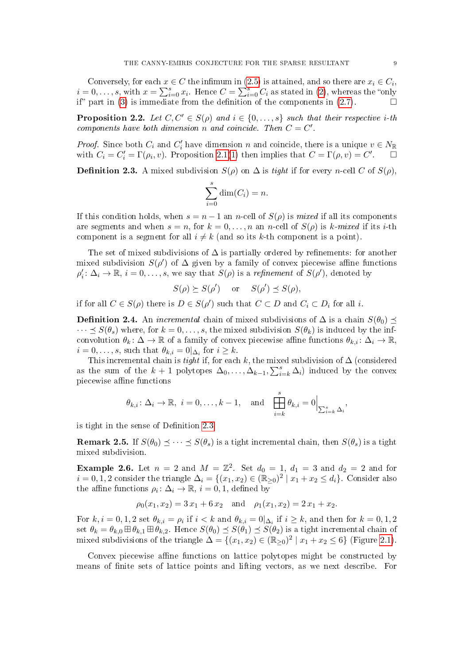Conversely, for each  $x \in C$  the infimum in [\(2.5\)](#page-6-0) is attained, and so there are  $x_i \in C_i$ ,  $i=0,\ldots,s$ , with  $x=\sum_{i=0}^s x_i$ . Hence  $C=\sum_{i=0}^s C_i$  as stated in [\(2\)](#page-7-2), whereas the "only if" part in [\(3\)](#page-7-1) is immediate from the definition of the components in [\(2.7\)](#page-7-3).

<span id="page-8-2"></span>**Proposition 2.2.** Let  $C, C' \in S(\rho)$  and  $i \in \{0, \ldots, s\}$  such that their respective *i*-th components have both dimension n and coincide. Then  $C = C'$ .

*Proof.* Since both  $C_i$  and  $C'_i$  have dimension n and coincide, there is a unique  $v \in N_{\mathbb{R}}$ with  $C_i = C'_i = \Gamma(\rho_i, v)$ . Proposition [2.1\(](#page-7-4)[1\)](#page-7-0) then implies that  $C = \Gamma(\rho, v) = C'$ .

<span id="page-8-0"></span>**Definition 2.3.** A mixed subdivision  $S(\rho)$  on  $\Delta$  is tight if for every n-cell C of  $S(\rho)$ ,

$$
\sum_{i=0}^{s} \dim(C_i) = n.
$$

If this condition holds, when  $s = n - 1$  an n-cell of  $S(\rho)$  is mixed if all its components are segments and when  $s = n$ , for  $k = 0, ..., n$  an n-cell of  $S(\rho)$  is k-mixed if its i-th component is a segment for all  $i \neq k$  (and so its k-th component is a point).

The set of mixed subdivisions of  $\Delta$  is partially ordered by refinements: for another mixed subdivision  $S(\rho')$  of  $\Delta$  given by a family of convex piecewise affine functions  $\rho'_i \colon \Delta_i \to \mathbb{R}, i = 0, \ldots, s$ , we say that  $S(\rho)$  is a *refinement* of  $S(\rho')$ , denoted by

$$
S(\rho) \succeq S(\rho') \quad \text{or} \quad S(\rho') \preceq S(\rho),
$$

if for all  $C \in S(\rho)$  there is  $D \in S(\rho')$  such that  $C \subset D$  and  $C_i \subset D_i$  for all i.

<span id="page-8-1"></span>**Definition 2.4.** An *incremental* chain of mixed subdivisions of  $\Delta$  is a chain  $S(\theta_0)$   $\preceq$  $\cdots \preceq S(\theta_s)$  where, for  $k = 0, \ldots, s$ , the mixed subdivision  $S(\theta_k)$  is induced by the infconvolution  $\theta_k: \Delta \to \mathbb{R}$  of a family of convex piecewise affine functions  $\theta_{k,i}: \Delta_i \to \mathbb{R}$ ,  $i = 0, \ldots, s$ , such that  $\theta_{k,i} = 0 | \Delta_i$  for  $i \geq k$ .

This incremental chain is *tight* if, for each k, the mixed subdivision of  $\Delta$  (considered as the sum of the  $k+1$  polytopes  $\Delta_0, \ldots, \Delta_{k-1}, \sum_{i=k}^s \Delta_i$  induced by the convex piecewise affine functions

$$
\theta_{k,i} \colon \Delta_i \to \mathbb{R}, \ i = 0, \dots, k-1, \text{ and } \prod_{i=k}^s \theta_{k,i} = 0 \Big|_{\sum_{i=k}^s \Delta_i},
$$

is tight in the sense of Definition [2.3.](#page-8-0)

**Remark 2.5.** If  $S(\theta_0) \leq \cdots \leq S(\theta_s)$  is a tight incremental chain, then  $S(\theta_s)$  is a tight mixed subdivision.

<span id="page-8-3"></span>**Example 2.6.** Let  $n = 2$  and  $M = \mathbb{Z}^2$ . Set  $d_0 = 1$ ,  $d_1 = 3$  and  $d_2 = 2$  and for  $i = 0, 1, 2$  consider the triangle  $\Delta_i = \{(x_1, x_2) \in (\mathbb{R}_{\geq 0})^2 \mid x_1 + x_2 \leq d_i\}$ . Consider also the affine functions  $\rho_i: \Delta_i \to \mathbb{R}, i = 0, 1$ , defined by

$$
\rho_0(x_1, x_2) = 3 x_1 + 6 x_2
$$
 and  $\rho_1(x_1, x_2) = 2 x_1 + x_2$ .

For  $k, i = 0, 1, 2$  set  $\theta_{k,i} = \rho_i$  if  $i < k$  and  $\theta_{k,i} = 0|_{\Delta_i}$  if  $i \geq k$ , and then for  $k = 0, 1, 2$ set  $\theta_k = \theta_{k,0} \boxplus \theta_{k,1} \boxplus \theta_{k,2}$ . Hence  $S(\theta_0) \preceq S(\theta_1) \preceq S(\theta_2)$  is a tight incremental chain of mixed subdivisions of the triangle  $\Delta = \{(x_1, x_2) \in (\mathbb{R}_{\geq 0})^2 \mid x_1 + x_2 \leq 6\}$  (Figure [2.1\)](#page-9-0).

Convex piecewise affine functions on lattice polytopes might be constructed by means of finite sets of lattice points and lifting vectors, as we next describe. For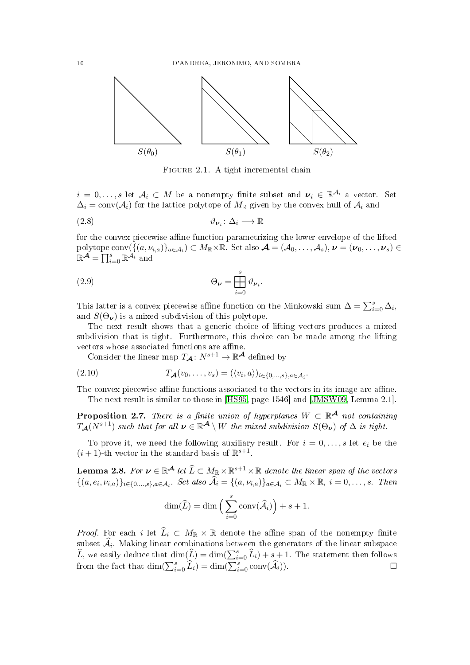

<span id="page-9-5"></span><span id="page-9-4"></span><span id="page-9-0"></span>FIGURE 2.1. A tight incremental chain

 $i = 0, \ldots, s$  let  $\mathcal{A}_i \subset M$  be a nonempty finite subset and  $\nu_i \in \mathbb{R}^{\mathcal{A}_i}$  a vector. Set  $\Delta_i = \text{conv}(\mathcal{A}_i)$  for the lattice polytope of  $M_{\mathbb{R}}$  given by the convex hull of  $\mathcal{A}_i$  and

$$
\vartheta_{\nu_i} \colon \Delta_i \longrightarrow \mathbb{R}
$$

for the convex piecewise affine function parametrizing the lower envelope of the lifted polytope  $\text{conv}(\overline{\{(a,\nu_{i,a})\}_{a\in\mathcal{A}_i}}) \subset M_{\mathbb{R}}\times\mathbb{R}$ . Set also  $\mathcal{A}=(\mathcal{A}_0,\ldots,\mathcal{A}_s), \nu=(\nu_0,\ldots,\nu_s)\in$  $\mathbb{R}^{\mathcal{A}} = \prod_{i=0}^{s} \mathbb{R}^{\widetilde{\mathcal{A}}_{i}}$  and

(2.9) 
$$
\Theta_{\nu} = \prod_{i=0}^{s} \vartheta_{\nu_{i}}.
$$

This latter is a convex piecewise affine function on the Minkowski sum  $\Delta = \sum_{i=0}^{s} \Delta_i$ , and  $S(\Theta_{\nu})$  is a mixed subdivision of this polytope.

The next result shows that a generic choice of lifting vectors produces a mixed subdivision that is tight. Furthermore, this choice can be made among the lifting vectors whose associated functions are affine.

<span id="page-9-3"></span>Consider the linear map  $T_{\mathcal{A}}: N^{s+1} \to \mathbb{R}^{\mathcal{A}}$  defined by

$$
(2.10) \t\t TA(v0,...,vs) = (\langle vi, a \rangle)_{i \in \{0,...,s\}, a \in A_i}.
$$

The convex piecewise affine functions associated to the vectors in its image are affine. The next result is similar to those in [\[HS95,](#page-50-16) page 1546] and [\[JMSW09,](#page-50-17) Lemma 2.1].

<span id="page-9-1"></span>**Proposition 2.7.** There is a finite union of hyperplanes  $W \subset \mathbb{R}^{\mathcal{A}}$  not containing  $T_{\mathcal{A}}(N^{s+1})$  such that for all  $\nu \in \mathbb{R}^{\mathcal{A}} \setminus W$  the mixed subdivision  $S(\Theta_{\boldsymbol{\nu}})$  of  $\Delta$  is tight.

To prove it, we need the following auxiliary result. For  $i = 0, \ldots, s$  let  $e_i$  be the  $(i + 1)$ -th vector in the standard basis of  $\mathbb{R}^{s+1}$ .

<span id="page-9-2"></span>**Lemma 2.8.** For  $v \in \mathbb{R}^{\mathcal{A}}$  let  $\widehat{L} \subset M_{\mathbb{R}} \times \mathbb{R}^{s+1} \times \mathbb{R}$  denote the linear span of the vectors  $\{(a,e_i,\nu_{i,a})\}_{i\in\{0,\ldots,s\},a\in\mathcal{A}_i}$ . Set also  $\widehat{\mathcal{A}}_i = \{(a,\nu_{i,a})\}_{a\in\mathcal{A}_i} \subset M_{\mathbb{R}} \times \mathbb{R}, i = 0,\ldots,s$ . Then

$$
\dim(\widehat{L}) = \dim\Big(\sum_{i=0}^s \mathrm{conv}(\widehat{\mathcal{A}}_i)\Big) + s + 1.
$$

*Proof.* For each i let  $\widehat{L}_i \subset M_{\mathbb{R}} \times \mathbb{R}$  denote the affine span of the nonempty finite subset  $\mathcal{A}_i$ . Making linear combinations between the generators of the linear subspace  $\widehat{L}$ , we easily deduce that  $\dim(\widehat{L}) = \dim(\sum_{i=0}^{s} \widehat{L}_i) + s + 1$ . The statement then follows from the fact that  $\dim(\sum_{i=0}^s \widehat{L}_i) = \dim(\sum_{i=0}^s \text{conv}(\widehat{A}_i)).$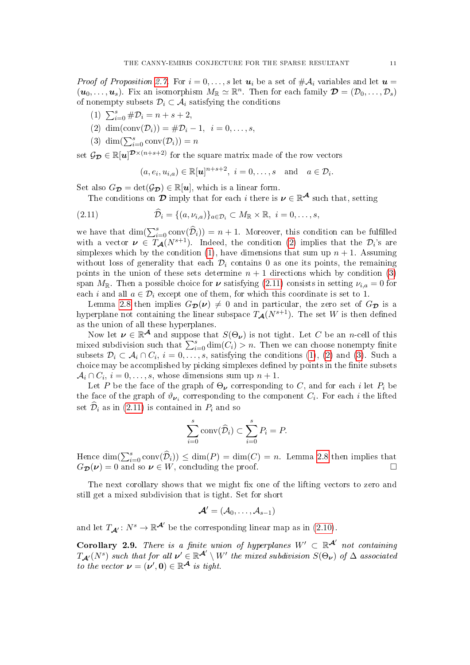*Proof of Proposition [2.7.](#page-9-1)* For  $i = 0, \ldots, s$  let  $u_i$  be a set of  $\#\mathcal{A}_i$  variables and let  $u =$  $(u_0,\ldots,u_s)$ . Fix an isomorphism  $M_{\mathbb{R}} \simeq \mathbb{R}^n$ . Then for each family  $\mathcal{D} = (\mathcal{D}_0,\ldots,\mathcal{D}_s)$ of nonempty subsets  $\mathcal{D}_i \subset \mathcal{A}_i$  satisfying the conditions

- <span id="page-10-1"></span>(1)  $\sum_{i=0}^{s} \# \mathcal{D}_i = n + s + 2,$
- <span id="page-10-0"></span>(2) dim(conv( $\mathcal{D}_i$ )) = # $\mathcal{D}_i - 1$ ,  $i = 0, ..., s$ .
- <span id="page-10-2"></span>(3) dim $(\sum_{i=0}^{s} \text{conv}(\mathcal{D}_i)) = n$

set  $\mathcal{G}_{\mathcal{D}} \in \mathbb{R}[u]^{\mathcal{D} \times (n+s+2)}$  for the square matrix made of the row vectors

<span id="page-10-3"></span>
$$
(a, e_i, u_{i,a}) \in \mathbb{R}[u]^{n+s+2}, i = 0, \ldots, s \text{ and } a \in \mathcal{D}_i.
$$

Set also  $G_{\mathcal{D}} = \det(\mathcal{G}_{\mathcal{D}}) \in \mathbb{R}[u]$ , which is a linear form.

The conditions on  $\mathcal D$  imply that for each i there is  $\nu \in \mathbb R^{\mathcal A}$  such that, setting

(2.11) 
$$
\widehat{\mathcal{D}}_i = \{(a,\nu_{i,a})\}_{a \in \mathcal{D}_i} \subset M_{\mathbb{R}} \times \mathbb{R}, \ i = 0,\ldots,s,
$$

we have that  $\dim(\sum_{i=0}^s \text{conv}(\widehat{\mathcal{D}}_i)) = n+1$ . Moreover, this condition can be fulfilled with a vector  $\nu \in T_{\mathcal{A}}(N^{s+1})$ . Indeed, the condition [\(2\)](#page-10-0) implies that the  $\mathcal{D}_i$ 's are simplexes which by the condition [\(1\)](#page-10-1), have dimensions that sum up  $n + 1$ . Assuming without loss of generality that each  $\mathcal{D}_i$  contains 0 as one its points, the remaining points in the union of these sets determine  $n + 1$  directions which by condition [\(3\)](#page-10-2) span  $M_{\mathbb{R}}$ . Then a possible choice for  $\nu$  satisfying [\(2.11\)](#page-10-3) consists in setting  $\nu_{i,a} = 0$  for each i and all  $a \in \mathcal{D}_i$  except one of them, for which this coordinate is set to 1.

Lemma [2.8](#page-9-2) then implies  $G_{\mathcal{D}}(\nu) \neq 0$  and in particular, the zero set of  $G_{\mathcal{D}}$  is a hyperplane not containing the linear subspace  $T_{\mathcal{A}}(N^{s+1})$ . The set W is then defined as the union of all these hyperplanes.

Now let  $\nu \in \mathbb{R}^{\mathcal{A}}$  and suppose that  $S(\Theta_{\nu})$  is not tight. Let C be an n-cell of this mixed subdivision such that  $\sum_{i=0}^{s} \dim(C_i) > n$ . Then we can choose nonempty finite subsets  $\mathcal{D}_i \subset \mathcal{A}_i \cap C_i$ ,  $i = 0, \ldots, s$ , satisfying the conditions  $(1), (2)$  $(1), (2)$  $(1), (2)$  and  $(3)$ . Such a choice may be accomplished by picking simplexes defined by points in the finite subsets  $A_i \cap C_i$ ,  $i = 0, \ldots, s$ , whose dimensions sum up  $n + 1$ .

Let P be the face of the graph of  $\Theta_{\nu}$  corresponding to C, and for each i let  $P_i$  be the face of the graph of  $\vartheta_{\nu_i}$  corresponding to the component  $C_i$ . For each i the lifted set  $\widehat{\mathcal{D}}_i$  as in [\(2.11\)](#page-10-3) is contained in  $P_i$  and so

$$
\sum_{i=0}^{s} \text{conv}(\widehat{\mathcal{D}}_i) \subset \sum_{i=0}^{s} P_i = P.
$$

Hence  $\dim(\sum_{i=0}^s \text{conv}(\widehat{\mathcal{D}}_i)) \leq \dim(P) = \dim(C) = n$ . Lemma [2.8](#page-9-2) then implies that  $G_{\mathcal{D}}(\nu) = 0$  and so  $\nu \in W$ , concluding the proof.

The next corollary shows that we might fix one of the lifting vectors to zero and still get a mixed subdivision that is tight. Set for short

$$
\boldsymbol{\mathcal{A}}'=(\mathcal{A}_0,\ldots,\mathcal{A}_{s-1})
$$

and let  $T_{\mathcal{A}'} : N^s \to \mathbb{R}^{\mathcal{A}'}$  be the corresponding linear map as in [\(2.10\)](#page-9-3).

<span id="page-10-4"></span>Corollary 2.9. There is a finite union of hyperplanes  $W' \subset \mathbb{R}^{\mathcal{A}'}$  not containing  $T_{\mathcal{A}'}(N^s)$  such that for all  $\nu' \in \mathbb{R}^{\mathcal{A}'} \setminus W'$  the mixed subdivision  $S(\Theta_{\boldsymbol{\nu}})$  of  $\Delta$  associated to the vector  $\boldsymbol{\nu} = (\boldsymbol{\nu}', \mathbf{0}) \in \mathbb{R}^{\mathcal{A}}$  is tight.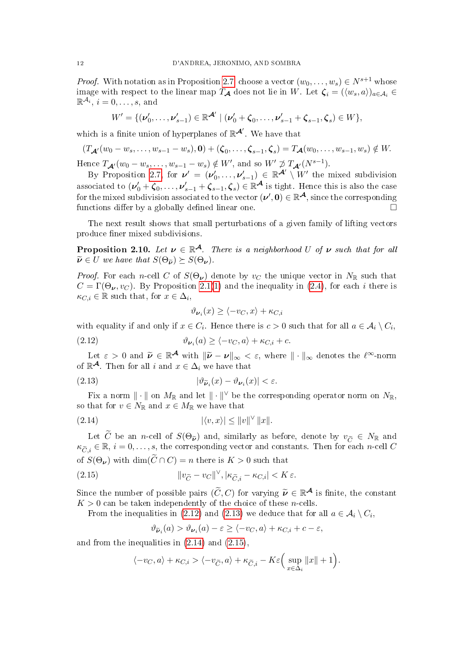*Proof.* With notation as in Proposition [2.7,](#page-9-1) choose a vector  $(w_0, \ldots, w_s) \in N^{s+1}$  whose image with respect to the linear map  $T_A$  does not lie in W. Let  $\zeta_i = (\langle w_s, a \rangle)_{a \in A_i} \in$  $\mathbb{R}^{\mathcal{A}_i}, i=0,\ldots,s$ , and

$$
W' = \{ (\nu'_0, \ldots, \nu'_{s-1}) \in \mathbb{R}^{\mathcal{A}'} \mid (\nu'_0 + \zeta_0, \ldots, \nu'_{s-1} + \zeta_{s-1}, \zeta_s) \in W \},
$$

which is a finite union of hyperplanes of  $\mathbb{R}^{\mathcal{A}'}$ . We have that

$$
(T_{\mathcal{A}'}(w_0-w_s,\ldots,w_{s-1}-w_s),\mathbf{0})+(\zeta_0,\ldots,\zeta_{s-1},\zeta_s)=T_{\mathcal{A}}(w_0,\ldots,w_{s-1},w_s)\notin W.
$$

Hence  $T_{\mathcal{A}'}(w_0 - w_s, \ldots, w_{s-1} - w_s) \notin W'$ , and so  $W' \not\supset T_{\mathcal{A}'}(N^{s-1})$ .

By Proposition [2.7,](#page-9-1) for  $\nu' = (\nu'_0, \dots, \nu'_{s-1}) \in \mathbb{R}^{\mathcal{A}'} \setminus W'$  the mixed subdivision associated to  $(\nu'_0 + \zeta_0, \ldots, \nu'_{s-1} + \zeta_{s-1}, \zeta_s) \in \mathbb{R}^{\mathcal{A}}$  is tight. Hence this is also the case for the mixed subdivision associated to the vector  $(\nu',\mathbf{0})\in\mathbb{R}^{\mathcal{A}},$  since the corresponding functions differ by a globally defined linear one.

The next result shows that small perturbations of a given family of lifting vectors produce finer mixed subdivisions.

<span id="page-11-4"></span>**Proposition 2.10.** Let  $v \in \mathbb{R}^{\mathcal{A}}$ . There is a neighborhood U of  $v$  such that for all  $\widetilde{\nu} \in U$  we have that  $S(\Theta_{\widetilde{\nu}}) \succeq S(\Theta_{\nu}).$ 

*Proof.* For each n-cell C of  $S(\Theta_{\nu})$  denote by  $v_C$  the unique vector in  $N_{\mathbb{R}}$  such that  $C = \Gamma(\Theta_{\nu}, v_C)$ . By Proposition [2.1](#page-7-4)[\(1\)](#page-7-0) and the inequality in [\(2.4\)](#page-6-1), for each *i* there is  $\kappa_{C,i} \in \mathbb{R}$  such that, for  $x \in \Delta_i$ ,

<span id="page-11-2"></span><span id="page-11-1"></span><span id="page-11-0"></span>
$$
\vartheta_{\nu_i}(x) \ge \langle -v_C, x \rangle + \kappa_{C,i}
$$

with equality if and only if  $x \in C_i$ . Hence there is  $c > 0$  such that for all  $a \in A_i \setminus C_i$ ,

(2.12) 
$$
\vartheta_{\nu_i}(a) \ge \langle -v_C, a \rangle + \kappa_{C,i} + c.
$$

Let  $\varepsilon > 0$  and  $\widetilde{\nu} \in \mathbb{R}^{\mathcal{A}}$  with  $\|\widetilde{\nu} - \nu\|_{\infty} < \varepsilon$ , where  $\|\cdot\|_{\infty}$  denotes the  $\ell^{\infty}$ -norm of  $\mathbb{R}^{\mathcal{A}}$ . Then for all i and  $x \in \Delta_i$  we have that

(2.13) 
$$
|\vartheta_{\widetilde{\boldsymbol{\nu}}_i}(x) - \vartheta_{\boldsymbol{\nu}_i}(x)| < \varepsilon.
$$

Fix a norm  $\|\cdot\|$  on  $M_{\mathbb{R}}$  and let  $\|\cdot\|^\vee$  be the corresponding operator norm on  $N_{\mathbb{R}}$ , so that for  $v \in N_{\mathbb{R}}$  and  $x \in M_{\mathbb{R}}$  we have that

(2.14) 
$$
|\langle v, x \rangle| \leq ||v||^{\vee} ||x||.
$$

Let C be an n-cell of  $S(\Theta_{\tilde{\nu}})$  and, similarly as before, denote by  $v_{\tilde{C}} \in N_{\mathbb{R}}$  and  $\kappa_{\widetilde{C},i} \in \mathbb{R}, i = 0, \ldots, s$ , the corresponding vector and constants. Then for each n-cell C of  $S(\Theta_{\nu})$  with  $\dim(\widetilde{C}\cap C)=n$  there is  $K>0$  such that

(2.15) 
$$
\|v_{\widetilde{C}} - v_C\|^{\vee}, |\kappa_{\widetilde{C},i} - \kappa_{C,i}| < K \varepsilon.
$$

Since the number of possible pairs  $(\widetilde{C}, C)$  for varying  $\widetilde{\nu} \in \mathbb{R}^{\mathcal{A}}$  is finite, the constant  $K > 0$  can be taken independently of the choice of these n cells  $K > 0$  can be taken independently of the choice of these *n*-cells.

From the inequalities in [\(2.12\)](#page-11-0) and [\(2.13\)](#page-11-1) we deduce that for all  $a \in \mathcal{A}_i \setminus C_i$ ,

<span id="page-11-3"></span>
$$
\vartheta_{\widetilde{\boldsymbol{\nu}}_i}(a) > \vartheta_{\boldsymbol{\nu}_i}(a) - \varepsilon \ge \langle -v_C, a \rangle + \kappa_{C,i} + c - \varepsilon,
$$

and from the inequalities in [\(2.14\)](#page-11-2) and [\(2.15\)](#page-11-3),

$$
\langle -v_C, a \rangle + \kappa_{C,i} > \langle -v_{\widetilde{C}}, a \rangle + \kappa_{\widetilde{C},i} - K\varepsilon \Big( \sup_{x \in \Delta_i} ||x|| + 1 \Big).
$$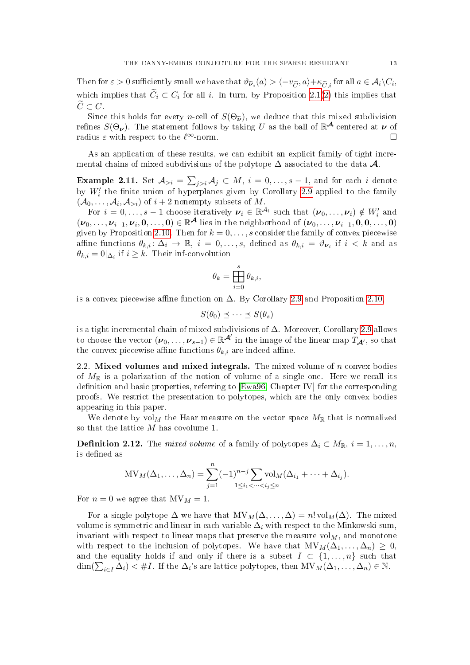Then for  $\varepsilon > 0$  sufficiently small we have that  $\vartheta \tilde{\nu}_i(a) > \langle -v_{\widetilde{C}}, a \rangle + \kappa_{\widetilde{C},i}$  for all  $a \in \mathcal{A}_i \backslash C_i$ , which implies that  $\widetilde{C}_i \subset C_i$  for all i. In turn, by Proposition [2.1](#page-7-4)[\(2\)](#page-7-2) this implies that  $\widetilde{C}\subset C.$ 

Since this holds for every *n*-cell of  $S(\Theta_{\tilde{\nu}})$ , we deduce that this mixed subdivision refines  $S(\Theta_{\bm{\nu}})$ . The statement follows by taking  $U$  as the ball of  $\mathbb{R}^{\mathcal{A}}$  centered at  $\bm{\nu}$  of radius  $\varepsilon$  with respect to the  $\ell^{\infty}$ -norm.

As an application of these results, we can exhibit an explicit family of tight incremental chains of mixed subdivisions of the polytope  $\Delta$  associated to the data  $\mathcal{A}$ .

<span id="page-12-0"></span>**Example 2.11.** Set  $\mathcal{A}_{>i} = \sum_{j>i} \mathcal{A}_j \subset M, i = 0, \ldots, s-1,$  and for each  $i$  denote by  $W_i'$  the finite union of hyperplanes given by Corollary [2.9](#page-10-4) applied to the family  $(\mathcal{A}_0, \ldots, \mathcal{A}_i, \mathcal{A}_{>i})$  of  $i+2$  nonempty subsets of M.

For  $i = 0, \ldots, s - 1$  choose iteratively  $\boldsymbol{\nu}_i \in \mathbb{R}^{\mathcal{A}_i}$  such that  $(\boldsymbol{\nu}_0, \ldots, \boldsymbol{\nu}_i) \notin W_i'$  and  $(\nu_0,\ldots,\nu_{i-1},\nu_i,0,\ldots,0)\in\mathbb{R}^{\mathcal{A}}$  lies in the neighborhood of  $(\nu_0,\ldots,\nu_{i-1},0,0,\ldots,0)$ given by Proposition [2.10.](#page-11-4) Then for  $k = 0, \ldots, s$  consider the family of convex piecewise affine functions  $\theta_{k,i} \colon \Delta_i \to \mathbb{R}, i = 0, \ldots, s$ , defined as  $\theta_{k,i} = \vartheta_{\nu_i}$  if  $i < k$  and as  $\theta_{k,i} = 0|_{\Delta_i}$  if  $i \geq k$ . Their inf-convolution

$$
\theta_k = \prod_{i=0}^s \theta_{k,i},
$$

is a convex piecewise affine function on  $\Delta$ . By Corollary [2.9](#page-10-4) and Proposition [2.10,](#page-11-4)

$$
S(\theta_0) \preceq \cdots \preceq S(\theta_s)
$$

is a tight incremental chain of mixed subdivisions of  $\Delta$ . Moreover, Corollary [2.9](#page-10-4) allows to choose the vector  $(\boldsymbol{\nu}_0,\ldots,\boldsymbol{\nu}_{s-1})\in\mathbb{R}^{\mathcal{A}'}$  in the image of the linear map  $T_{\mathcal{A}'},$  so that the convex piecewise affine functions  $\theta_{k,i}$  are indeed affine.

2.2. Mixed volumes and mixed integrals. The mixed volume of  $n$  convex bodies of  $M_{\mathbb{R}}$  is a polarization of the notion of volume of a single one. Here we recall its definition and basic properties, referring to  $[Ewa96, Chapter IV]$  $[Ewa96, Chapter IV]$  for the corresponding proofs. We restrict the presentation to polytopes, which are the only convex bodies appearing in this paper.

We denote by  $\mathrm{vol}_M$  the Haar measure on the vector space  $M_{\mathbb{R}}$  that is normalized so that the lattice  $M$  has covolume 1.

**Definition 2.12.** The mixed volume of a family of polytopes  $\Delta_i \subset M_{\mathbb{R}}$ ,  $i = 1, \ldots, n$ , is defined as

$$
MV_M(\Delta_1,\ldots,\Delta_n)=\sum_{j=1}^n (-1)^{n-j} \sum_{1\leq i_1<\cdots
$$

For  $n = 0$  we agree that  $MV_M = 1$ .

For a single polytope  $\Delta$  we have that  $MV_M(\Delta, \ldots, \Delta) = n! vol_M(\Delta)$ . The mixed volume is symmetric and linear in each variable  $\Delta_i$  with respect to the Minkowski sum, invariant with respect to linear maps that preserve the measure  $\mathrm{vol}_M$ , and monotone with respect to the inclusion of polytopes. We have that  $MV_M(\Delta_1, \ldots, \Delta_n) \geq 0$ , and the equality holds if and only if there is a subset  $I \subset \{1, \ldots, n\}$  such that  $\dim(\sum_{i\in I} \Delta_i) < \#I$ . If the  $\Delta_i$ 's are lattice polytopes, then  $MV_M(\Delta_1, \ldots, \Delta_n) \in \mathbb{N}$ .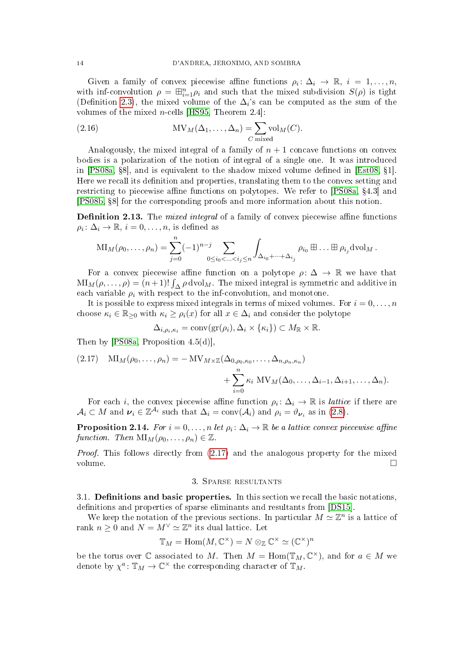Given a family of convex piecewise affine functions  $\rho_i: \Delta_i \to \mathbb{R}, i = 1, \ldots, n$ , with inf-convolution  $\rho = \boxplus_{i=1}^n \rho_i$  and such that the mixed subdivision  $S(\rho)$  is tight (Definition [2.3\)](#page-8-0), the mixed volume of the  $\Delta_i$ 's can be computed as the sum of the volumes of the mixed *n*-cells [\[HS95,](#page-50-16) Theorem 2.4]:

<span id="page-13-3"></span>(2.16) 
$$
MV_M(\Delta_1, ..., \Delta_n) = \sum_{C \text{ mixed}} vol_M(C).
$$

Analogously, the mixed integral of a family of  $n + 1$  concave functions on convex bodies is a polarization of the notion of integral of a single one. It was introduced in [\[PS08a,](#page-50-14)  $88$ ], and is equivalent to the shadow mixed volume defined in [\[Est08,](#page-50-19)  $\S1$ ]. Here we recall its definition and properties, translating them to the convex setting and restricting to piecewise affine functions on polytopes. We refer to  $[PS08a, §4.3]$  $[PS08a, §4.3]$  and [\[PS08b,](#page-50-20) 8] for the corresponding proofs and more information about this notion.

**Definition 2.13.** The *mixed integral* of a family of convex piecewise affine functions  $\rho_i \colon \Delta_i \to \mathbb{R}, i = 0, \ldots, n$ , is defined as

$$
\mathrm{MI}_M(\rho_0,\ldots,\rho_n)=\sum_{j=0}^n(-1)^{n-j}\sum_{0\leq i_0<\ldots
$$

For a convex piecewise affine function on a polytope  $\rho: \Delta \to \mathbb{R}$  we have that  $\text{MI}_M(\rho,\ldots,\rho)=(n+1)!\int_{\Delta}\rho\,\text{dvol}_M$ . The mixed integral is symmetric and additive in each variable  $\rho_i$  with respect to the inf-convolution, and monotone.

It is possible to express mixed integrals in terms of mixed volumes. For  $i = 0, \ldots, n$ choose  $\kappa_i \in \mathbb{R}_{\geq 0}$  with  $\kappa_i \geq \rho_i(x)$  for all  $x \in \Delta_i$  and consider the polytope

$$
\Delta_{i,\rho_i,\kappa_i} = \text{conv}(\text{gr}(\rho_i),\Delta_i\times\{\kappa_i\}) \subset M_{\mathbb{R}}\times\mathbb{R}.
$$

Then by [\[PS08a,](#page-50-14) Proposition 4.5(d)].

<span id="page-13-1"></span>(2.17) 
$$
\mathrm{MI}_M(\rho_0,\ldots,\rho_n) = -\mathrm{MV}_{M \times \mathbb{Z}}(\Delta_{0,\rho_0,\kappa_0},\ldots,\Delta_{n,\rho_n,\kappa_n}) + \sum_{i=0}^n \kappa_i \mathrm{MV}_M(\Delta_0,\ldots,\Delta_{i-1},\Delta_{i+1},\ldots,\Delta_n).
$$

For each *i*, the convex piecewise affine function  $\rho_i \colon \Delta_i \to \mathbb{R}$  is *lattice* if there are  $A_i \subset M$  and  $\nu_i \in \mathbb{Z}^{\mathcal{A}_i}$  such that  $\Delta_i = \text{conv}(\mathcal{A}_i)$  and  $\rho_i = \vartheta_{\nu_i}$  as in [\(2.8\)](#page-9-4).

<span id="page-13-2"></span>**Proposition 2.14.** For  $i = 0, ..., n$  let  $\rho_i \colon \Delta_i \to \mathbb{R}$  be a lattice convex piecewise affine function. Then  $\text{MI}_M(\rho_0, \ldots, \rho_n) \in \mathbb{Z}$ .

Proof. This follows directly from  $(2.17)$  and the analogous property for the mixed volume.

# 3. Sparse resultants

<span id="page-13-0"></span> $3.1.$  **Definitions and basic properties.** In this section we recall the basic notations, definitions and properties of sparse eliminants and resultants from [\[DS15\]](#page-50-4).

We keep the notation of the previous sections. In particular  $M \simeq \mathbb{Z}^n$  is a lattice of rank  $n \geq 0$  and  $N = M^{\vee} \simeq \mathbb{Z}^n$  its dual lattice. Let

$$
\mathbb{T}_M = \text{Hom}(M, \mathbb{C}^\times) = N \otimes_{\mathbb{Z}} \mathbb{C}^\times \simeq (\mathbb{C}^\times)^n
$$

be the torus over  $\mathbb C$  associated to M. Then  $M = \text{Hom}(\mathbb{T}_M, \mathbb{C}^\times)$ , and for  $a \in M$  we denote by  $\chi^a \colon \mathbb{T}_M \to \mathbb{C}^\times$  the corresponding character of  $\mathbb{T}_M$ .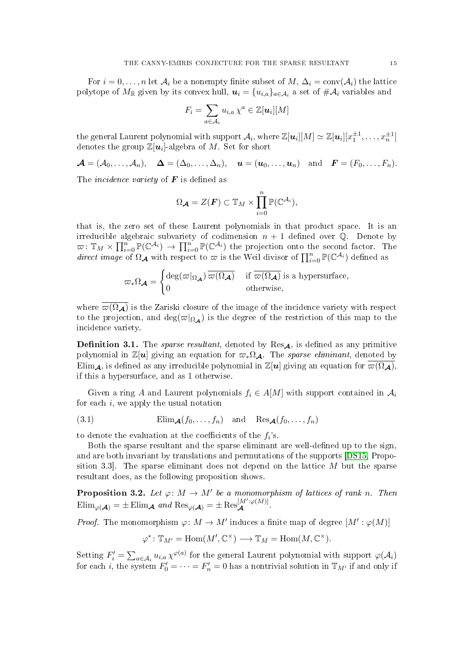For  $i = 0, \ldots, n$  let  $\mathcal{A}_i$  be a nonempty finite subset of  $M, \Delta_i = \text{conv}(\mathcal{A}_i)$  the lattice polytope of  $M_\mathbb{R}$  given by its convex hull,  $\bm{u}_i = \{u_{i,a}\}_{a \in \mathcal{A}_i}$  a set of  $\#\mathcal{A}_i$  variables and

$$
F_i = \sum_{a \in \mathcal{A}_i} u_{i,a} \,\chi^a \in \mathbb{Z}[\boldsymbol{u}_i][M]
$$

the general Laurent polynomial with support  $\mathcal{A}_i$ , where  $\mathbb{Z}[\bm{u}_i][M] \simeq \mathbb{Z}[\bm{u}_i][x_1^{\pm 1},\ldots,x_n^{\pm 1}]$ denotes the group  $\mathbb{Z}[\boldsymbol{u}_i]$ -algebra of  $M$ . Set for short

 $\mathcal{A} = (\mathcal{A}_0, \ldots, \mathcal{A}_n), \quad \mathbf{\Delta} = (\Delta_0, \ldots, \Delta_n), \quad \mathbf{u} = (\mathbf{u}_0, \ldots, \mathbf{u}_n) \quad \text{and} \quad \mathbf{F} = (F_0, \ldots, F_n).$ 

The *incidence variety* of  $\boldsymbol{F}$  is defined as

$$
\Omega_{\mathcal{A}} = Z(\mathbf{F}) \subset \mathbb{T}_M \times \prod_{i=0}^n \mathbb{P}(\mathbb{C}^{\mathcal{A}_i}),
$$

that is, the zero set of these Laurent polynomials in that product space. It is an irreducible algebraic subvariety of codimension  $n + 1$  defined over  $\mathbb{Q}$ . Denote by  $\pi: \mathbb{T}_M \times \prod_{i=0}^n \mathbb{P}(\mathbb{C}^{\mathcal{A}_i}) \to \prod_{i=0}^n \mathbb{P}(\mathbb{C}^{\mathcal{A}_i})$  the projection onto the second factor. The direct image of  $\Omega_{\mathcal{A}}$  with respect to  $\varpi$  is the Weil divisor of  $\prod_{i=0}^n \mathbb{P}(\mathbb{C}^{\mathcal{A}_i})$  defined as

$$
\varpi_* \Omega_{\mathcal{A}} = \begin{cases} \deg(\varpi|_{\Omega_{\mathcal{A}}}) \, \overline{\varpi(\Omega_{\mathcal{A}})} & \text{if } \overline{\varpi(\Omega_{\mathcal{A}})} \text{ is a hypersurface,} \\ 0 & \text{otherwise,} \end{cases}
$$

where  $\overline{\omega(\Omega_{\mathcal{A}})}$  is the Zariski closure of the image of the incidence variety with respect to the projection, and deg( $\varpi|_{\Omega_{\mathcal{A}}}$ ) is the degree of the restriction of this map to the incidence variety.

<span id="page-14-2"></span>**Definition 3.1.** The *sparse resultant*, denoted by  $\text{Res}_{A}$ , is defined as any primitive polynomial in Z[u] giving an equation for  $\varpi_*\Omega_{\mathcal{A}}$ . The sparse eliminant, denoted by Elim<sub>A</sub>, is defined as any irreducible polynomial in  $\mathbb{Z}[u]$  giving an equation for  $\varpi(\Omega_{\mathcal{A}})$ , if this a hypersurface, and as 1 otherwise.

Given a ring A and Laurent polynomials  $f_i \in A[M]$  with support contained in  $\mathcal{A}_i$ for each i, we apply the usual notation

<span id="page-14-0"></span>(3.1) 
$$
\text{Elim}_{\mathcal{A}}(f_0,\ldots,f_n) \quad \text{and} \quad \text{Res}_{\mathcal{A}}(f_0,\ldots,f_n)
$$

to denote the evaluation at the coefficients of the  $f_i$ 's.

Both the sparse resultant and the sparse eliminant are well-defined up to the sign, and are both invariant by translations and permutations of the supports [\[DS15,](#page-50-4) Proposition 3.3. The sparse eliminant does not depend on the lattice  $M$  but the sparse resultant does, as the following proposition shows.

<span id="page-14-1"></span>**Proposition 3.2.** Let  $\varphi: M \to M'$  be a monomorphism of lattices of rank n. Then  $\text{Elim}_{\varphi(\mathcal{A})} = \pm \text{Elim}_{\mathcal{A}} \text{ and } \text{Res}_{\varphi(\mathcal{A})} = \pm \text{Res}_{\mathcal{A}}^{[M':\varphi(M)]}.$ 

*Proof.* The monomorphism  $\varphi \colon M \to M'$  induces a finite map of degree  $[M': \varphi(M)]$ 

$$
\varphi^*\colon \mathbb{T}_{M'}=\mathrm{Hom}(M',\mathbb{C}^\times)\longrightarrow \mathbb{T}_M=\mathrm{Hom}(M,\mathbb{C}^\times).
$$

Setting  $F_i' = \sum_{a \in A_i} u_{i,a} \chi^{\varphi(a)}$  for the general Laurent polynomial with support  $\varphi(A_i)$ for each i, the system  $F'_0 = \cdots = F'_n = 0$  has a nontrivial solution in  $\mathbb{T}_{M'}$  if and only if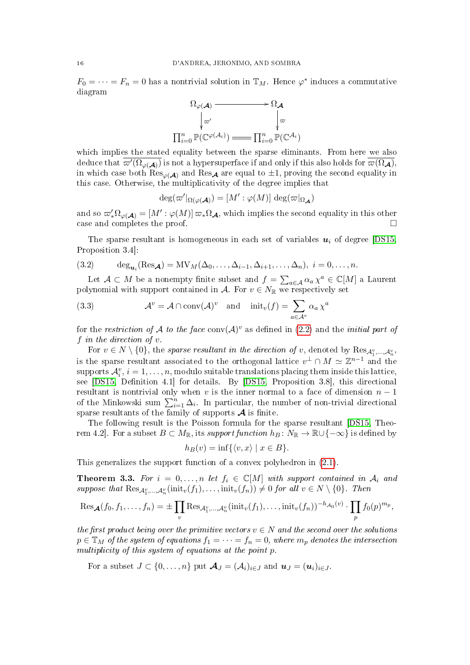$F_0 = \cdots = F_n = 0$  has a nontrivial solution in  $\mathbb{T}_M$ . Hence  $\varphi^*$  induces a commutative diagram



which implies the stated equality between the sparse eliminants. From here we also deduce that  $\overline{\omega'(\Omega_{\varphi(\mathcal{A})})}$  is not a hypersuperface if and only if this also holds for  $\overline{\omega(\Omega_{\mathcal{A}})},$ in which case both  $\text{Res}_{\varphi(\mathcal{A})}$  and  $\text{Res}_{\mathcal{A}}$  are equal to  $\pm 1$ , proving the second equality in this case. Otherwise, the multiplicativity of the degree implies that

$$
\deg(\varpi' \vert_{\Omega(\varphi(\mathcal{A}))} = [M': \varphi(M)] \deg(\varpi \vert_{\Omega_{\mathcal{A}}})
$$

and so  $\omega'_*\Omega_{\varphi(\mathcal{A})} = [M': \varphi(M)] \,\omega_*\Omega_{\mathcal{A}}$ , which implies the second equality in this other case and completes the proof.

The sparse resultant is homogeneous in each set of variables  $u_i$  of degree [\[DS15,](#page-50-4) Proposition 3.4]:

<span id="page-15-0"></span>(3.2) 
$$
\deg_{\mathbf{u}_i}(\text{Res}_{\mathbf{A}}) = MV_M(\Delta_0,\ldots,\Delta_{i-1},\Delta_{i+1},\ldots,\Delta_n), i=0,\ldots,n.
$$

Let  $\mathcal{A} \subset M$  be a nonempty finite subset and  $f = \sum_{a \in \mathcal{A}} \alpha_a \chi^a \in \mathbb{C}[M]$  a Laurent polynomial with support contained in A. For  $v \in N_{\mathbb{R}}$  we respectively set

<span id="page-15-1"></span>(3.3) 
$$
\mathcal{A}^v = \mathcal{A} \cap \text{conv}(\mathcal{A})^v \text{ and } \text{init}_v(f) = \sum_{a \in \mathcal{A}^v} \alpha_a \chi^a
$$

for the restriction of A to the face  $\text{conv}(\mathcal{A})^v$  as defined in  $(2.2)$  and the *initial part of* f in the direction of  $v$ .

For  $v \in N \setminus \{0\}$ , the sparse resultant in the direction of v, denoted by  ${\rm Res}_{\mathcal{A}_1^v,...,\mathcal{A}_n^v}$ , is the sparse resultant associated to the orthogonal lattice  $v^{\perp} \cap M \simeq \mathbb{Z}^{n-1}$  and the  $\mathcal{A}_i^v, i=1,\ldots,n,$  modulo suitable translations placing them inside this lattice, see [\[DS15,](#page-50-4) Definition 4.1] for details. By [DS15, Proposition 3.8], this directional resultant is nontrivial only when v is the inner normal to a face of dimension  $n-1$ of the Minkowski sum  $\sum_{i=1}^{n} \Delta_i$ . In particular, the number of non-trivial directional sparse resultants of the family of supports  $\mathcal A$  is finite.

The following result is the Poisson formula for the sparse resultant [\[DS15,](#page-50-4) Theorem 4.2]. For a subset  $B \subset M_{\mathbb{R}}$ , its support function  $h_B \colon N_{\mathbb{R}} \to \mathbb{R} \cup \{-\infty\}$  is defined by

$$
h_B(v) = \inf\{\langle v, x \rangle \mid x \in B\}.
$$

This generalizes the support function of a convex polyhedron in [\(2.1\)](#page-6-3).

<span id="page-15-2"></span>**Theorem 3.3.** For  $i = 0, ..., n$  let  $f_i \in \mathbb{C}[M]$  with support contained in  $A_i$  and suppose that  $\text{Res}_{\mathcal{A}_1^v,\dots,\mathcal{A}_n^v}(\text{init}_v(f_1),\dots,\text{init}_v(f_n)) \neq 0$  for all  $v \in N \setminus \{0\}$ . Then

$$
\operatorname{Res}_{\mathcal{A}}(f_0, f_1, \ldots, f_n) = \pm \prod_v \operatorname{Res}_{\mathcal{A}_1^v, \ldots, \mathcal{A}_n^v}(\text{init}_v(f_1), \ldots, \text{init}_v(f_n))^{-h_{\mathcal{A}_0}(v)} \cdot \prod_p f_0(p)^{m_p},
$$

the first product being over the primitive vectors  $v \in N$  and the second over the solutions  $p \in \mathbb{T}_M$  of the system of equations  $f_1 = \cdots = f_n = 0$ , where  $m_p$  denotes the intersection multiplicity of this system of equations at the point p.

For a subset  $J \subset \{0, \ldots, n\}$  put  $\mathcal{A}_J = (\mathcal{A}_i)_{i \in J}$  and  $\mathbf{u}_J = (\mathbf{u}_i)_{i \in J}$ .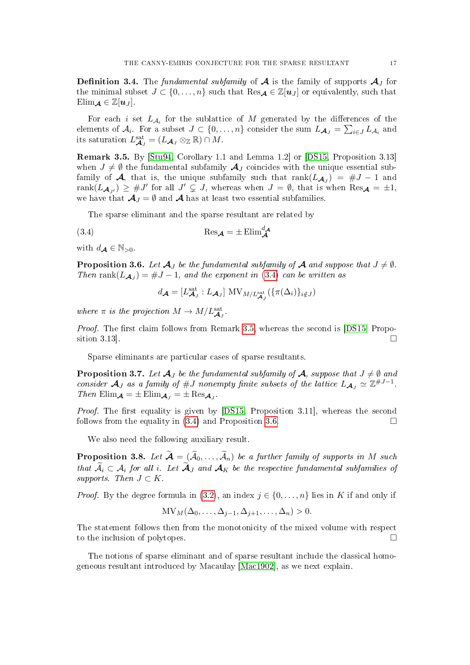**Definition 3.4.** The fundamental subfamily of  $A$  is the family of supports  $A_J$  for the minimal subset  $J \subset \{0, \ldots, n\}$  such that  $\text{Res}_{\mathcal{A}} \in \mathbb{Z}[u_J]$  or equivalently, such that Elim $\mathcal{A} \in \mathbb{Z}[u_J]$ .

For each i set  $L_{\mathcal{A}_i}$  for the sublattice of M generated by the differences of the elements of  $\mathcal{A}_i$ . For a subset  $J \subset \{0, \ldots, n\}$  consider the sum  $L_{\mathcal{A}_J} = \sum_{i \in J} L_{\mathcal{A}_i}$  and its saturation  $L_{\mathcal{A}_J}^{\text{sat}} = (L_{\mathcal{A}_J} \otimes_{\mathbb{Z}} \mathbb{R}) \cap M$ .

<span id="page-16-0"></span>Remark 3.5. By [\[Stu94,](#page-50-2) Corollary 1.1 and Lemma 1.2] or [\[DS15,](#page-50-4) Proposition 3.13] when  $J \neq \emptyset$  the fundamental subfamily  $\mathcal{A}_J$  coincides with the unique essential subfamily of  $\mathcal{A}$ , that is, the unique subfamily such that  $\mathrm{rank}(L_{\mathcal{A}_J}) = \#J - 1$  and  $\text{rank}(L_{\mathcal{A}_{J'}}) \geq #J'$  for all  $J' \subsetneq J$ , whereas when  $J = \emptyset$ , that is when  $\text{Res}_{\mathcal{A}} = \pm 1$ , we have that  $A_J = \emptyset$  and A has at least two essential subfamilies.

The sparse eliminant and the sparse resultant are related by

(3.4) 
$$
\text{Res}_{\mathcal{A}} = \pm \text{Elim}_{\mathcal{A}}^{d_{\mathcal{A}}}
$$

with  $d_{\mathcal{A}} \in \mathbb{N}_{>0}$ .

<span id="page-16-2"></span>**Proposition 3.6.** Let  $\mathcal{A}_J$  be the fundamental subfamily of  $\mathcal{A}$  and suppose that  $J \neq \emptyset$ . Then rank $(L_{\mathcal{A}_J}) = #J - 1$ , and the exponent in [\(3.4\)](#page-16-1) can be written as

<span id="page-16-1"></span>
$$
d_{\mathcal{A}} = [L_{\mathcal{A}_J}^{\text{sat}} : L_{\mathcal{A}_J}] \text{ MV}_{M/L_{\mathcal{A}_J}^{\text{sat}}}(\{\pi(\Delta_i)\}_{i \notin J})
$$

where  $\pi$  is the projection  $M \to M/L_{\mathcal{A}_J}^{\text{sat}}$ .

*Proof.* The first claim follows from Remark [3.5,](#page-16-0) whereas the second is  $[DS15, Propo [DS15, Propo$ sition 3.13].

Sparse eliminants are particular cases of sparse resultants.

<span id="page-16-4"></span>**Proposition 3.7.** Let  $\mathcal{A}_I$  be the fundamental subfamily of  $\mathcal{A}$ , suppose that  $J \neq \emptyset$  and consider  $\mathcal{A}_J$  as a family of #J nonempty finite subsets of the lattice  $L_{\mathcal{A}_J} \simeq \mathbb{Z}^{*J-1}$ . Then  $\text{Elim}_{\mathcal{A}} = \pm \text{Elim}_{\mathcal{A}_J} = \pm \text{Res}_{\mathcal{A}_J}$ .

*Proof.* The first equality is given by  $[DS15, Proposition 3.11]$  $[DS15, Proposition 3.11]$ , whereas the second follows from the equality in  $(3.4)$  and Proposition [3.6.](#page-16-2)

We also need the following auxiliary result.

<span id="page-16-3"></span>**Proposition 3.8.** Let  $\widetilde{\mathcal{A}} = (\widetilde{\mathcal{A}}_0, \ldots, \widetilde{\mathcal{A}}_n)$  be a further family of supports in M such that  $A_i \subset A_i$  for all i. Let  $A_J$  and  $A_K$  be the respective fundamental subfamilies of supports. Then  $J \subset K$ .

*Proof.* By the degree formula in [\(3.2\)](#page-15-0), an index  $j \in \{0, \ldots, n\}$  lies in K if and only if

$$
\text{MV}_M(\Delta_0, \ldots, \Delta_{j-1}, \Delta_{j+1}, \ldots, \Delta_n) > 0.
$$

The statement follows then from the monotonicity of the mixed volume with respect to the inclusion of polytopes.

The notions of sparse eliminant and of sparse resultant include the classical homogeneous resultant introduced by Macaulay [\[Mac1902\]](#page-50-0), as we next explain.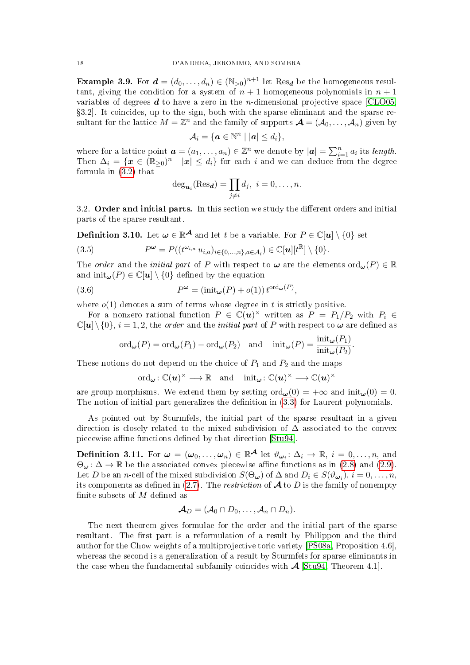<span id="page-17-2"></span>**Example 3.9.** For  $d = (d_0, \ldots, d_n) \in (\mathbb{N}_{>0})^{n+1}$  let Res<sub>d</sub> be the homogeneous resultant, giving the condition for a system of  $n + 1$  homogeneous polynomials in  $n + 1$ variables of degrees  $d$  to have a zero in the *n*-dimensional projective space [\[CLO05,](#page-49-3) 3.2]. It coincides, up to the sign, both with the sparse eliminant and the sparse resultant for the lattice  $M = \mathbb{Z}^n$  and the family of supports  $\mathcal{A} = (\mathcal{A}_0, \dots, \mathcal{A}_n)$  given by

$$
\mathcal{A}_i = \{ \boldsymbol{a} \in \mathbb{N}^n \mid |\boldsymbol{a}| \leq d_i \},\
$$

where for a lattice point  $\boldsymbol{a} = (a_1, \ldots, a_n) \in \mathbb{Z}^n$  we denote by  $|\boldsymbol{a}| = \sum_{i=1}^n a_i$  its length. Then  $\Delta_i = \{x \in (\mathbb{R}_{\geq 0})^n \mid |x| \leq d_i\}$  for each i and we can deduce from the degree formula in [\(3.2\)](#page-15-0) that

$$
\deg_{\mathbf{u}_i}(\text{Res}_{\mathbf{d}}) = \prod_{j \neq i} d_j, \ i = 0, \dots, n.
$$

3.2. Order and initial parts. In this section we study the different orders and initial parts of the sparse resultant.

<span id="page-17-3"></span>**Definition 3.10.** Let  $\boldsymbol{\omega} \in \mathbb{R}^{\mathcal{A}}$  and let  $t$  be a variable. For  $P \in \mathbb{C}[\boldsymbol{u}] \setminus \{0\}$  set

<span id="page-17-0"></span>(3.5) 
$$
P^{\boldsymbol{\omega}} = P((t^{\omega_{i,a}} u_{i,a})_{i \in \{0,\ldots,n\},a \in \mathcal{A}_i}) \in \mathbb{C}[\boldsymbol{u}][t^{\mathbb{R}}] \setminus \{0\}.
$$

The *order* and the *initial part* of P with respect to  $\omega$  are the elements ord<sub> $\omega$ </sub>(P)  $\in \mathbb{R}$ and  $\text{init}_{\omega}(P) \in \mathbb{C}[u] \setminus \{0\}$  defined by the equation

(3.6) 
$$
P^{\omega} = (\text{init}_{\omega}(P) + o(1)) t^{\text{ord}_{\omega}(P)},
$$

where  $o(1)$  denotes a sum of terms whose degree in t is strictly positive.

For a nonzero rational function  $P \in \mathbb{C}(u)^\times$  written as  $P = P_1/P_2$  with  $P_i \in$  $\mathbb{C}[u] \setminus \{0\}, i = 1, 2$ , the *order* and the *initial part* of P with respect to  $\omega$  are defined as

<span id="page-17-1"></span>
$$
\mathrm{ord}_{\boldsymbol{\omega}}(P) = \mathrm{ord}_{\boldsymbol{\omega}}(P_1) - \mathrm{ord}_{\boldsymbol{\omega}}(P_2) \quad \text{and} \quad \mathrm{init}_{\boldsymbol{\omega}}(P) = \frac{\mathrm{init}_{\boldsymbol{\omega}}(P_1)}{\mathrm{init}_{\boldsymbol{\omega}}(P_2)}.
$$

These notions do not depend on the choice of  $P_1$  and  $P_2$  and the maps

$$
\mathrm{ord}_{\boldsymbol{\omega}}\colon \mathbb{C}(\boldsymbol{u})^\times \longrightarrow \mathbb{R} \quad \text{and} \quad \mathrm{init}_{\boldsymbol{\omega}}\colon \mathbb{C}(\boldsymbol{u})^\times \longrightarrow \mathbb{C}(\boldsymbol{u})^\times
$$

are group morphisms. We extend them by setting  $\text{ord}_{\omega}(0) = +\infty$  and  $\text{init}_{\omega}(0) = 0$ . The notion of initial part generalizes the definition in  $(3.3)$  for Laurent polynomials.

As pointed out by Sturmfels, the initial part of the sparse resultant in a given direction is closely related to the mixed subdivision of  $\Delta$  associated to the convex piecewise affine functions defined by that direction [\[Stu94\]](#page-50-2).

<span id="page-17-4"></span>**Definition 3.11.** For  $\boldsymbol{\omega} = (\boldsymbol{\omega}_0, \dots, \boldsymbol{\omega}_n) \in \mathbb{R}^{\mathcal{A}}$  let  $\vartheta_{\boldsymbol{\omega}_i} \colon \Delta_i \to \mathbb{R}, i = 0, \dots, n$ , and  $\Theta_{\omega} : \Delta \to \mathbb{R}$  be the associated convex piecewise affine functions as in [\(2.8\)](#page-9-4) and [\(2.9\)](#page-9-5). Let D be an n-cell of the mixed subdivision  $S(\Theta_{\omega})$  of  $\Delta$  and  $D_i \in S(\vartheta_{\omega_i}), i = 0, \ldots, n$ , its components as defined in [\(2.7\)](#page-7-3). The *restriction* of  $\mathcal A$  to  $D$  is the family of nonempty finite subsets of  $M$  defined as

$$
\mathcal{A}_D=(\mathcal{A}_0\cap D_0,\ldots,\mathcal{A}_n\cap D_n).
$$

The next theorem gives formulae for the order and the initial part of the sparse resultant. The first part is a reformulation of a result by Philippon and the third author for the Chow weights of a multiprojective toric variety [\[PS08a,](#page-50-14) Proposition 4.6], whereas the second is a generalization of a result by Sturmfels for sparse eliminants in the case when the fundamental subfamily coincides with  $\mathcal{A}$  [\[Stu94,](#page-50-2) Theorem 4.1].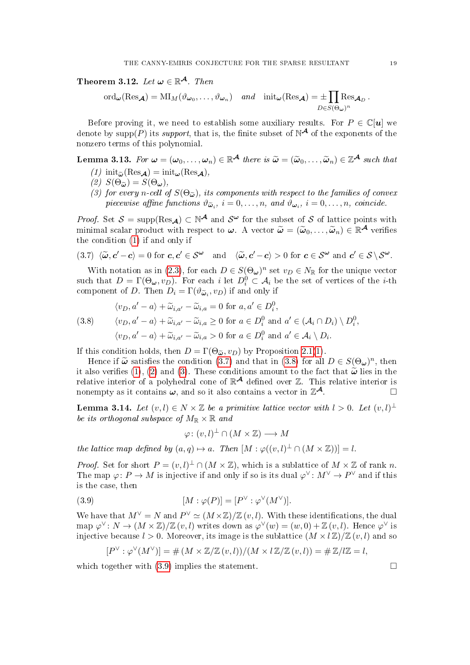<span id="page-18-0"></span>Theorem 3.12. Let  $\boldsymbol{\omega} \in \mathbb{R}^{\mathcal{A}}$ . Then

$$
\mathrm{ord}_{\boldsymbol{\omega}}(\mathrm{Res}_{\boldsymbol{\mathcal{A}}})=\mathrm{MI}_{M}(\vartheta_{\boldsymbol{\omega}_0},\ldots,\vartheta_{\boldsymbol{\omega}_n})\quad\text{and}\quad\mathrm{init}_{\boldsymbol{\omega}}(\mathrm{Res}_{\boldsymbol{\mathcal{A}}})=\pm\prod_{D\in S(\Theta_{\boldsymbol{\omega}})^n}\mathrm{Res}_{\boldsymbol{\mathcal{A}}_D}.
$$

Before proving it, we need to establish some auxiliary results. For  $P \in \mathbb{C}[u]$  we denote by  $\text{supp}(P)$  its *support*, that is, the finite subset of  $N^{\mathcal{A}}$  of the exponents of the nonzero terms of this polynomial.

# <span id="page-18-7"></span><span id="page-18-1"></span>**Lemma 3.13.** For  $\omega = (\omega_0, \dots, \omega_n) \in \mathbb{R}^{\mathcal{A}}$  there is  $\widetilde{\omega} = (\widetilde{\omega}_0, \dots, \widetilde{\omega}_n) \in \mathbb{Z}^{\mathcal{A}}$  such that

- (1)  $\text{init}_{\widetilde{\omega}}(\text{Res}_{\mathcal{A}}) = \text{init}_{\omega}(\text{Res}_{\mathcal{A}}),$
- <span id="page-18-4"></span>(2)  $S(\Theta_{\tilde{\boldsymbol{\omega}}}) = S(\Theta_{\boldsymbol{\omega}}),$
- <span id="page-18-5"></span>(3) for every n-cell of  $S(\Theta_{\widetilde{\omega}})$ , its components with respect to the families of convex piecewise affine functions  $\vartheta_{\widetilde{\boldsymbol{\omega}}_i}$ ,  $i = 0, \ldots, n$ , and  $\vartheta_{\boldsymbol{\omega}_i}$ ,  $i = 0, \ldots, n$ , coincide.

*Proof.* Set  $S = \text{supp}(Res_{\mathcal{A}}) \subset \mathbb{N}^{\mathcal{A}}$  and  $S^{\omega}$  for the subset of S of lattice points with minimal scalar product with respect to  $\boldsymbol{\omega}$ . A vector  $\widetilde{\boldsymbol{\omega}} = (\widetilde{\boldsymbol{\omega}}_0, \dots, \widetilde{\boldsymbol{\omega}}_n) \in \mathbb{R}^{\mathcal{A}}$  verifies the condition (1) if and only if the condition [\(1\)](#page-18-1) if and only if

<span id="page-18-2"></span>
$$
(3.7) \langle \widetilde{\boldsymbol{\omega}}, \boldsymbol{c}' - \boldsymbol{c} \rangle = 0 \text{ for } \boldsymbol{c}, \boldsymbol{c}' \in \mathcal{S}^{\boldsymbol{\omega}} \text{ and } \langle \widetilde{\boldsymbol{\omega}}, \boldsymbol{c}' - \boldsymbol{c} \rangle > 0 \text{ for } \boldsymbol{c} \in \mathcal{S}^{\boldsymbol{\omega}} \text{ and } \boldsymbol{c}' \in \mathcal{S} \setminus \mathcal{S}^{\boldsymbol{\omega}}.
$$

With notation as in [\(2.3\)](#page-6-4), for each  $D \in S(\Theta_{\omega})^n$  set  $v_D \in N_{\mathbb{R}}$  for the unique vector such that  $D = \Gamma(\Theta_{\omega}, v_D)$ . For each i let  $D_i^0 \subset \mathcal{A}_i$  be the set of vertices of the *i*-th component of D. Then  $D_i = \Gamma(\vartheta \tilde{\omega}_i, v_D)$  if and only if

<span id="page-18-3"></span>(3.8) 
$$
\langle v_D, a' - a \rangle + \widetilde{\omega}_{i,a'} - \widetilde{\omega}_{i,a} = 0 \text{ for } a, a' \in D_i^0,
$$
  
\n
$$
\langle v_D, a' - a \rangle + \widetilde{\omega}_{i,a'} - \widetilde{\omega}_{i,a} \ge 0 \text{ for } a \in D_i^0 \text{ and } a' \in (\mathcal{A}_i \cap D_i) \setminus D_i^0,
$$
  
\n
$$
\langle v_D, a' - a \rangle + \widetilde{\omega}_{i,a'} - \widetilde{\omega}_{i,a} > 0 \text{ for } a \in D_i^0 \text{ and } a' \in \mathcal{A}_i \setminus D_i.
$$

If this condition holds, then  $D = \Gamma(\Theta_{\tilde{\omega}}, v_D)$  by Proposition [2.1\(](#page-7-4)[1\)](#page-7-0).

Hence if  $\tilde{\omega}$  satisfies the condition [\(3.7\)](#page-18-2) and that in [\(3.8\)](#page-18-3) for all  $D \in S(\Theta_{\omega})^n$ , then<br>the verifies (1) (2) and (3). These conditions amount to the fact that  $\tilde{\omega}$  lies in the it also verifies [\(1\)](#page-18-1), [\(2\)](#page-18-4) and [\(3\)](#page-18-5). These conditions amount to the fact that  $\tilde{\boldsymbol{\omega}}$  lies in the relative interior of a polyhedral cone of  $\mathbb{R}^{\mathcal{A}}$  defined over  $\mathbb{Z}$ . This relative interior is nonempty as it contains  $\omega$ , and so it also contains a vector in  $\mathbb{Z}^{\mathcal{A}}$ .  $\mathcal A$ 

<span id="page-18-8"></span>**Lemma 3.14.** Let  $(v, l) \in N \times \mathbb{Z}$  be a primitive lattice vector with  $l > 0$ . Let  $(v, l)^{\perp}$ be its orthogonal subspace of  $M_{\mathbb{R}} \times \mathbb{R}$  and

<span id="page-18-6"></span>
$$
\varphi\colon (v,l)^{\perp}\cap (M\times\mathbb{Z})\longrightarrow M
$$

the lattice map defined by  $(a,q) \mapsto a$ . Then  $[M : \varphi((v,l)^{\perp} \cap (M \times \mathbb{Z}))] = l$ .

*Proof.* Set for short  $P = (v, l)^{\perp} \cap (M \times \mathbb{Z})$ , which is a sublattice of  $M \times \mathbb{Z}$  of rank n. The map  $\varphi: P \to M$  is injective if and only if so is its dual  $\varphi^{\vee}: M^{\vee} \to P^{\vee}$  and if this is the case, then

(3.9) 
$$
[M:\varphi(P)] = [P^{\vee}:\varphi^{\vee}(M^{\vee})].
$$

We have that  $M^{\vee} = N$  and  $P^{\vee} \simeq (M \times \mathbb{Z}) / \mathbb{Z} (v, l)$ . With these identifications, the dual map  $\varphi^{\vee} \colon N \to (M \times \mathbb{Z})/\mathbb{Z}$   $(v, l)$  writes down as  $\varphi^{\vee}(w) = (w, 0) + \mathbb{Z} (v, l)$ . Hence  $\varphi^{\vee}$  is injective because  $l > 0$ . Moreover, its image is the sublattice  $(M \times l\mathbb{Z})/\mathbb{Z}(v, l)$  and so

$$
[P^{\vee} : \varphi^{\vee}(M^{\vee})] = \# (M \times \mathbb{Z}/\mathbb{Z}(v,l))/(M \times l\mathbb{Z}/\mathbb{Z}(v,l)) = \# \mathbb{Z}/l\mathbb{Z} = l,
$$

which together with  $(3.9)$  implies the statement.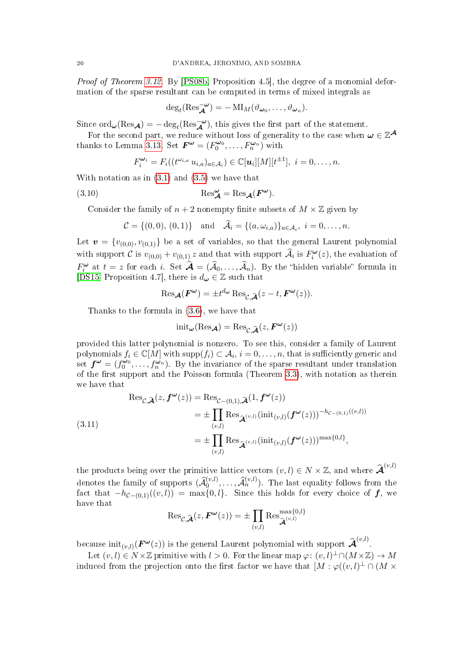Proof of Theorem [3.12.](#page-18-0) By [\[PS08b,](#page-50-20) Proposition 4.5], the degree of a monomial deformation of the sparse resultant can be computed in terms of mixed integrals as

$$
\deg_t(\operatorname{Res}_{\mathcal{A}}^{-\omega})=-\operatorname{MI}_M(\vartheta_{\omega_0},\ldots,\vartheta_{\omega_n}).
$$

Since  $\text{ord}_{\boldsymbol{\omega}}(\text{Res}_{\boldsymbol{\mathcal{A}}}) = -\deg_t(\text{Res}_{\boldsymbol{\mathcal{A}}}^{-\boldsymbol{\omega}})$ , this gives the first part of the statement.

For the second part, we reduce without loss of generality to the case when  $\omega \in \mathbb{Z}^{\mathcal{A}}$ thanks to Lemma [3.13.](#page-18-7) Set  $\mathbf{F}^{\omega} = (F_0^{\omega_0}, \dots, F_n^{\omega_n})$  with

<span id="page-19-1"></span>
$$
F_i^{\boldsymbol{\omega}_i}=F_i((t^{\omega_{i,a}}\,u_{i,a})_{a\in\mathcal{A}_i})\in\mathbb{C}[\boldsymbol{u}_i][M][t^{\pm 1}],\,\,i=0,\ldots,n.
$$

With notation as in  $(3.1)$  and  $(3.5)$  we have that

(3.10) 
$$
\operatorname{Res}_{\mathcal{A}}^{\omega} = \operatorname{Res}_{\mathcal{A}}(F^{\omega}).
$$

Consider the family of  $n + 2$  nonempty finite subsets of  $M \times \mathbb{Z}$  given by

$$
C = \{(0,0), (0,1)\}\
$$
 and  $\hat{\mathcal{A}}_i = \{(a,\omega_{i,a})\}_{a \in \mathcal{A}_i}, i = 0,\ldots,n.$ 

Let  $\mathbf{v} = \{v_{(0,0)}, v_{(0,1)}\}$  be a set of variables, so that the general Laurent polynomial with support C is  $v_{(0,0)} + v_{(0,1)} z$  and that with support  $\widehat{\mathcal{A}}_i$  is  $F_i^{\omega}(z)$ , the evaluation of  $F_i^{\omega}$  at  $t = z$  for each i. Set  $\hat{\mathcal{A}} = (\hat{\mathcal{A}}_0, \dots, \hat{\mathcal{A}}_n)$ . By the "hidden variable" formula in [\[DS15,](#page-50-4) Proposition 4.7], there is  $d_{\boldsymbol{\omega}} \in \mathbb{Z}$  such that

$$
\operatorname{Res}_{\mathcal{A}}(F^{\omega}) = \pm t^{d_{\omega}} \operatorname{Res}_{\mathcal{C}, \widetilde{\mathcal{A}}}(z - t, F^{\omega}(z)).
$$

Thanks to the formula in [\(3.6\)](#page-17-1), we have that

$$
\text{init}_{\boldsymbol{\omega}}(\text{Res}_{\boldsymbol{\mathcal{A}}}) = \text{Res}_{\mathcal{C}, \widehat{\boldsymbol{\mathcal{A}}}}(z, \boldsymbol{F}^{\boldsymbol{\omega}}(z))
$$

provided this latter polynomial is nonzero. To see this, consider a family of Laurent polynomials  $f_i\in \mathbb{C}[M]$  with  $\mathrm{supp}(f_i)\subset \mathcal{A}_i,$   $i=0,\ldots,n,$  that is sufficiently generic and set  $f^{\omega} = (f_0^{\omega_0}, \ldots, f_n^{\omega_n})$ . By the invariance of the sparse resultant under translation of the first support and the Poisson formula (Theorem  $3.3$ ), with notation as therein we have that

<span id="page-19-0"></span>(3.11)  
\n
$$
\operatorname{Res}_{\mathcal{C},\widehat{\mathcal{A}}}(z,\boldsymbol{f}^{\boldsymbol{\omega}}(z)) = \operatorname{Res}_{\mathcal{C}-(0,1),\widehat{\mathcal{A}}}(1,\boldsymbol{f}^{\boldsymbol{\omega}}(z))
$$
\n
$$
= \pm \prod_{(v,l)} \operatorname{Res}_{\widehat{\mathcal{A}}^{(v,l)}}(\operatorname{init}_{(v,l)}(\boldsymbol{f}^{\boldsymbol{\omega}}(z)))^{-h_{\mathcal{C}-(0,1)}((v,l))}
$$
\n
$$
= \pm \prod_{(v,l)} \operatorname{Res}_{\widehat{\mathcal{A}}^{(v,l)}}(\operatorname{init}_{(v,l)}(\boldsymbol{f}^{\boldsymbol{\omega}}(z)))^{\max\{0,l\}},
$$

the products being over the primitive lattice vectors  $(v, l) \in N \times \mathbb{Z}$ , and where  $\mathbf{\hat{A}}^{(v,l)}$ denotes the family of supports  $(\widehat{\mathcal{A}}_0^{(v,l)}, \ldots, \widehat{\mathcal{A}}_n^{(v,l)})$ . The last equality follows from the fact that  $-h_{\mathcal{C}-(0,1)}((v,l)) = \max\{0,l\}.$  Since this holds for every choice of  $\boldsymbol{f}$ , we have that

$$
\operatorname{Res}_{\mathcal{C},\widehat{\mathcal{A}}}(z,\boldsymbol{F}^{\boldsymbol{\omega}}(z))=\pm\prod_{(v,l)}\operatorname{Res}_{\widehat{\mathcal{A}}^{(v,l)}}^{\max\{0,l\}}
$$

because  $\text{init}_{(v,l)}(\boldsymbol{F}^{\boldsymbol{\omega}}(z))$  is the general Laurent polynomial with support  $\boldsymbol{\hat{\mathcal{A}}}^{(v,l)}$ .

Let  $(v, l) \in N \times \mathbb{Z}$  primitive with  $l > 0$ . For the linear map  $\varphi: (v, l)^{\perp} \cap (M \times \mathbb{Z}) \to M$ induced from the projection onto the first factor we have that  $[M : \varphi((v,l)^{\perp} \cap (M \times$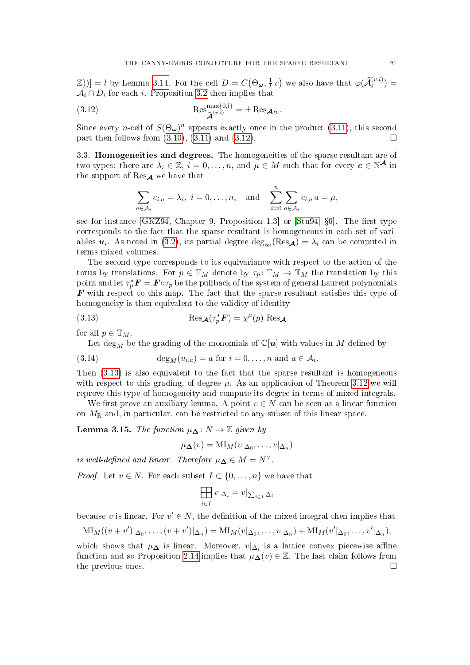$[\mathbb{Z}$ )] = l by Lemma [3.14.](#page-18-8) For the cell  $D = C(\Theta_{\boldsymbol{\omega}}, \frac{1}{l})$  $\frac{1}{l}v$  we also have that  $\varphi(\widehat{\mathcal{A}}_{i}^{(v,l)})=$  $\mathcal{A}_i \cap D_i$  for each i. Proposition [3.2](#page-14-1) then implies that

(3.12) 
$$
\operatorname{Res}_{\widehat{\mathcal{A}}^{(v,l)}}^{\operatorname{max}\{0,l\}} = \pm \operatorname{Res}_{\mathcal{A}_D}.
$$

Since every *n*-cell of  $S(\Theta_{\omega})^n$  appears exactly once in the product [\(3.11\)](#page-19-0), this second part then follows from  $(3.10)$ ,  $(3.11)$  and  $(3.12)$ .

3.3. Homogeneities and degrees. The homogeneities of the sparse resultant are of two types: there are  $\lambda_i \in \mathbb{Z}$ ,  $i = 0, \ldots, n$ , and  $\mu \in M$  such that for every  $c \in \mathbb{N}^{\mathcal{A}}$  in the support of  $\text{Res}_{\mathcal{A}}$  we have that

<span id="page-20-0"></span>
$$
\sum_{a \in \mathcal{A}_i} c_{i,a} = \lambda_i, \ i = 0, \dots, n, \text{ and } \sum_{i=0}^n \sum_{a \in \mathcal{A}_i} c_{i,a} a = \mu,
$$

see for instance  $[GKZ94, Chapter 9, Proposition 1.3]$  $[GKZ94, Chapter 9, Proposition 1.3]$  or  $[Stu94, §6]$  $[Stu94, §6]$ . The first type corresponds to the fact that the sparse resultant is homogeneous in each set of variables  $u_i$ . As noted in [\(3.2\)](#page-15-0), its partial degree  $\deg_{u_i}(\text{Res}_{\mathcal{A}}) = \lambda_i$  can be computed in terms mixed volumes.

The second type corresponds to its equivariance with respect to the action of the torus by translations. For  $p \in \mathbb{T}_M$  denote by  $\tau_p: \mathbb{T}_M \to \mathbb{T}_M$  the translation by this point and let  $\tau_p^* \bm{F} = \bm{F} \circ \tau_p$  be the pullback of the system of general Laurent polynomials  $\boldsymbol{F}$  with respect to this map. The fact that the sparse resultant satisfies this type of homogeneity is then equivalent to the validity of identity

(3.13) 
$$
\operatorname{Res}_{\mathcal{A}}(\tau_p^* \mathcal{F}) = \chi^{\mu}(p) \operatorname{Res}_{\mathcal{A}}
$$

for all  $p \in \mathbb{T}_M$ .

<span id="page-20-2"></span><span id="page-20-1"></span>Let  $\deg_M$  be the grading of the monomials of  $\mathbb{C}[u]$  with values in M defined by

(3.14) 
$$
\deg_M(u_{i,a}) = a \text{ for } i = 0, \dots, n \text{ and } a \in \mathcal{A}_i.
$$

Then [\(3.13\)](#page-20-1) is also equivalent to the fact that the sparse resultant is homogeneous with respect to this grading, of degree  $\mu$ . As an application of Theorem [3.12](#page-18-0) we will reprove this type of homogeneity and compute its degree in terms of mixed integrals.

We first prove an auxiliary lemma. A point  $v \in N$  can be seen as a linear function on  $M_{\mathbb{R}}$  and, in particular, can be restricted to any subset of this linear space.

Lemma 3.15. The function  $\mu_{\mathbf{\Delta}} : N \to \mathbb{Z}$  given by

$$
\mu_{\mathbf{\Delta}}(v) = \mathrm{MI}_M(v|_{\Delta_0}, \dots, v|_{\Delta_n})
$$

is well-defined and linear. Therefore  $\mu_{\mathbf{\Delta}} \in M = N^{\vee}$ .

*Proof.* Let  $v \in N$ . For each subset  $I \subset \{0, \ldots, n\}$  we have that

$$
\prod_{i\in I} v|_{\Delta_i}=v|_{\sum_{i\in I}\Delta_i}
$$

because v is linear. For  $v' \in N$ , the definition of the mixed integral then implies that

$$
\mathrm{MI}_{M}((v+v')|_{\Delta_{0}},\ldots,(v+v')|_{\Delta_{n}})=\mathrm{MI}_{M}(v|_{\Delta_{0}},\ldots,v|_{\Delta_{n}})+\mathrm{MI}_{M}(v'|_{\Delta_{0}},\ldots,v'|_{\Delta_{n}}),
$$

which shows that  $\mu_{\mathbf{\Delta}}$  is linear. Moreover,  $v|_{\Delta_i}$  is a lattice convex piecewise affine function and so Proposition [2.14](#page-13-2) implies that  $\mu_{\mathbf{\Delta}}(v) \in \mathbb{Z}$ . The last claim follows from the previous ones.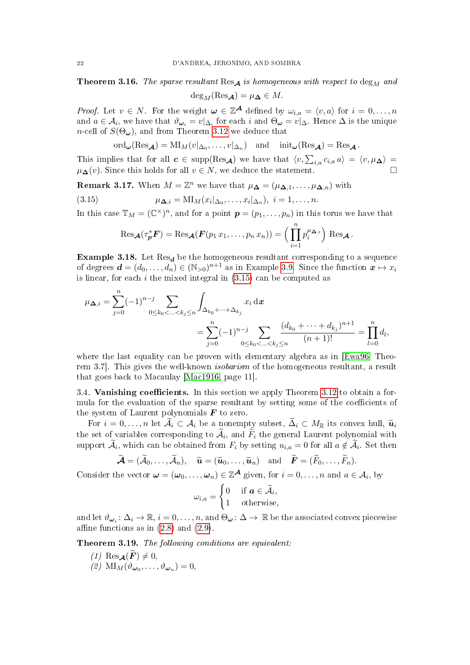<span id="page-21-1"></span>**Theorem 3.16.** The sparse resultant Res<sub>A</sub> is homogeneous with respect to  $\deg_M$  and

 $deg_M(Res_{\mathcal{A}}) = \mu_{\mathbf{\Delta}} \in M$ .

*Proof.* Let  $v \in N$ . For the weight  $\omega \in \mathbb{Z}^{\mathcal{A}}$  defined by  $\omega_{i,a} = \langle v, a \rangle$  for  $i = 0, \ldots, n$ and  $a \in \mathcal{A}_i$ , we have that  $\vartheta_{\bm{\omega}_i} = v|_{\Delta_i}$  for each  $i$  and  $\Theta_{\bm{\omega}} = v|_{\Delta_i}$ . Hence  $\Delta$  is the unique *n*-cell of  $S(\Theta_{\omega})$ , and from Theorem [3.12](#page-18-0) we deduce that

$$
\mathrm{ord}_{\boldsymbol{\omega}}(\mathrm{Res}_{\boldsymbol{\mathcal{A}}})=\mathrm{MI}_M(v|_{\Delta_0},\ldots,v|_{\Delta_n})\quad\text{and}\quad\mathrm{init}_{\boldsymbol{\omega}}(\mathrm{Res}_{\boldsymbol{\mathcal{A}}})=\mathrm{Res}_{\boldsymbol{\mathcal{A}}}.
$$

This implies that for all  $c \in \text{supp}(\text{Res}_{\mathcal{A}})$  we have that  $\langle v, \sum_{i,a} c_{i,a} a \rangle = \langle v, \mu_{\mathbf{\Delta}} \rangle =$  $\mu_{\mathbf{\Delta}}(v)$ . Since this holds for all  $v \in N$ , we deduce the statement.

**Remark 3.17.** When  $M = \mathbb{Z}^n$  we have that  $\mu_{\mathbf{\Delta}} = (\mu_{\mathbf{\Delta},1}, \dots, \mu_{\mathbf{\Delta},n})$  with

(3.15) 
$$
\mu_{\mathbf{\Delta},i} = \mathrm{MI}_M(x_i|_{\Delta_0},\ldots,x_i|_{\Delta_n}), \ i = 1,\ldots,n.
$$

In this case  $\mathbb{T}_M = (\mathbb{C}^{\times})^n$ , and for a point  $\mathbf{p} = (p_1, \ldots, p_n)$  in this torus we have that

<span id="page-21-2"></span>
$$
\operatorname{Res}_{\mathbf{\mathcal{A}}}(\tau_{\mathbf{p}}^* \mathbf{F}) = \operatorname{Res}_{\mathbf{\mathcal{A}}}(\mathbf{F}(p_1 x_1, \ldots, p_n x_n)) = \Big(\prod_{i=1}^n p_i^{\mu_{\mathbf{\Delta},i}}\Big) \operatorname{Res}_{\mathbf{\mathcal{A}}}.
$$

Example 3.18. Let  $\text{Res}_{d}$  be the homogeneous resultant corresponding to a sequence of degrees  $\boldsymbol{d} = (d_0, \ldots, d_n) \in (\mathbb{N}_{>0})^{n+1}$  as in Example [3.9.](#page-17-2) Since the function  $\boldsymbol{x} \mapsto x_i$ is linear, for each  $i$  the mixed integral in  $(3.15)$  can be computed as

$$
\mu_{\mathbf{\Delta},i} = \sum_{j=0}^{n} (-1)^{n-j} \sum_{0 \le k_0 < \ldots < k_j \le n} \int_{\Delta_{k_0} + \cdots + \Delta_{k_j}} x_i \, dx
$$
  
= 
$$
\sum_{j=0}^{n} (-1)^{n-j} \sum_{0 \le k_0 < \ldots < k_j \le n} \frac{(d_{k_0} + \cdots + d_{k_j})^{n+1}}{(n+1)!} = \prod_{l=0}^{n} d_l,
$$

where the last equality can be proven with elementary algebra as in [\[Ewa96,](#page-50-18) Theorem 3.7. This gives the well-known *isobarism* of the homogeneous resultant, a result that goes back to Macaulay [\[Mac1916,](#page-50-21) page 11].

3.4. Vanishing coefficients. In this section we apply Theorem [3.12](#page-18-0) to obtain a formula for the evaluation of the sparse resultant by setting some of the coefficients of the system of Laurent polynomials  $\boldsymbol{F}$  to zero.

For  $i = 0, \ldots, n$  let  $\widetilde{\mathcal{A}}_i \subset \mathcal{A}_i$  be a nonempty subset,  $\widetilde{\Delta}_i \subset M_{\mathbb{R}}$  its convex hull,  $\widetilde{\mathbf{u}}_i$ the set of variables corresponding to  $A_i$ , and  $F_i$  the general Laurent polynomial with support  $A_i$ , which can be obtained from  $F_i$  by setting  $u_{i,a} = 0$  for all  $a \notin A_i$ . Set then

$$
\widetilde{\mathcal{A}} = (\widetilde{\mathcal{A}}_0, \ldots, \widetilde{\mathcal{A}}_n), \quad \widetilde{\mathcal{u}} = (\widetilde{\mathcal{u}}_0, \ldots, \widetilde{\mathcal{u}}_n) \quad \text{and} \quad \widetilde{\mathcal{F}} = (\widetilde{F}_0, \ldots, \widetilde{F}_n).
$$

Consider the vector  $\boldsymbol{\omega} = (\omega_0, \dots, \omega_n) \in \mathbb{Z}^{\mathcal{A}}$  given, for  $i = 0, \dots, n$  and  $a \in \mathcal{A}_i$ , by

$$
\omega_{i,a} = \begin{cases} 0 & \text{if } a \in \widetilde{\mathcal{A}}_i, \\ 1 & \text{otherwise,} \end{cases}
$$

and let  $\vartheta_{\bm{\omega}_i} \colon \Delta_i \to \mathbb{R}, i = 0, \ldots, n$ , and  $\Theta_{\bm{\omega}} \colon \Delta \to \mathbb{R}$  be the associated convex piecewise affine functions as in  $(2.8)$  and  $(2.9)$ .

<span id="page-21-3"></span><span id="page-21-0"></span>Theorem 3.19. The following conditions are equivalent:

- (1) Res $\mathcal{A}(\widetilde{F}) \neq 0$ ,
- <span id="page-21-4"></span>(2)  $\text{MI}_M(\vartheta_{\boldsymbol{\omega}_0}, \ldots, \vartheta_{\boldsymbol{\omega}_n}) = 0,$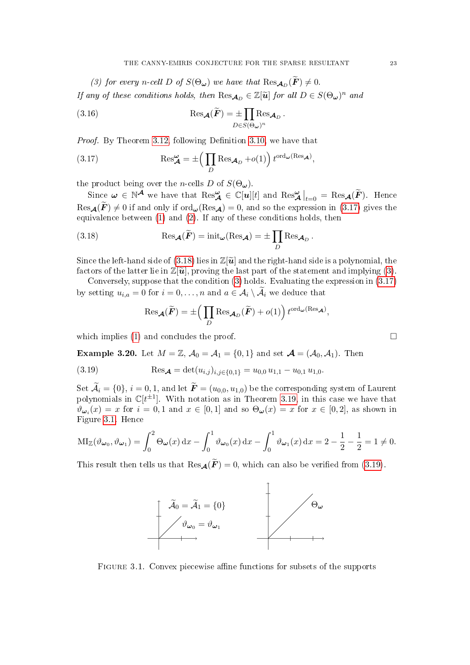<span id="page-22-2"></span>(3) for every n-cell D of  $S(\Theta_{\omega})$  we have that  $\text{Res}_{\mathcal{A}_D}(\mathbf{F}) \neq 0$ . If any of these conditions holds, then  $\text{Res}_{\mathcal{A}_D} \in \mathbb{Z}[\tilde{\mathbf{u}}]$  for all  $D \in S(\Theta_\omega)^n$  and

<span id="page-22-4"></span>(3.16) 
$$
\operatorname{Res}_{\mathcal{A}}(\widetilde{F}) = \pm \prod_{D \in S(\Theta_{\omega})^n} \operatorname{Res}_{\mathcal{A}_D}.
$$

Proof. By Theorem [3.12,](#page-18-0) following Definition [3.10,](#page-17-3) we have that

<span id="page-22-0"></span>(3.17) 
$$
\operatorname{Res}_{\mathcal{A}}^{\omega} = \pm \left( \prod_{D} \operatorname{Res}_{\mathcal{A}_{D}} + o(1) \right) t^{\operatorname{ord}_{\omega}(\operatorname{Res}_{\mathcal{A}})},
$$

the product being over the *n*-cells D of  $S(\Theta_{\omega})$ .

Since  $\omega \in \mathbb{N}^{\mathcal{A}}$  we have that  $\text{Res}_{\mathcal{A}}^{\omega} \in \mathbb{C}[u][t]$  and  $\text{Res}_{\mathcal{A}}^{\omega}|_{t=0} = \text{Res}_{\mathcal{A}}(\widetilde{F})$ . Hence  $\text{Res}_{\mathcal{A}}(F) \neq 0$  if and only if  $\text{ord}_{\omega}(\text{Res}_{\mathcal{A}}) = 0$ , and so the expression in [\(3.17\)](#page-22-0) gives the equivalence between [\(1\)](#page-21-3) and [\(2\)](#page-21-4). If any of these conditions holds, then

(3.18) 
$$
\operatorname{Res}_{\mathcal{A}}(\widetilde{F}) = \operatorname{init}_{\omega}(\operatorname{Res}_{\mathcal{A}}) = \pm \prod_{D} \operatorname{Res}_{\mathcal{A}_{D}}.
$$

Since the left-hand side of  $(3.18)$  lies in  $\mathbb{Z}[\tilde{\mathbf{u}}]$  and the right-hand side is a polynomial, the factors of the latter lie in  $\mathbb{Z}[\tilde{\mathbf{u}}]$ , proving the last part of the statement and implying [\(3\)](#page-22-2).

Conversely, suppose that the condition [\(3\)](#page-22-2) holds. Evaluating the expression in [\(3.17\)](#page-22-0) by setting  $u_{i,a} = 0$  for  $i = 0, \ldots, n$  and  $a \in \mathcal{A}_i \setminus \mathcal{A}_i$  we deduce that

<span id="page-22-3"></span><span id="page-22-1"></span>
$$
\operatorname{Res}_{\mathcal{A}}(\widetilde{F}) = \pm \Big( \prod_{D} \operatorname{Res}_{\mathcal{A}_{D}}(\widetilde{F}) + o(1) \Big) t^{\operatorname{ord}_{\boldsymbol{\omega}}(\operatorname{Res}_{\mathcal{A}})},
$$

which implies [\(1\)](#page-21-3) and concludes the proof.  $\Box$ 

**Example 3.20.** Let  $M = \mathbb{Z}$ ,  $\mathcal{A}_0 = \mathcal{A}_1 = \{0, 1\}$  and set  $\mathcal{A} = (\mathcal{A}_0, \mathcal{A}_1)$ . Then

(3.19) 
$$
\text{Res}_{\mathcal{A}} = \det(u_{i,j})_{i,j \in \{0,1\}} = u_{0,0} u_{1,1} - u_{0,1} u_{1,0}.
$$

Set  $\widetilde{\mathcal{A}}_i = \{0\}, i = 0, 1$ , and let  $\widetilde{\bm{F}} = (u_{0,0}, u_{1,0})$  be the corresponding system of Laurent polynomials in  $\mathbb{C}[t^{\pm 1}]$ . With notation as in Theorem [3.19,](#page-21-0) in this case we have that  $\vartheta_{\omega_i}(x) = x$  for  $i = 0, 1$  and  $x \in [0, 1]$  and so  $\Theta_{\omega}(x) = x$  for  $x \in [0, 2]$ , as shown in Figure [3.1.](#page-9-0) Hence

$$
\mathrm{MI}_{\mathbb{Z}}(\vartheta_{\omega_0}, \vartheta_{\omega_1}) = \int_0^2 \Theta_{\omega}(x) dx - \int_0^1 \vartheta_{\omega_0}(x) dx - \int_0^1 \vartheta_{\omega_1}(x) dx = 2 - \frac{1}{2} - \frac{1}{2} = 1 \neq 0.
$$

This result then tells us that  $\text{Res}_{\mathcal{A}}(\widetilde{F})=0$ , which can also be verified from [\(3.19\)](#page-22-3).



FIGURE 3.1. Convex piecewise affine functions for subsets of the supports

$$
\boxed{\phantom{0}}
$$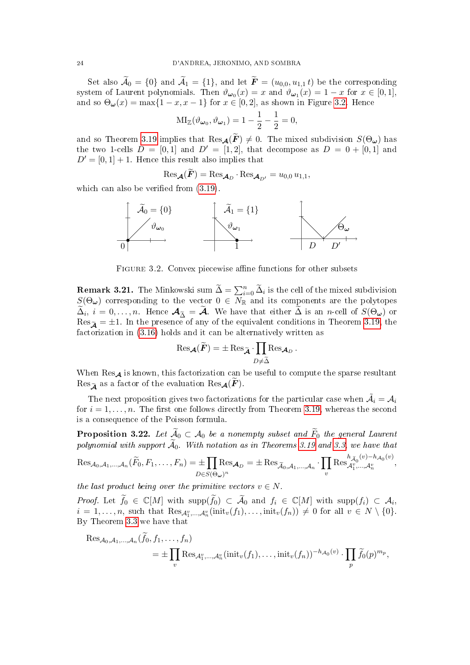Set also  $\widetilde{\mathcal{A}}_0 = \{0\}$  and  $\widetilde{\mathcal{A}}_1 = \{1\}$ , and let  $\widetilde{\mathbf{F}} = (u_{0,0}, u_{1,1} t)$  be the corresponding system of Laurent polynomials. Then  $\vartheta_{\omega_0}(x) = x$  and  $\vartheta_{\omega_1}(x) = 1 - x$  for  $x \in [0, 1]$ , and so  $\Theta_{\omega}(x) = \max\{1-x, x-1\}$  for  $x \in [0,2]$ , as shown in Figure [3.2.](#page-23-2) Hence

$$
MI_{\mathbb{Z}}(\vartheta_{\boldsymbol{\omega}_0},\vartheta_{\boldsymbol{\omega}_1})=1-\frac{1}{2}-\frac{1}{2}=0,
$$

and so Theorem [3.19](#page-21-0) implies that  $\text{Res}_{\mathcal{A}}(\widetilde{F}) \neq 0$ . The mixed subdivision  $S(\Theta_{\omega})$  has the two 1-cells  $D = [0, 1]$  and  $D' = [1, 2]$ , that decompose as  $D = 0 + [0, 1]$  and  $D' = [0, 1] + 1$ . Hence this result also implies that

$$
\mathrm{Res}_{\mathcal{A}}(\mathbf{F}) = \mathrm{Res}_{\mathcal{A}_D} \cdot \mathrm{Res}_{\mathcal{A}_{D'}} = u_{0,0} u_{1,1},
$$

which can also be verified from  $(3.19)$ .



<span id="page-23-2"></span>FIGURE 3.2. Convex piecewise affine functions for other subsets

<span id="page-23-1"></span>**Remark 3.21.** The Minkowski sum  $\widetilde{\Delta} = \sum_{i=0}^{n} \widetilde{\Delta}_i$  is the cell of the mixed subdivision  $S(\Theta_{\boldsymbol{\omega}})$  corresponding to the vector  $0 \in N_{\mathbb{R}}$  and its components are the polytopes  $\Delta_i$ ,  $i = 0, \ldots, n$ . Hence  $\mathcal{A}_{\tilde{\Delta}} = \mathcal{A}$ . We have that either  $\Delta$  is an *n*-cell of  $S(\Theta_{\omega})$  or  $\text{Res}_{\widetilde{\mathbf{A}}} = \pm 1$ . In the presence of any of the equivalent conditions in Theorem [3.19,](#page-21-0) the factorization in [\(3.16\)](#page-22-4) holds and it can be alternatively written as

$$
\mathrm{Res}_{\mathcal{A}}(\widetilde{F})=\pm \mathrm{Res}_{\widetilde{\mathcal{A}}} \cdot \prod_{D \neq \widetilde{\Delta}} \mathrm{Res}_{\mathcal{A}_D}.
$$

When  $\text{Res}_{\mathcal{A}}$  is known, this factorization can be useful to compute the sparse resultant Res<sub> $\widetilde{\mathbf{A}}$ </sub> as a factor of the evaluation Res $\mathbf{A}(\widetilde{\mathbf{F}})$ .

The next proposition gives two factorizations for the particular case when  $\tilde{\mathcal{A}}_i = \mathcal{A}_i$ for  $i = 1, \ldots, n$ . The first one follows directly from Theorem [3.19,](#page-21-0) whereas the second is a consequence of the Poisson formula.

<span id="page-23-0"></span>**Proposition 3.22.** Let  $\widetilde{A}_0 \subset A_0$  be a nonempty subset and  $\widetilde{F}_0$  the general Laurent polynomial with support  $\widetilde{\mathcal{A}}_0$ . With notation as in Theorems [3.19](#page-21-0) and [3.3,](#page-15-2) we have that

$$
\operatorname{Res}_{\mathcal{A}_0,\mathcal{A}_1,\ldots,\mathcal{A}_n}(\widetilde{F}_0,F_1,\ldots,F_n)=\pm\prod_{D\in S(\Theta_{\boldsymbol{\omega}})^n}\operatorname{Res}_{\mathcal{A}_D}=\pm\operatorname{Res}_{\widetilde{\mathcal{A}}_0,\mathcal{A}_1,\ldots,\mathcal{A}_n}\cdot\prod_v\operatorname{Res}_{\mathcal{A}_1^v,\ldots,\mathcal{A}_n^v}^{h_{\widetilde{\mathcal{A}}_0}(v)-h_{\mathcal{A}_0}(v)},
$$

the last product being over the primitive vectors  $v \in N$ .

Proof. Let  $\widetilde{f}_0 \in \mathbb{C}[M]$  with  $\text{supp}(\widetilde{f}_0) \subset \widetilde{A}_0$  and  $f_i \in \mathbb{C}[M]$  with  $\text{supp}(f_i) \subset A_i$ ,  $i = 1, \ldots, n$ , such that  $\text{Res}_{\mathcal{A}_1^v, \ldots, \mathcal{A}_n^v}(\text{init}_v(f_1), \ldots, \text{init}_v(f_n)) \neq 0$  for all  $v \in N \setminus \{0\}$ . By Theorem [3.3](#page-15-2) we have that

$$
\operatorname{Res}_{\mathcal{A}_0,\mathcal{A}_1,\ldots,\mathcal{A}_n}(f_0,f_1,\ldots,f_n) = \pm \prod_v \operatorname{Res}_{\mathcal{A}_1^v,\ldots,\mathcal{A}_n^v}(\operatorname{init}_v(f_1),\ldots,\operatorname{init}_v(f_n))^{-h_{\mathcal{A}_0}(v)} \cdot \prod_p \widetilde{f}_0(p)^{m_p},
$$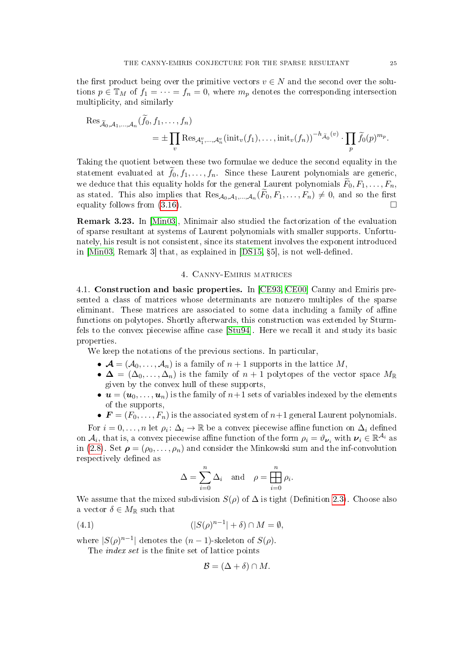the first product being over the primitive vectors  $v \in N$  and the second over the solutions  $p \in \mathbb{T}_M$  of  $f_1 = \cdots = f_n = 0$ , where  $m_p$  denotes the corresponding intersection multiplicity, and similarly

$$
\operatorname{Res}_{\widetilde{\mathcal{A}}_0, \mathcal{A}_1, \dots, \mathcal{A}_n} (f_0, f_1, \dots, f_n)
$$
  
= 
$$
\pm \prod_v \operatorname{Res}_{\mathcal{A}_1^v, \dots, \mathcal{A}_n^v} (\text{init}_v(f_1), \dots, \text{init}_v(f_n))^{-h} \widetilde{\mathcal{A}}_0^{(v)} \cdot \prod_p \widetilde{f}_0(p)^{m_p}.
$$

Taking the quotient between these two formulae we deduce the second equality in the statement evaluated at  $\tilde{f}_0, f_1, \ldots, f_n$ . Since these Laurent polynomials are generic, we deduce that this equality holds for the general Laurent polynomials  $F_0, F_1, \ldots, F_n$ , as stated. This also implies that  $\text{Res}_{\mathcal{A}_0,\mathcal{A}_1,\dots,\mathcal{A}_n}(F_0, F_1,\dots, F_n) \neq 0$ , and so the first equality follows from  $(3.16)$ .

<span id="page-24-1"></span>Remark 3.23. In [\[Min03\]](#page-50-15), Minimair also studied the factorization of the evaluation of sparse resultant at systems of Laurent polynomials with smaller supports. Unfortunately, his result is not consistent, since its statement involves the exponent introduced in  $[Min03, Remark 3]$  $[Min03, Remark 3]$  that, as explained in  $[DS15, §5]$  $[DS15, §5]$ , is not well-defined.

## 4. Canny-Emiris matrices

<span id="page-24-2"></span><span id="page-24-0"></span>4.1. Construction and basic properties. In [\[CE93,](#page-49-5) [CE00\]](#page-49-1) Canny and Emiris presented a class of matrices whose determinants are nonzero multiples of the sparse eliminant. These matrices are associated to some data including a family of affine functions on polytopes. Shortly afterwards, this construction was extended by Sturmfels to the convex piecewise affine case  $[Stu94]$ . Here we recall it and study its basic properties.

We keep the notations of the previous sections. In particular,

- $\mathcal{A} = (\mathcal{A}_0, \ldots, \mathcal{A}_n)$  is a family of  $n+1$  supports in the lattice M,
- $\Delta = (\Delta_0, \ldots, \Delta_n)$  is the family of  $n+1$  polytopes of the vector space  $M_{\mathbb{R}}$ given by the convex hull of these supports,
- $u = (u_0, \ldots, u_n)$  is the family of  $n+1$  sets of variables indexed by the elements of the supports,
- $\mathbf{F} = (F_0, \ldots, F_n)$  is the associated system of  $n+1$  general Laurent polynomials.

For  $i = 0, \ldots, n$  let  $\rho_i \colon \Delta_i \to \mathbb{R}$  be a convex piecewise affine function on  $\Delta_i$  defined on  $A_i$ , that is, a convex piecewise affine function of the form  $\rho_i = \vartheta_{\nu_i}$  with  $\nu_i \in \mathbb{R}^{\mathcal{A}_i}$  as in [\(2.8\)](#page-9-4). Set  $\rho = (\rho_0, \ldots, \rho_n)$  and consider the Minkowski sum and the inf-convolution respectively defined as

$$
\Delta = \sum_{i=0}^{n} \Delta_i \quad \text{and} \quad \rho = \prod_{i=0}^{n} \rho_i.
$$

We assume that the mixed subdivision  $S(\rho)$  of  $\Delta$  is tight (Definition [2.3\)](#page-8-0). Choose also a vector  $\delta \in M_{\mathbb{R}}$  such that

(4.1) 
$$
(|S(\rho)^{n-1}| + \delta) \cap M = \emptyset,
$$

where  $|S(\rho)^{n-1}|$  denotes the  $(n-1)$ -skeleton of  $S(\rho)$ .

The *index set* is the finite set of lattice points

<span id="page-24-3"></span>
$$
\mathcal{B} = (\Delta + \delta) \cap M.
$$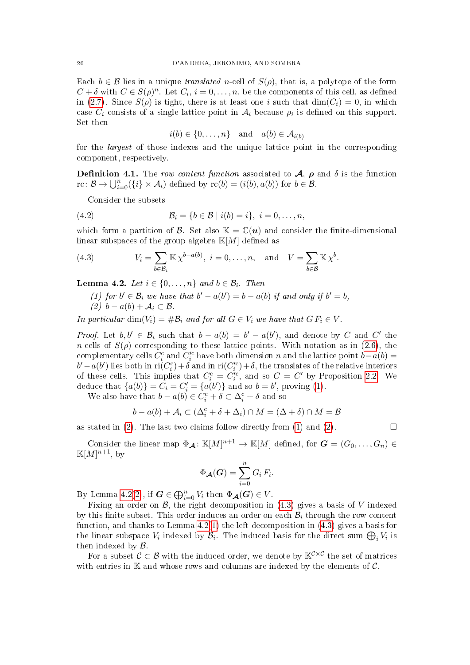Each  $b \in \mathcal{B}$  lies in a unique *translated n*-cell of  $S(\rho)$ , that is, a polytope of the form  $C + \delta$  with  $C \in S(\rho)^n$ . Let  $C_i$ ,  $i = 0, \ldots, n$ , be the components of this cell, as defined in [\(2.7\)](#page-7-3). Since  $S(\rho)$  is tight, there is at least one i such that  $\dim(C_i) = 0$ , in which case  $C_i$  consists of a single lattice point in  $A_i$  because  $\rho_i$  is defined on this support. Set then

<span id="page-25-4"></span>
$$
i(b) \in \{0, \dots, n\} \quad \text{and} \quad a(b) \in \mathcal{A}_{i(b)}
$$

for the *largest* of those indexes and the unique lattice point in the corresponding component, respectively.

**Definition 4.1.** The row content function associated to  $\mathcal{A}$ ,  $\rho$  and  $\delta$  is the function rc:  $\mathcal{B} \to \bigcup_{i=0}^n (\{i\} \times \mathcal{A}_i)$  defined by  $\text{rc}(b) = (i(b), a(b))$  for  $b \in \mathcal{B}$ .

Consider the subsets

(4.2) 
$$
\mathcal{B}_i = \{b \in \mathcal{B} \mid i(b) = i\}, \ i = 0, \dots, n,
$$

which form a partition of B. Set also  $\mathbb{K} = \mathbb{C}(\boldsymbol{u})$  and consider the finite-dimensional linear subspaces of the group algebra  $K[M]$  defined as

<span id="page-25-3"></span>(4.3) 
$$
V_i = \sum_{b \in \mathcal{B}_i} \mathbb{K} \chi^{b-a(b)}, \quad i = 0, \dots, n, \quad \text{and} \quad V = \sum_{b \in \mathcal{B}} \mathbb{K} \chi^b.
$$

<span id="page-25-2"></span><span id="page-25-0"></span>**Lemma 4.2.** Let  $i \in \{0, \ldots, n\}$  and  $b \in \mathcal{B}_i$ . Then

(1) for 
$$
b' \in \mathcal{B}_i
$$
 we have that  $b' - a(b') = b - a(b)$  if and only if  $b' = b$ ,  
(2)  $b - a(b) + A_i \subset \mathcal{B}$ .

<span id="page-25-1"></span>In particular  $\dim(V_i) = \#\mathcal{B}_i$  and for all  $G \in V_i$  we have that  $G F_i \in V$ .

*Proof.* Let  $b, b' \in \mathcal{B}_i$  such that  $b - a(b) = b' - a(b')$ , and denote by C and C' the n-cells of  $S(\rho)$  corresponding to these lattice points. With notation as in [\(2.6\)](#page-6-5), the complementary cells  $C_i^c$  and  $C_i^{\prime c}$  have both dimension n and the lattice point  $b-a(b)$  =  $b'-a(b')$  lies both in ri $(C_i^c) + \delta$  and in ri $(C_i'^c) + \delta$ , the translates of the relative interiors of these cells. This implies that  $C_i^c = C_i'^c$ , and so  $C = C'$  by Proposition [2.2.](#page-8-2) We deduce that  $\{a(b)\}=C_i=C'_i=\{a(b')\}$  and so  $b=b'$ , proving [\(1\)](#page-25-0).

We also have that  $b - a(b) \in C_i^c + \delta \subset \Delta_i^c + \delta$  and so

$$
b - a(b) + A_i \subset (\Delta_i^c + \delta + \Delta_i) \cap M = (\Delta + \delta) \cap M = \mathcal{B}
$$

as stated in [\(2\)](#page-25-1). The last two claims follow directly from [\(1\)](#page-25-0) and (2).  $\Box$ 

Consider the linear map  $\Phi_{\mathcal{A}} \colon \mathbb{K}[M]^{n+1} \to \mathbb{K}[M]$  defined, for  $\mathbf{G} = (G_0, \ldots, G_n) \in$  $\mathbb{K}[M]^{n+1}$ , by

$$
\Phi_{\mathcal{A}}(G) = \sum_{i=0}^{n} G_i F_i.
$$

By Lemma [4.2](#page-25-2)[\(2\)](#page-25-1), if  $\mathbf{G} \in \bigoplus_{i=0}^{n} V_i$  then  $\Phi_{\mathbf{A}}(\mathbf{G}) \in V$ .

Fixing an order on  $\mathcal{B}$ , the right decomposition in [\(4.3\)](#page-25-3) gives a basis of V indexed by this finite subset. This order induces an order on each  $\mathcal{B}_i$  through the row content function, and thanks to Lemma  $4.2(1)$  $4.2(1)$  the left decomposition in  $(4.3)$  gives a basis for the linear subspace  $V_i$  indexed by  $\mathcal{B}_i$ . The induced basis for the direct sum  $\bigoplus_i V_i$  is then indexed by B.

For a subset  $C \subset B$  with the induced order, we denote by  $\mathbb{K}^{\mathcal{C} \times \mathcal{C}}$  the set of matrices with entries in  $\mathbb K$  and whose rows and columns are indexed by the elements of  $\mathcal C$ .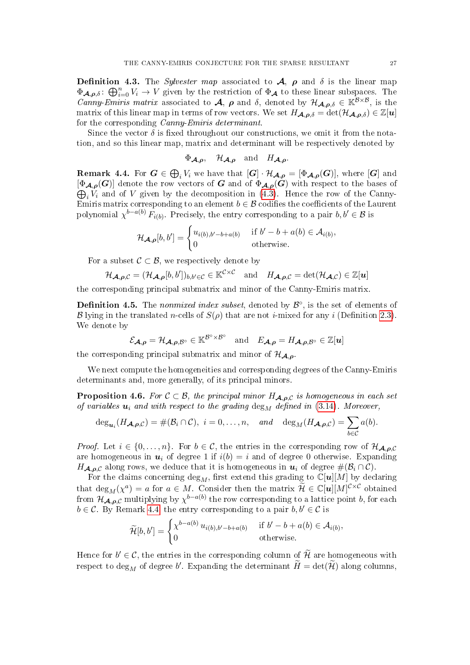<span id="page-26-3"></span>**Definition 4.3.** The *Sylvester map* associated to  $\mathcal{A}$ ,  $\rho$  and  $\delta$  is the linear map  $\Phi_{\mathcal{A},\rho,\delta}$ :  $\bigoplus_{i=0}^n V_i \to V$  given by the restriction of  $\Phi_{\mathcal{A}}$  to these linear subspaces. The Canny-Emiris matrix associated to  $\mathcal{A}, \rho$  and  $\delta$ , denoted by  $\mathcal{H}_{\mathcal{A},\rho,\delta} \in \mathbb{K}^{\mathcal{B}\times\mathcal{B}}$ , is the matrix of this linear map in terms of row vectors. We set  $H_{\mathcal{A},\rho,\delta} = \det(\mathcal{H}_{\mathcal{A},\rho,\delta}) \in \mathbb{Z}[u]$ for the corresponding Canny-Emiris determinant.

Since the vector  $\delta$  is fixed throughout our constructions, we omit it from the notation, and so this linear map, matrix and determinant will be respectively denoted by

$$
\Phi_{\mathcal{A},\rho}
$$
,  $\mathcal{H}_{\mathcal{A},\rho}$  and  $H_{\mathcal{A},\rho}$ .

<span id="page-26-2"></span> ${\bf Remark \ 4.4.}$  For  $\bm{G}\in \bigoplus_i V_i$  we have that  $[\bm{G}]\cdot \mathcal{H}_{\bm{\mathcal{A}},\bm{\rho}}=[\Phi_{\bm{\mathcal{A}},\bm{\rho}}(\bm{G})],$  where  $[\bm{G}]$  and  $\bigoplus_i V_i$  and of V given by the decomposition in [\(4.3\)](#page-25-3). Hence the row of the Canny- $[\Phi_{A,\rho}(G)]$  denote the row vectors of G and of  $\Phi_{A,\rho}(G)$  with respect to the bases of Emiris matrix corresponding to an element  $b \in \mathcal{B}$  codifies the coefficients of the Laurent polynomial  $\chi^{b-a(b)} F_{i(b)}$ . Precisely, the entry corresponding to a pair  $b, b' \in \mathcal{B}$  is

$$
\mathcal{H}_{\mathcal{A},\boldsymbol{\rho}}[b,b'] = \begin{cases} u_{i(b),b'-b+a(b)} & \text{if } b'-b+a(b) \in \mathcal{A}_{i(b)}, \\ 0 & \text{otherwise.} \end{cases}
$$

For a subset  $\mathcal{C} \subset \mathcal{B}$ , we respectively denote by

$$
\mathcal{H}_{\mathcal{A},\rho,C} = (\mathcal{H}_{\mathcal{A},\rho}[b,b'])_{b,b' \in C} \in \mathbb{K}^{C \times C} \text{ and } H_{\mathcal{A},\rho,C} = \det(\mathcal{H}_{\mathcal{A},C}) \in \mathbb{Z}[u]
$$

the corresponding principal submatrix and minor of the Canny-Emiris matrix.

<span id="page-26-0"></span>**Definition 4.5.** The *nonmixed index subset*, denoted by  $\mathcal{B}^{\circ}$ , is the set of elements of B lying in the translated n-cells of  $S(\rho)$  that are not *i*-mixed for any *i* (Definition [2.3\)](#page-8-0). We denote by

$$
\mathcal{E}_{\boldsymbol{\mathcal{A}},\boldsymbol{\rho}}=\mathcal{H}_{\boldsymbol{\mathcal{A}},\boldsymbol{\rho},\mathcal{B}^{\circ}}\in\mathbb{K}^{\mathcal{B}^{\circ}\times\mathcal{B}^{\circ}}\quad\text{and}\quad E_{\boldsymbol{\mathcal{A}},\boldsymbol{\rho}}=H_{\boldsymbol{\mathcal{A}},\boldsymbol{\rho},\mathcal{B}^{\circ}}\in\mathbb{Z}[\boldsymbol{u}]
$$

the corresponding principal submatrix and minor of  $\mathcal{H}_{A,\rho}$ .

We next compute the homogeneities and corresponding degrees of the Canny-Emiris determinants and, more generally, of its principal minors.

<span id="page-26-1"></span>**Proposition 4.6.** For  $C \subset \mathcal{B}$ , the principal minor  $H_{\mathcal{A},\rho,C}$  is homogeneous in each set of variables  $u_i$  and with respect to the grading  $\deg_M$  defined in [\(3.14\)](#page-20-2). Moreover,

$$
\deg_{\mathbf{u}_i}(H_{\mathbf{A},\boldsymbol{\rho},\mathcal{C}})=\#(\mathcal{B}_i\cap\mathcal{C}),\,\,i=0,\ldots,n,\quad\text{and}\quad\deg_M(H_{\mathbf{A},\boldsymbol{\rho},\mathcal{C}})=\sum_{b\in\mathcal{C}}a(b).
$$

*Proof.* Let  $i \in \{0, \ldots, n\}$ . For  $b \in \mathcal{C}$ , the entries in the corresponding row of  $\mathcal{H}_{\mathcal{A},\rho,\mathcal{C}}$ are homogeneous in  $u_i$  of degree 1 if  $i(b) = i$  and of degree 0 otherwise. Expanding  $H_{\mathcal{A},\rho,\mathcal{C}}$  along rows, we deduce that it is homogeneous in  $u_i$  of degree  $\#(\mathcal{B}_i \cap \mathcal{C})$ .

For the claims concerning  $\deg_M$ , first extend this grading to  $\mathbb{C}[u][M]$  by declaring that  $\deg_M(\chi^a) = a$  for  $a \in M$ . Consider then the matrix  $\widetilde{\mathcal{H}} \in \mathbb{C}[u][M]^{\mathcal{C} \times \mathcal{C}}$  obtained from  $\mathcal{H}_{\mathcal{A},\bm{\rho},\mathcal{C}}$  multiplying by  $\chi^{b-a(b)}$  the row corresponding to a lattice point  $b,$  for each  $b \in \mathcal{C}$ . By Remark [4.4,](#page-26-2) the entry corresponding to a pair  $b, b' \in \mathcal{C}$  is

$$
\widetilde{\mathcal{H}}[b,b'] = \begin{cases} \chi^{b-a(b)} u_{i(b),b'-b+a(b)} & \text{if } b'-b+a(b) \in \mathcal{A}_{i(b)},\\ 0 & \text{otherwise.} \end{cases}
$$

Hence for  $b' \in \mathcal{C}$ , the entries in the corresponding column of  $\widetilde{\mathcal{H}}$  are homogeneous with respect to  $\deg_M$  of degree  $b'$ . Expanding the determinant  $\widetilde{H} = \det(\widetilde{\mathcal{H}})$  along columns,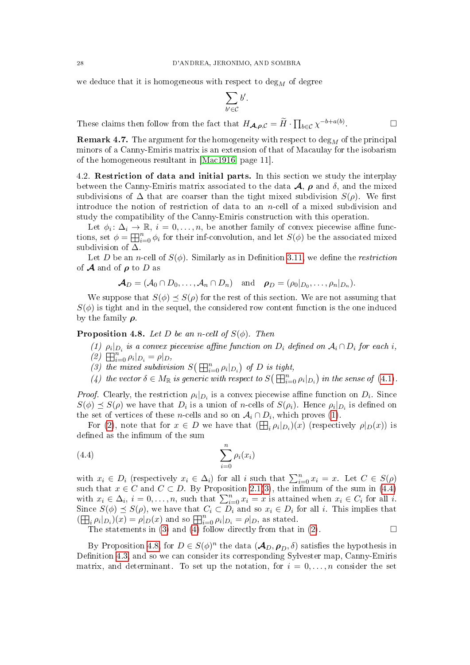we deduce that it is homogeneous with respect to  $\deg_M$  of degree

$$
\sum_{b'\in\mathcal{C}}b'.
$$

These claims then follow from the fact that  $H_{\mathcal{A},\rho,\mathcal{C}} = \widetilde{H} \cdot \prod_{b \in \mathcal{C}} \chi^{-b+a(b)}$ .

**Remark 4.7.** The argument for the homogeneity with respect to  $\deg_M$  of the principal minors of a Canny-Emiris matrix is an extension of that of Macaulay for the isobarism of the homogeneous resultant in [\[Mac1916,](#page-50-21) page 11].

4.2. Restriction of data and initial parts. In this section we study the interplay between the Canny-Emiris matrix associated to the data  $\mathcal{A}$ ,  $\rho$  and  $\delta$ , and the mixed subdivisions of  $\Delta$  that are coarser than the tight mixed subdivision  $S(\rho)$ . We first introduce the notion of restriction of data to an n-cell of a mixed subdivision and study the compatibility of the Canny-Emiris construction with this operation.

Let  $\phi_i: \Delta_i \to \mathbb{R}, i = 0, \ldots, n$ , be another family of convex piecewise affine functions, set  $\phi = \prod_{i=0}^n \phi_i$  for their inf-convolution, and let  $S(\phi)$  be the associated mixed subdivision of  $\Delta$ .

Let D be an n-cell of  $S(\phi)$ . Similarly as in Definition [3.11,](#page-17-4) we define the *restriction* of **A** and of  $\rho$  to D as

$$
\boldsymbol{\mathcal{A}}_D=(\mathcal{A}_0\cap D_0,\ldots,\mathcal{A}_n\cap D_n)\quad\text{and}\quad\boldsymbol{\rho}_D=(\rho_0|_{D_0},\ldots,\rho_n|_{D_n}).
$$

We suppose that  $S(\phi) \preceq S(\rho)$  for the rest of this section. We are not assuming that  $S(\phi)$  is tight and in the sequel, the considered row content function is the one induced by the family  $\rho$ .

<span id="page-27-1"></span><span id="page-27-0"></span>**Proposition 4.8.** Let D be an n-cell of  $S(\phi)$ . Then

- (1)  $\rho_i|_{D_i}$  is a convex piecewise affine function on  $D_i$  defined on  $\mathcal{A}_i \cap D_i$  for each i,
- <span id="page-27-2"></span>(2)  $\prod_{i=0}^{n} \rho_i |_{D_i} = \rho |_{D_i}$
- <span id="page-27-4"></span>(3) the mixed subdivision  $S(\mathbb{H}_{i=0}^n \rho_i|_{D_i})$  of D is tight,
- <span id="page-27-5"></span>(4) the vector  $\delta \in M_{\mathbb{R}}$  is generic with respect to  $S\left(\overline{\boxplus_{i=0}^{n}} \rho_{i}|_{D_{i}}\right)$  in the sense of [\(4.1\)](#page-24-3).

*Proof.* Clearly, the restriction  $\rho_i|_{D_i}$  is a convex piecewise affine function on  $D_i$ . Since  $S(\phi) \preceq S(\rho)$  we have that  $D_i$  is a union of *n*-cells of  $S(\rho_i)$ . Hence  $\rho_i|_{D_i}$  is defined on the set of vertices of these *n*-cells and so on  $A_i \cap D_i$ , which proves [\(1\)](#page-27-1).

For [\(2\)](#page-27-2), note that for  $x \in D$  we have that  $(\bigoplus_i \rho_i|_{D_i})(x)$  (respectively  $\rho|_D(x)$ ) is defined as the infimum of the sum

<span id="page-27-3"></span>
$$
\sum_{i=0}^{n} \rho_i(x_i)
$$

with  $x_i \in D_i$  (respectively  $x_i \in \Delta_i$ ) for all i such that  $\sum_{i=0}^n x_i = x$ . Let  $C \in S(\rho)$ such that  $x \in C$  and  $C \subset D$ . By Proposition [2.1\(](#page-7-4)[3\)](#page-7-1), the infimum of the sum in [\(4.4\)](#page-27-3) with  $x_i \in \Delta_i$ ,  $i = 0, \ldots, n$ , such that  $\sum_{i=0}^n x_i = x$  is attained when  $x_i \in C_i$  for all i. Since  $S(\phi) \preceq S(\rho)$ , we have that  $C_i \subset D_i$  and so  $x_i \in D_i$  for all i. This implies that  $(\boxplus_i \rho_i|_{D_i})(x) = \rho|_D(x)$  and so  $\boxplus_{i=0}^n \rho_i|_{D_i} = \rho|_D$ , as stated.

The statements in [\(3\)](#page-27-4) and [\(4\)](#page-27-5) follow directly from that in [\(2\)](#page-27-2).  $\Box$ 

By Proposition [4.8,](#page-27-0) for  $D \in S(\phi)^n$  the data  $(\mathcal{A}_D, \rho_D, \delta)$  satisfies the hypothesis in Definition [4.3,](#page-26-3) and so we can consider its corresponding Sylvester map, Canny-Emiris matrix, and determinant. To set up the notation, for  $i = 0, \ldots, n$  consider the set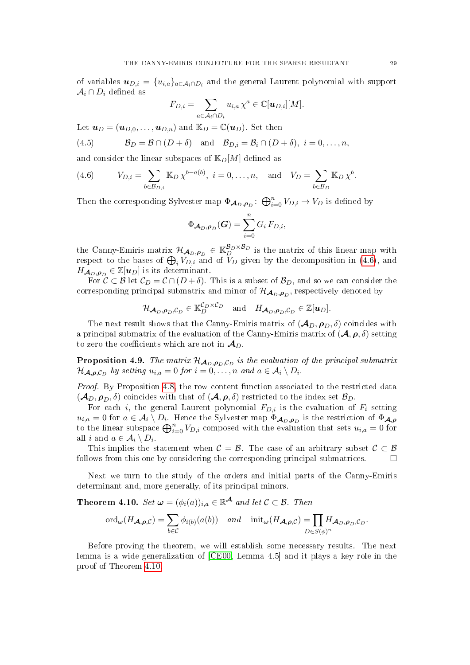of variables  $\boldsymbol{u}_{D,i} = \{u_{i,a}\}_{a \in \mathcal{A}_i \cap D_i}$  and the general Laurent polynomial with support  $\mathcal{A}_i \cap D_i$  defined as

$$
F_{D,i} = \sum_{a \in \mathcal{A}_i \cap D_i} u_{i,a} \chi^a \in \mathbb{C}[\boldsymbol{u}_{D,i}][M].
$$

Let  $u_D = (u_{D,0}, \ldots, u_{D,n})$  and  $\mathbb{K}_D = \mathbb{C}(u_D)$ . Set then

<span id="page-28-3"></span>(4.5) 
$$
\mathcal{B}_D = \mathcal{B} \cap (D + \delta) \text{ and } \mathcal{B}_{D,i} = \mathcal{B}_i \cap (D + \delta), i = 0, \ldots, n,
$$

and consider the linear subspaces of  $\mathbb{K}_D[M]$  defined as

<span id="page-28-2"></span>(4.6) 
$$
V_{D,i} = \sum_{b \in \mathcal{B}_{D,i}} \mathbb{K}_D \chi^{b-a(b)}, \quad i = 0, ..., n, \quad \text{and} \quad V_D = \sum_{b \in \mathcal{B}_D} \mathbb{K}_D \chi^b.
$$

Then the corresponding Sylvester map  $\Phi_{\mathcal{A}_D,\rho_D} \colon \bigoplus_{i=0}^n V_{D,i} \to V_D$  is defined by

$$
\Phi_{\mathcal{A}_D,\boldsymbol{\rho}_D}(G)=\sum_{i=0}^n G_i\,F_{D,i},
$$

the Canny-Emiris matrix  $\mathcal{H}_{\mathcal{A}_D,\rho_D} \in \mathbb{K}_D^{\mathcal{B}_D \times \mathcal{B}_D}$  is the matrix of this linear map with respect to the bases of  $\bigoplus_i V_{D,i}$  and of  $V_D$  given by the decomposition in [\(4.6\)](#page-28-2), and  $H_{\mathcal{A}_D,\boldsymbol{\rho}_D} \in \mathbb{Z}[{\boldsymbol{u}_D}]$  is its determinant.

For  $\mathcal{C} \subset \mathcal{B}$  let  $\mathcal{C}_D = \mathcal{C} \cap (D + \delta)$ . This is a subset of  $\mathcal{B}_D$ , and so we can consider the corresponding principal submatrix and minor of  $\mathcal{H}_{\mathcal{A}_D,\bm{\rho}_D},$  respectively denoted by

$$
\mathcal{H}_{\mathcal{A}_D,\boldsymbol{\rho}_D,\mathcal{C}_D} \in \mathbb{K}_D^{\mathcal{C}_D \times \mathcal{C}_D} \quad \text{and} \quad H_{\mathcal{A}_D,\boldsymbol{\rho}_D,\mathcal{C}_D} \in \mathbb{Z}[\boldsymbol{u}_D].
$$

The next result shows that the Canny-Emiris matrix of  $(\mathcal{A}_D, \rho_D, \delta)$  coincides with a principal submatrix of the evaluation of the Canny-Emiris matrix of  $(\mathcal{A}, \rho, \delta)$  setting to zero the coefficients which are not in  $\mathcal{A}_D$ .

<span id="page-28-1"></span>**Proposition 4.9.** The matrix  $\mathcal{H}_{\mathcal{A}_D, \rho_D, \mathcal{C}_D}$  is the evaluation of the principal submatrix  $\mathcal{H}_{\mathcal{A},\boldsymbol{\rho},\mathcal{C}_D}$  by setting  $u_{i,a} = 0$  for  $i = 0,\ldots,n$  and  $a \in \mathcal{A}_i \setminus D_i$ .

Proof. By Proposition [4.8,](#page-27-0) the row content function associated to the restricted data  $(\mathcal{A}_D, \rho_D, \delta)$  coincides with that of  $(\mathcal{A}, \rho, \delta)$  restricted to the index set  $\mathcal{B}_D$ .

For each i, the general Laurent polynomial  $F_{D,i}$  is the evaluation of  $F_i$  setting  $u_{i,a} = 0$  for  $a \in \mathcal{A}_i \setminus D_i$ . Hence the Sylvester map  $\Phi_{\mathcal{A}_D, \rho_D}$  is the restriction of  $\Phi_{\mathcal{A}, \rho_D}$ to the linear subspace  $\bigoplus_{i=0}^n V_{D,i}$  composed with the evaluation that sets  $u_{i,a} = 0$  for all *i* and  $a \in \mathcal{A}_i \setminus D_i$ .

This implies the statement when  $C = \mathcal{B}$ . The case of an arbitrary subset  $C \subset \mathcal{B}$ follows from this one by considering the corresponding principal submatrices.  $\Box$ 

Next we turn to the study of the orders and initial parts of the Canny-Emiris determinant and, more generally, of its principal minors.

<span id="page-28-0"></span>**Theorem 4.10.** Set  $\boldsymbol{\omega} = (\phi_i(a))_{i,a} \in \mathbb{R}^{\mathcal{A}}$  and let  $\mathcal{C} \subset \mathcal{B}$ . Then

$$
\mathrm{ord}_{\boldsymbol{\omega}}(H_{\boldsymbol{\mathcal{A}},\boldsymbol{\rho},\mathcal{C}})=\sum_{b\in\mathcal{C}}\phi_{i(b)}(a(b))\quad and\quad \mathrm{init}_{\boldsymbol{\omega}}(H_{\boldsymbol{\mathcal{A}},\boldsymbol{\rho},\mathcal{C}})=\prod_{D\in S(\phi)^n}H_{\boldsymbol{\mathcal{A}}_D,\boldsymbol{\rho}_D,\mathcal{C}_D}.
$$

Before proving the theorem, we will establish some necessary results. The next lemma is a wide generalization of [\[CE00,](#page-49-1) Lemma 4.5] and it plays a key role in the proof of Theorem [4.10.](#page-28-0)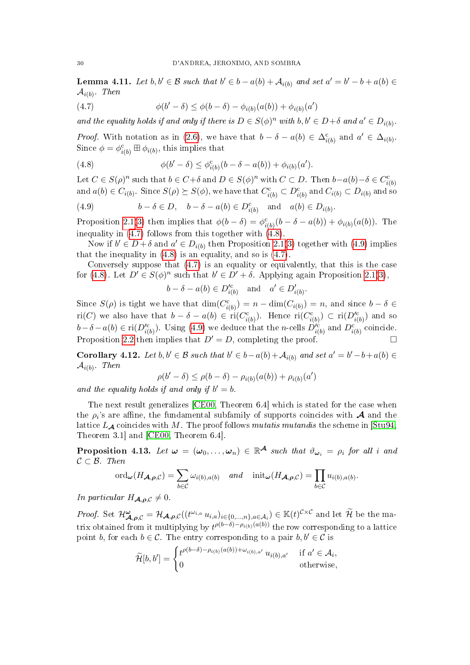<span id="page-29-5"></span>**Lemma 4.11.** Let  $b, b' \in \mathcal{B}$  such that  $b' \in b - a(b) + \mathcal{A}_{i(b)}$  and set  $a' = b' - b + a(b) \in \mathcal{B}_{i(b)}$  $\mathcal{A}_{i(b)}$ . Then

<span id="page-29-0"></span>(4.7) 
$$
\phi(b' - \delta) \le \phi(b - \delta) - \phi_{i(b)}(a(b)) + \phi_{i(b)}(a')
$$

and the equality holds if and only if there is  $D \in S(\phi)^n$  with  $b, b' \in D + \delta$  and  $a' \in D_{i(b)}$ .

*Proof.* With notation as in [\(2.6\)](#page-6-5), we have that  $b - \delta - a(b) \in \Delta_{i(b)}^c$  and  $a' \in \Delta_{i(b)}$ . Since  $\phi = \phi_{i(b)}^c \boxplus \phi_{i(b)}$ , this implies that

<span id="page-29-1"></span>(4.8) 
$$
\phi(b' - \delta) \leq \phi_{i(b)}^c(b - \delta - a(b)) + \phi_{i(b)}(a').
$$

Let  $C \in S(\rho)^n$  such that  $b \in C + \delta$  and  $D \in S(\phi)^n$  with  $C \subset D$ . Then  $b-a(b)-\delta \in C_{i(b)}^c$ and  $a(b) \in C_{i(b)}$ . Since  $S(\rho) \succeq S(\phi)$ , we have that  $C_{i(b)}^{\text{c}} \subset D_{i(b)}^{\text{c}}$  and  $C_{i(b)} \subset D_{i(b)}$  and so

<span id="page-29-2"></span>(4.9) 
$$
b - \delta \in D, \quad b - \delta - a(b) \in D_{i(b)}^c \quad \text{and} \quad a(b) \in D_{i(b)}.
$$

Proposition [2.1](#page-7-4)[\(3\)](#page-7-1) then implies that  $\phi(b - \delta) = \phi_{i(b)}^{\rm c}(b - \delta - a(b)) + \phi_{i(b)}(a(b))$ . The inequality in [\(4.7\)](#page-29-0) follows from this together with [\(4.8\)](#page-29-1).

Now if  $b' \in D + \delta$  and  $a' \in D_{i(b)}$  then Proposition [2.1\(](#page-7-4)[3\)](#page-7-1) together with [\(4.9\)](#page-29-2) implies that the inequality in  $(4.8)$  is an equality, and so is  $(4.7)$ .

Conversely suppose that [\(4.7\)](#page-29-0) is an equality or equivalently, that this is the case for [\(4.8\)](#page-29-1). Let  $D' \in S(\phi)^n$  such that  $b' \in D' + \delta$ . Applying again Proposition [2.1](#page-7-4)[\(3\)](#page-7-1),

$$
b - \delta - a(b) \in D'^c_{i(b)} \quad \text{and} \quad a' \in D'_{i(b)}.
$$

Since  $S(\rho)$  is tight we have that  $\dim(C_{i(b)}^c) = n - \dim(C_{i(b)}) = n$ , and since  $b - \delta \in$ ri(C) we also have that  $b - \delta - a(b) \in \text{ri}(C_{i(b)}^c)$ . Hence  $\text{ri}(C_{i(b)}^c) \subset \text{ri}(D_{i(b)}^{\prime c})$  and so  $b-\delta-a(b) \in \text{ri}(D_{i(b)}^{\prime c})$ . Using [\(4.9\)](#page-29-2) we deduce that the *n*-cells  $D_{i(b)}^{\prime c}$  and  $D_{i(b)}^{c}$  coincide. Proposition [2.2](#page-8-2) then implies that  $D' = D$ , completing the proof.

<span id="page-29-3"></span>Corollary 4.12. Let  $b, b' \in \mathcal{B}$  such that  $b' \in b - a(b) + \mathcal{A}_{i(b)}$  and set  $a' = b' - b + a(b) \in \mathcal{B}_{i(b)}$  $\mathcal{A}_{i(b)}$ . Then

$$
\rho(b'-\delta)\leq \rho(b-\delta)-\rho_{i(b)}(a(b))+\rho_{i(b)}(a')
$$

and the equality holds if and only if  $b' = b$ .

The next result generalizes [\[CE00,](#page-49-1) Theorem 6.4] which is stated for the case when the  $\rho_i$ 's are affine, the fundamental subfamily of supports coincides with  ${\cal A}$  and the lattice  $L_A$  coincides with M. The proof follows mutatis mutandis the scheme in [\[Stu94,](#page-50-2) Theorem 3.1] and [\[CE00,](#page-49-1) Theorem 6.4].

<span id="page-29-4"></span>Proposition 4.13. Let  $\omega = (\omega_0, \ldots, \omega_n) \in \mathbb{R}^{\mathcal{A}}$  such that  $\vartheta_{\omega_i} = \rho_i$  for all i and  $C \subset \mathcal{B}$ . Then

$$
\mathrm{ord}_{\boldsymbol{\omega}}(H_{\boldsymbol{\mathcal{A}},\boldsymbol{\rho},\mathcal{C}})=\sum_{b\in\mathcal{C}}\omega_{i(b),a(b)}\quad and\quad \mathrm{init}_{\boldsymbol{\omega}}(H_{\boldsymbol{\mathcal{A}},\boldsymbol{\rho},\mathcal{C}})=\prod_{b\in\mathcal{C}}u_{i(b),a(b)}.
$$

In particular  $H_{\mathbf{A},\rho,\mathcal{C}}\neq 0$ .

*Proof.* Set  $\mathcal{H}_{\mathcal{A},\rho,C}^{\omega} = \mathcal{H}_{\mathcal{A},\rho,C}((t^{\omega_{i,a}} u_{i,a})_{i\in\{0,\ldots,n\},a\in\mathcal{A}_i}) \in \mathbb{K}(t)^{C\times C}$  and let  $\widetilde{\mathcal{H}}$  be the matrix obtained from it multiplying by  $t^{\rho(b-\delta)-\rho_{i(b)}(a(b))}$  the row corresponding to a lattice point b, for each  $b \in \mathcal{C}$ . The entry corresponding to a pair  $b, b' \in \mathcal{C}$  is

$$
\widetilde{\mathcal{H}}[b,b'] = \begin{cases} t^{\rho(b-\delta) - \rho_{i(b)}(a(b)) + \omega_{i(b),a'}} \ u_{i(b),a'} & \text{if } a' \in \mathcal{A}_i, \\ 0 & \text{otherwise,} \end{cases}
$$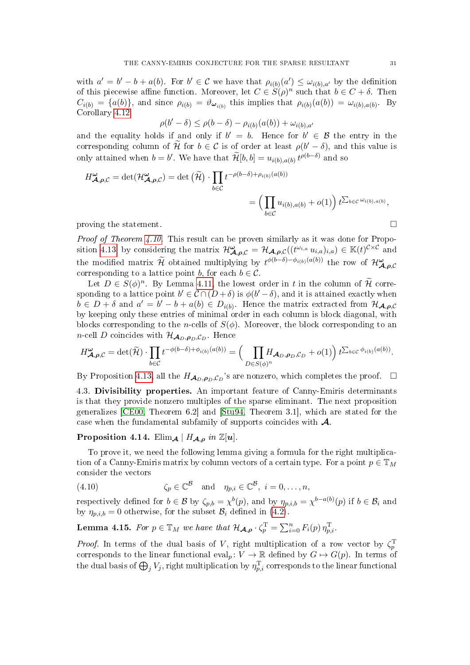with  $a' = b' - b + a(b)$ . For  $b' \in \mathcal{C}$  we have that  $\rho_{i(b)}(a') \leq \omega_{i(b),a'}$  by the definition of this piecewise affine function. Moreover, let  $C \in S(\rho)^n$  such that  $b \in C + \delta$ . Then  $C_{i(b)} = \{a(b)\}\$ , and since  $\rho_{i(b)} = \vartheta_{\omega_{i(b)}}$  this implies that  $\rho_{i(b)}(a(b)) = \omega_{i(b),a(b)}$ . By Corollary [4.12](#page-29-3)

$$
\rho(b' - \delta) \le \rho(b - \delta) - \rho_{i(b)}(a(b)) + \omega_{i(b),a'}
$$

and the equality holds if and only if  $b' = b$ . Hence for  $b' \in \mathcal{B}$  the entry in the corresponding column of  $\widetilde{\mathcal{H}}$  for  $b \in \mathcal{C}$  is of order at least  $\rho(b' - \delta)$ , and this value is only attained when  $b = b'$ . We have that  $\widetilde{\mathcal{H}}[b, b] = u_{i(b),a(b)} t^{\rho(b-\delta)}$  and so

$$
H^{\omega}_{\mathcal{A},\rho,\mathcal{C}} = \det(\mathcal{H}^{\omega}_{\mathcal{A},\rho,\mathcal{C}}) = \det(\widetilde{\mathcal{H}}) \cdot \prod_{b \in \mathcal{C}} t^{-\rho(b-\delta) + \rho_{i(b)}(a(b))}
$$
  

$$
= \left(\prod_{b \in \mathcal{C}} u_{i(b),a(b)} + o(1)\right) t^{\sum_{b \in \mathcal{C}} \omega_{i(b),a(b)}},
$$
 proving the statement.

Proof of Theorem [4.10.](#page-28-0) This result can be proven similarly as it was done for Propo-sition [4.13,](#page-29-4) by considering the matrix  $\mathcal{H}_{\mathcal{A},\rho,C}^{\omega} = \mathcal{H}_{\mathcal{A},\rho,C}((t^{\omega_{i,a}} u_{i,a})_{i,a}) \in \mathbb{K}(t)^{C \times C}$  and the modified matrix  $\widetilde{\mathcal{H}}$  obtained multiplying by  $t^{\phi(b-\delta)-\phi_{i(b)}(a(b))}$  the row of  $\mathcal{H}_{\mathcal{A},\rho,C}^{\omega}$ corresponding to a lattice point b, for each  $b \in \mathcal{C}$ .

Let  $D \in S(\phi)^n$ . By Lemma [4.11,](#page-29-5) the lowest order in t in the column of  $\widetilde{\mathcal{H}}$  corresponding to a lattice point  $b' \in \mathcal{C} \cap (D + \delta)$  is  $\phi(b' - \delta)$ , and it is attained exactly when  $b \in D + \delta$  and  $a' = b' - b + a(b) \in D_{i(b)}$ . Hence the matrix extracted from  $\mathcal{H}_{\mathcal{A},\rho,C}$ by keeping only these entries of minimal order in each column is block diagonal, with blocks corresponding to the *n*-cells of  $S(\phi)$ . Moreover, the block corresponding to an *n*-cell *D* coincides with  $\mathcal{H}_{\mathcal{A}_D,\rho_D,\mathcal{C}_D}$ . Hence

$$
H^{\omega}_{\mathcal{A},\rho,\mathcal{C}}=\det(\widetilde{\mathcal{H}})\cdot\prod_{b\in\mathcal{C}}t^{-\phi(b-\delta)+\phi_{i(b)}(a(b))}=\Big(\prod_{D\in S(\phi)^n}\!\!H_{\mathcal{A}_D,\rho_D,\mathcal{C}_D}+o(1)\Big)\,t^{\sum_{b\in\mathcal{C}}\phi_{i(b)}(a(b))}.
$$

By Proposition [4.13,](#page-29-4) all the  $H_{\mathcal{A}_D,\rho_D,\mathcal{C}_D}$ 's are nonzero, which completes the proof.  $\Box$ 

4.3. Divisibility properties. An important feature of Canny-Emiris determinants is that they provide nonzero multiples of the sparse eliminant. The next proposition generalizes [\[CE00,](#page-49-1) Theorem 6.2] and [\[Stu94,](#page-50-2) Theorem 3.1], which are stated for the case when the fundamental subfamily of supports coincides with A.

# <span id="page-30-0"></span>Proposition 4.14. Elim $\mathcal{A}$  |  $H_{\mathcal{A},\rho}$  in  $\mathbb{Z}[u]$ .

To prove it, we need the following lemma giving a formula for the right multiplication of a Canny-Emiris matrix by column vectors of a certain type. For a point  $p \in \mathbb{T}_M$ consider the vectors

<span id="page-30-2"></span>(4.10) 
$$
\zeta_p \in \mathbb{C}^{\mathcal{B}} \text{ and } \eta_{p,i} \in \mathbb{C}^{\mathcal{B}}, i = 0, \ldots, n,
$$

respectively defined for  $b \in \mathcal{B}$  by  $\zeta_{p,b} = \chi^b(p)$ , and by  $\eta_{p,i,b} = \chi^{b-a(b)}(p)$  if  $b \in \mathcal{B}_i$  and by  $\eta_{p,i,b} = 0$  otherwise, for the subset  $\mathcal{B}_i$  defined in [\(4.2\)](#page-25-4).

<span id="page-30-1"></span>**Lemma 4.15.** For  $p \in \mathbb{T}_M$  we have that  $\mathcal{H}_{\mathcal{A}, \rho} \cdot \zeta_p^{\mathrm{T}} = \sum_{i=0}^n F_i(p) \, \eta_{p,i}^{\mathrm{T}}$ .

*Proof.* In terms of the dual basis of V, right multiplication of a row vector by  $\zeta_p^T$ corresponds to the linear functional eval<sub>p</sub>:  $V \to \mathbb{R}$  defined by  $G \mapsto G(p)$ . In terms of the dual basis of  $\bigoplus_j V_j$ , right multiplication by  $\eta_{p,i}^\mathrm{T}$  corresponds to the linear functional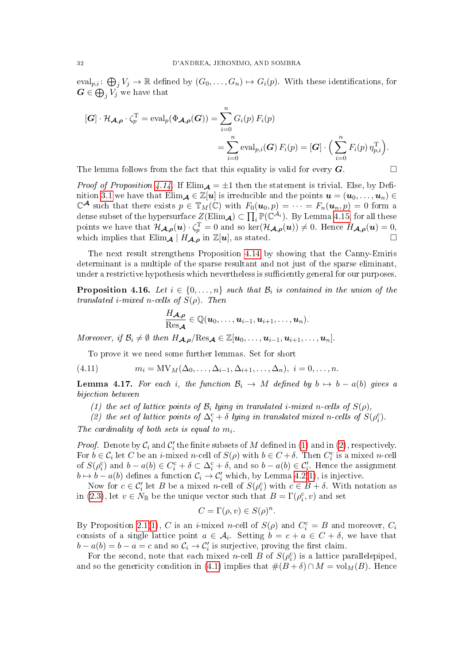eval<sub>p,i</sub>:  $\bigoplus_j V_j \to \mathbb{R}$  defined by  $(G_0, \ldots, G_n) \mapsto G_i(p)$ . With these identifications, for  $\boldsymbol{G} \in \bigoplus_j V_j$  we have that

$$
[\mathbf{G}] \cdot \mathcal{H}_{\mathbf{A},\boldsymbol{\rho}} \cdot \zeta_p^{\mathrm{T}} = \mathrm{eval}_p(\Phi_{\mathbf{A},\boldsymbol{\rho}}(\mathbf{G})) = \sum_{i=0}^n G_i(p) F_i(p)
$$
  
= 
$$
\sum_{i=0}^n \mathrm{eval}_{p,i}(\mathbf{G}) F_i(p) = [\mathbf{G}] \cdot \left( \sum_{i=0}^n F_i(p) \eta_{p,i}^{\mathrm{T}} \right).
$$

The lemma follows from the fact that this equality is valid for every  $\boldsymbol{G}$ .

*Proof of Proposition [4.14.](#page-30-0)* If  $Elim_{\mathcal{A}} = \pm 1$  then the statement is trivial. Else, by Defi-nition [3.1](#page-14-2) we have that  $\text{Elim}_{\mathcal{A}} \in \mathbb{Z}[u]$  is irreducible and the points  $u = (u_0, \ldots, u_n) \in$  $\mathbb{C}^{\mathcal{A}}$  such that there exists  $p \in \mathbb{T}_M(\mathbb{C})$  with  $F_0(\boldsymbol{u}_0, p) = \cdots = F_n(\boldsymbol{u}_n, p) = 0$  form a dense subset of the hypersurface  $Z(\mathrm{Elim}_{\mathcal{A}}) \subset \prod_i \mathbb{P}(\mathbb{C}^{\hat{\mathcal{A}}_i})$ . By Lemma [4.15,](#page-30-1) for all these points we have that  $\mathcal{H}_{\mathcal{A},\rho}(\boldsymbol{u})\cdot\zeta_p^{\mathrm{T}}=0$  and so  $\ker(\mathcal{H}_{\mathcal{A},\rho}(\boldsymbol{u}))\neq 0$ . Hence  $H_{\mathcal{A},\rho}(\boldsymbol{u})=0$ , which implies that  $\text{Elim}_{\mathcal{A}} | H_{\mathcal{A}, \rho}$  in  $\mathbb{Z}[u]$ , as stated.

The next result strengthens Proposition [4.14](#page-30-0) by showing that the Canny-Emiris determinant is a multiple of the sparse resultant and not just of the sparse eliminant, under a restrictive hypothesis which nevertheless is sufficiently general for our purposes.

<span id="page-31-0"></span>**Proposition 4.16.** Let  $i \in \{0, \ldots, n\}$  such that  $\mathcal{B}_i$  is contained in the union of the translated i-mixed n-cells of  $S(\rho)$ . Then

$$
\frac{H_{\boldsymbol{\mathcal{A}},\boldsymbol{\rho}}}{\text{Res}_{\boldsymbol{\mathcal{A}}}}\in\mathbb{Q}(\boldsymbol{u}_0,\ldots,\boldsymbol{u}_{i-1},\boldsymbol{u}_{i+1},\ldots,\boldsymbol{u}_n).
$$

Moreover, if  $\mathcal{B}_i \neq \emptyset$  then  $H_{\mathcal{A},\rho}/\text{Res}_{\mathcal{A}} \in \mathbb{Z}[u_0,\ldots,u_{i-1},u_{i+1},\ldots,u_n].$ 

<span id="page-31-4"></span>To prove it we need some further lemmas. Set for short

(4.11) 
$$
m_i = MV_M(\Delta_0, ..., \Delta_{i-1}, \Delta_{i+1}, ..., \Delta_n), \ i = 0, ..., n.
$$

<span id="page-31-3"></span>**Lemma 4.17.** For each i, the function  $\mathcal{B}_i \to M$  defined by  $b \mapsto b - a(b)$  gives a bijection between

<span id="page-31-1"></span>(1) the set of lattice points of  $\mathcal{B}_i$  lying in translated i-mixed n-cells of  $S(\rho)$ ,

<span id="page-31-2"></span>(2) the set of lattice points of  $\Delta_i^c + \delta$  lying in translated mixed n-cells of  $S(\rho_i^c)$ .

The cardinality of both sets is equal to  $m_i$ .

*Proof.* Denote by  $C_i$  and  $C'_i$  the finite subsets of M defined in [\(1\)](#page-31-1) and in [\(2\)](#page-31-2), respectively. For  $b \in C_i$  let C be an *i*-mixed *n*-cell of  $S(\rho)$  with  $b \in C + \delta$ . Then  $C_i^c$  is a mixed *n*-cell of  $S(\rho_i^c)$  and  $b - a(b) \in C_i^c + \delta \subset \Delta_i^c + \delta$ , and so  $b - a(b) \in C_i'$ . Hence the assignment  $b \mapsto b - a(b)$  defines a function  $C_i \to C'_i$  which, by Lemma [4.2](#page-25-2)[\(1\)](#page-25-0), is injective.

Now for  $c \in \mathcal{C}'_i$  let B be a mixed n-cell of  $S(\rho_i^c)$  with  $c \in B + \delta$ . With notation as in [\(2.3\)](#page-6-4), let  $v \in N_{\mathbb{R}}$  be the unique vector such that  $B = \Gamma(\rho_i^c, v)$  and set

$$
C = \Gamma(\rho, v) \in S(\rho)^n.
$$

By Proposition [2.1\(](#page-7-4)[1\)](#page-7-0), C is an *i*-mixed *n*-cell of  $S(\rho)$  and  $C_i^c = B$  and moreover,  $C_i$ consists of a single lattice point  $a \in \mathcal{A}_i$ . Setting  $b = c + a \in C + \delta$ , we have that  $b - a(b) = b - a = c$  and so  $C_i \rightarrow C'_i$  is surjective, proving the first claim.

For the second, note that each mixed *n*-cell B of  $S(\rho_i^c)$  is a lattice parallelepiped, and so the genericity condition in [\(4.1\)](#page-24-3) implies that  $\#(B+\delta) \cap M = \text{vol}_M(B)$ . Hence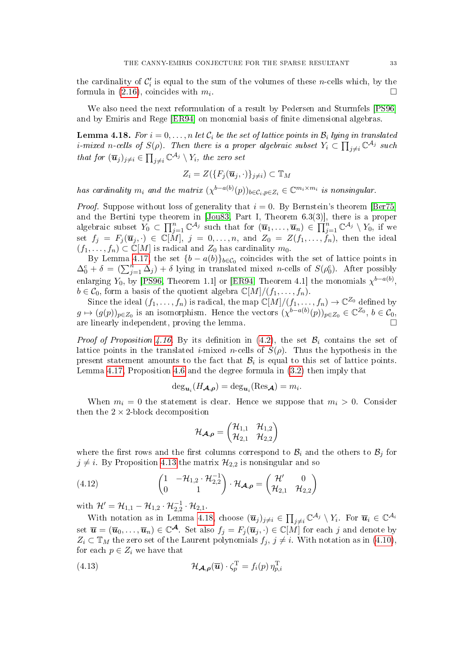the cardinality of  $\mathcal{C}'_i$  is equal to the sum of the volumes of these *n*-cells which, by the formula in  $(2.16)$ , coincides with  $m_i$ . .

We also need the next reformulation of a result by Pedersen and Sturmfels [\[PS96\]](#page-50-22) and by Emiris and Rege [\[ER94\]](#page-50-23) on monomial basis of finite dimensional algebras.

<span id="page-32-0"></span>**Lemma 4.18.** For  $i = 0, \ldots, n$  let  $\mathcal{C}_i$  be the set of lattice points in  $\mathcal{B}_i$  lying in translated i-mixed n-cells of  $S(\rho)$ . Then there is a proper algebraic subset  $Y_i\subset \prod_{j\neq i}\mathbb{C}^{\mathcal{A}_j}$  such that for  $(\overline{\mathbf{u}}_j)_{j\neq i} \in \prod_{j\neq i} \mathbb{C}^{\mathcal{A}_j} \setminus Y_i$ , the zero set

$$
Z_i = Z(\{F_j(\overline{\mathbf{u}}_j,\cdot)\}_{j\neq i}) \subset \mathbb{T}_M
$$

has cardinality  $m_i$  and the matrix  $(\chi^{b-a(b)}(p))_{b \in C_i, p \in Z_i} \in \mathbb{C}^{m_i \times m_i}$  is nonsingular.

*Proof.* Suppose without loss of generality that  $i = 0$ . By Bernstein's theorem [\[Ber75\]](#page-49-9) and the Bertini type theorem in [\[Jou83,](#page-50-24) Part I, Theorem 6.3(3)], there is a proper algebraic subset  $Y_0 \subset \prod_{j=1}^n \mathbb{C}^{\mathcal{A}_j}$  such that for  $(\overline{u}_1, \ldots, \overline{u}_n) \in \prod_{j=1}^n \mathbb{C}^{\mathcal{A}_j} \setminus Y_0$ , if we set  $f_j$  =  $F_j(\overline{\bm{u}}_j, \cdot)$   $\in$   $\mathbb{C}[\widetilde{M}],$   $j$  = 0,...,n, and  $Z_0$  =  $Z(f_1,\ldots,f_n),$  then the ideal  $(f_1, \ldots, f_n) \subset \mathbb{C}[M]$  is radical and  $Z_0$  has cardinality  $m_0$ .

By Lemma [4.17,](#page-31-3) the set  ${b-a(b)}_{b \in C_0}$  coincides with the set of lattice points in  $\Delta_0^c + \delta = (\sum_{j=1}^n \Delta_j) + \delta$  lying in translated mixed n-cells of  $S(\rho_0^c)$ . After possibly enlarging  $Y_0$ , by [\[PS96,](#page-50-22) Theorem 1.1] or [\[ER94,](#page-50-23) Theorem 4.1] the monomials  $\chi^{b-a(b)},$  $b \in \widetilde{\mathcal{C}_0}$ , form a basis of the quotient algebra  $\mathbb{C}[M]/(f_1, \ldots, f_n)$ .

Since the ideal  $(f_1, \ldots, f_n)$  is radical, the map  $\mathbb{C}[M]/(f_1, \ldots, f_n) \to \mathbb{C}^{Z_0}$  defined by  $g \mapsto (g(p))_{p \in Z_0}$  is an isomorphism. Hence the vectors  $(\chi^{b-a(b)}(p))_{p \in Z_0} \in \mathbb{C}^{Z_0}, b \in \mathcal{C}_0$ , are linearly independent, proving the lemma.

*Proof of Proposition [4.16.](#page-31-0)* By its definition in [\(4.2\)](#page-25-4), the set  $\mathcal{B}_i$  contains the set of lattice points in the translated *i*-mixed *n*-cells of  $S(\rho)$ . Thus the hypothesis in the present statement amounts to the fact that  $\mathcal{B}_i$  is equal to this set of lattice points. Lemma [4.17,](#page-31-3) Proposition [4.6](#page-26-1) and the degree formula in [\(3.2\)](#page-15-0) then imply that

$$
\deg_{\mathbf{u}_i}(H_{\mathbf{A},\boldsymbol{\rho}})=\deg_{\mathbf{u}_i}(\mathrm{Res}_{\mathbf{A}})=m_i.
$$

When  $m_i = 0$  the statement is clear. Hence we suppose that  $m_i > 0$ . Consider then the  $2 \times 2$ -block decomposition

<span id="page-32-1"></span>
$$
\mathcal{H}_{\boldsymbol{\mathcal{A}},\boldsymbol{\rho}}=\begin{pmatrix}\mathcal{H}_{1,1}&\mathcal{H}_{1,2}\\\mathcal{H}_{2,1}&\mathcal{H}_{2,2}\end{pmatrix}
$$

where the first rows and the first columns correspond to  $\mathcal{B}_i$  and the others to  $\mathcal{B}_j$  for  $j \neq i$ . By Proposition [4.13](#page-29-4) the matrix  $\mathcal{H}_{2,2}$  is nonsingular and so

(4.12) 
$$
\begin{pmatrix} 1 & -\mathcal{H}_{1,2} \cdot \mathcal{H}_{2,2}^{-1} \\ 0 & 1 \end{pmatrix} \cdot \mathcal{H}_{\mathcal{A},\rho} = \begin{pmatrix} \mathcal{H}' & 0 \\ \mathcal{H}_{2,1} & \mathcal{H}_{2,2} \end{pmatrix}
$$

with  $\mathcal{H}' = \mathcal{H}_{1,1} - \mathcal{H}_{1,2} \cdot \mathcal{H}_{2,2}^{-1} \cdot \mathcal{H}_{2,1}$ .

With notation as in Lemma [4.18,](#page-32-0) choose  $(\overline{u}_j)_{j\neq i} \in \prod_{j\neq i} \mathbb{C}^{\mathcal{A}_j} \setminus Y_i$ . For  $\overline{u}_i \in \mathbb{C}^{\mathcal{A}_i}$ set  $\overline{\bm{u}} = (\overline{\bm{u}}_0,\ldots,\overline{\bm{u}}_n) \in \mathbb{C}^{\mathcal{A}}$ . Set also  $f_j = F_j(\overline{\bm{u}}_j,\cdot) \in \mathbb{C}[M]$  for each  $j$  and denote by  $Z_i \subset \mathbb{T}_M$  the zero set of the Laurent polynomials  $f_j, j \neq i$ . With notation as in [\(4.10\)](#page-30-2), for each  $p \in Z_i$  we have that

<span id="page-32-2"></span>(4.13) 
$$
\mathcal{H}_{\mathcal{A},\rho}(\overline{\mathbf{u}})\cdot\zeta_p^{\mathrm{T}}=f_i(p)\,\eta_{p,i}^{\mathrm{T}}
$$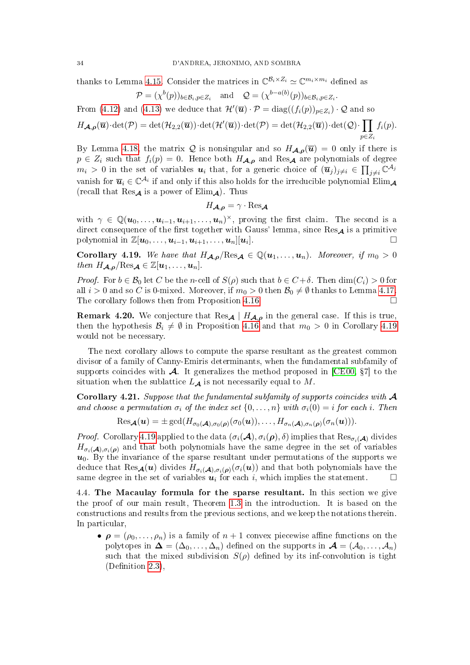thanks to Lemma [4.15.](#page-30-1) Consider the matrices in  $\mathbb{C}^{\mathcal{B}_i \times Z_i} \simeq \mathbb{C}^{m_i \times m_i}$  defined as

$$
\mathcal{P} = (\chi^b(p))_{b \in \mathcal{B}_i, p \in Z_i} \quad \text{and} \quad \mathcal{Q} = (\chi^{b-a(b)}(p))_{b \in \mathcal{B}_i, p \in Z_i}.
$$

From [\(4.12\)](#page-32-1) and [\(4.13\)](#page-32-2) we deduce that  $\mathcal{H}'(\overline{\mathbf{u}}) \cdot \mathcal{P} = \text{diag}((f_i(p))_{p \in Z_i}) \cdot \mathcal{Q}$  and so  $\Pi$ 

$$
H_{\mathcal{A},\rho}(\overline{\mathbf{u}})\cdot \det(\mathcal{P}) = \det(\mathcal{H}_{2,2}(\overline{\mathbf{u}}))\cdot \det(\mathcal{H}'(\overline{\mathbf{u}}))\cdot \det(\mathcal{P}) = \det(\mathcal{H}_{2,2}(\overline{\mathbf{u}}))\cdot \det(\mathcal{Q})\cdot \prod_{p\in Z_i} f_i(p).
$$

By Lemma [4.18,](#page-32-0) the matrix Q is nonsingular and so  $H_{\mathcal{A},\rho}(\overline{u}) = 0$  only if there is  $p \in Z_i$  such that  $f_i(p) = 0$ . Hence both  $H_{\mathcal{A},\rho}$  and  $\text{Res}_{\mathcal{A}}$  are polynomials of degree  $m_i > 0$  in the set of variables  $u_i$  that, for a generic choice of  $(\overline{u}_j)_{j\neq i} \in \prod_{j\neq i} \mathbb{C}^{\mathcal{A}_j}$ vanish for  $\overline{u}_i \in \mathbb{C}^{\mathcal{A}_i}$  if and only if this also holds for the irreducible polynomial Elim<sub>A</sub> (recall that  $\text{Res}_{\mathcal{A}}$  is a power of  $\text{Elim}_{\mathcal{A}}$ ). Thus

$$
H_{\mathcal{A},\boldsymbol{\rho}}=\gamma\cdot\mathrm{Res}_{\mathcal{A}}
$$

with  $\gamma \in \mathbb{Q}(\mathbf{u}_0,\ldots,\mathbf{u}_{i-1},\mathbf{u}_{i+1},\ldots,\mathbf{u}_n)^\times$ , proving the first claim. The second is a direct consequence of the first together with Gauss' lemma, since  $\text{Res}_{\mathbf{A}}$  is a primitive polynomial in  $\mathbb{Z}[\boldsymbol{u}_0, \dots, \boldsymbol{u}_{i-1}, \boldsymbol{u}_{i+1}, \dots, \boldsymbol{u}_n][\boldsymbol{u}_i].$  $\Box$ 

<span id="page-33-1"></span>Corollary 4.19. We have that  $H_{A,\rho}/\text{Res}_{A} \in \mathbb{Q}(u_1,\ldots,u_n)$ . Moreover, if  $m_0 > 0$ then  $H_{\mathcal{A},\boldsymbol{\rho}}/\text{Res}_{\mathcal{A}} \in \mathbb{Z}[\boldsymbol{u}_1,\ldots,\boldsymbol{u}_n].$ 

*Proof.* For  $b \in \mathcal{B}_0$  let C be the n-cell of  $S(\rho)$  such that  $b \in C + \delta$ . Then  $\dim(C_i) > 0$  for all  $i > 0$  and so C is 0-mixed. Moreover, if  $m_0 > 0$  then  $\mathcal{B}_0 \neq \emptyset$  thanks to Lemma [4.17.](#page-31-3) The corollary follows then from Proposition [4.16.](#page-31-0)

<span id="page-33-0"></span>**Remark 4.20.** We conjecture that  $\text{Res}_{\mathcal{A}} | H_{\mathcal{A}, \rho}$  in the general case. If this is true, then the hypothesis  $\mathcal{B}_i \neq \emptyset$  in Proposition [4.16](#page-31-0) and that  $m_0 > 0$  in Corollary [4.19](#page-33-1) would not be necessary.

The next corollary allows to compute the sparse resultant as the greatest common divisor of a family of Canny-Emiris determinants, when the fundamental subfamily of supports coincides with  $\mathcal A$ . It generalizes the method proposed in [\[CE00,](#page-49-1) §7] to the situation when the sublattice  $L_A$  is not necessarily equal to M.

Corollary 4.21. Suppose that the fundamental subfamily of supports coincides with  $\mathcal A$ and choose a permutation  $\sigma_i$  of the index set  $\{0, \ldots, n\}$  with  $\sigma_i(0) = i$  for each i. Then

$$
\mathrm{Res}_{\bm{\mathcal{A}}}(\bm{u})=\pm \gcd(H_{\sigma_0(\bm{\mathcal{A}}),\sigma_0(\bm{\rho})}(\sigma_0(\bm{u})),\ldots,H_{\sigma_n(\bm{\mathcal{A}}),\sigma_n(\bm{\rho})}(\sigma_n(\bm{u}))).
$$

*Proof.* Corollary [4.19](#page-33-1) applied to the data  $(\sigma_i(\mathcal{A}), \sigma_i(\rho), \delta)$  implies that  $\text{Res}_{\sigma_i(\mathcal{A})}$  divides  $H_{\sigma_i(A),\sigma_i(\rho)}$  and that both polynomials have the same degree in the set of variables  $u_0$ . By the invariance of the sparse resultant under permutations of the supports we deduce that  $\text{Res}_{\mathcal{A}}(u)$  divides  $H_{\sigma_i(\mathcal{A}),\sigma_i(\bm{\rho})}(\sigma_i(u))$  and that both polynomials have the same degree in the set of variables  $u_i$  for each i, which implies the statement.  $\Box$ 

4.4. The Macaulay formula for the sparse resultant. In this section we give the proof of our main result, Theorem [1.3](#page-4-1) in the introduction. It is based on the constructions and results from the previous sections, and we keep the notations therein. In particular,

•  $\rho = (\rho_0, \ldots, \rho_n)$  is a family of  $n+1$  convex piecewise affine functions on the polytopes in  $\Delta = (\Delta_0, \ldots, \Delta_n)$  defined on the supports in  $\mathcal{A} = (\mathcal{A}_0, \ldots, \mathcal{A}_n)$ such that the mixed subdivision  $S(\rho)$  defined by its inf-convolution is tight  $(Definition 2.3)$  $(Definition 2.3)$ .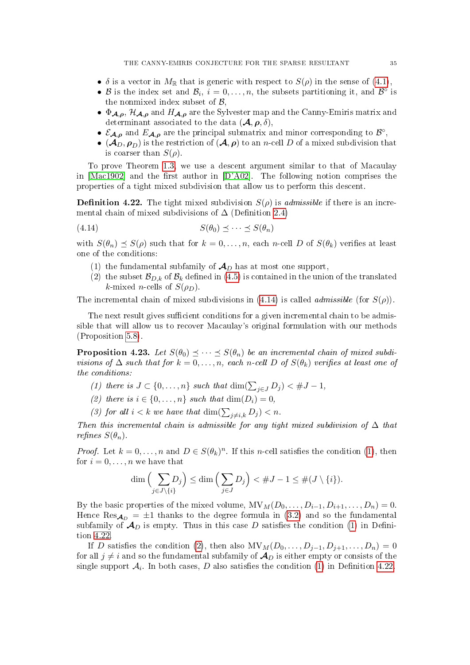- $\delta$  is a vector in  $M_{\mathbb{R}}$  that is generic with respect to  $S(\rho)$  in the sense of [\(4.1\)](#page-24-3),
- B is the index set and  $\mathcal{B}_i$ ,  $i=0,\ldots,n$ , the subsets partitioning it, and  $\mathcal{B}^{\circ}$  is the nonmixed index subset of  $\beta$ ,
- $\Phi_{A,\rho}$ ,  $\mathcal{H}_{A,\rho}$  and  $H_{A,\rho}$  are the Sylvester map and the Canny-Emiris matrix and determinant associated to the data  $(\mathcal{A}, \rho, \delta)$ ,
- $\mathcal{E}_{\mathcal{A},\rho}$  and  $E_{\mathcal{A},\rho}$  are the principal submatrix and minor corresponding to  $\mathcal{B}^{\circ}$ ,
- $(\mathcal{A}_D, \rho_D)$  is the restriction of  $(\mathcal{A}, \rho)$  to an n-cell D of a mixed subdivision that is coarser than  $S(\rho)$ .

To prove Theorem [1.3,](#page-4-1) we use a descent argument similar to that of Macaulay in  $[Mac1902]$  and the first author in  $[D'A02]$ . The following notion comprises the properties of a tight mixed subdivision that allow us to perform this descent.

<span id="page-34-0"></span>**Definition 4.22.** The tight mixed subdivision  $S(\rho)$  is *admissible* if there is an incremental chain of mixed subdivisions of  $\Delta$  (Definition [2.4\)](#page-8-1)

$$
(4.14) \tS(\theta_0) \preceq \cdots \preceq S(\theta_n)
$$

with  $S(\theta_n) \preceq S(\rho)$  such that for  $k = 0, \ldots, n$ , each n-cell D of  $S(\theta_k)$  verifies at least one of the conditions:

- <span id="page-34-3"></span><span id="page-34-1"></span>(1) the fundamental subfamily of  $\mathcal{A}_D$  has at most one support,
- <span id="page-34-6"></span>(2) the subset  $\mathcal{B}_{D,k}$  of  $\mathcal{B}_k$  defined in [\(4.5\)](#page-28-3) is contained in the union of the translated k-mixed *n*-cells of  $S(\rho_D)$ .

The incremental chain of mixed subdivisions in [\(4.14\)](#page-34-1) is called *admissible* (for  $S(\rho)$ ).

The next result gives sufficient conditions for a given incremental chain to be admissible that will allow us to recover Macaulay's original formulation with our methods (Proposition [5.8\)](#page-44-0).

<span id="page-34-7"></span>**Proposition 4.23.** Let  $S(\theta_0) \preceq \cdots \preceq S(\theta_n)$  be an incremental chain of mixed subdivisions of  $\Delta$  such that for  $k = 0, \ldots, n$ , each n-cell D of  $S(\theta_k)$  verifies at least one of the conditions:

- <span id="page-34-2"></span>(1) there is  $J \subset \{0, \ldots, n\}$  such that  $\dim(\sum_{j \in J} D_j) < \#J-1$ ,
- <span id="page-34-4"></span>(2) there is  $i \in \{0, \ldots, n\}$  such that  $\dim(D_i) = 0$ ,
- <span id="page-34-5"></span>(3) for all  $i < k$  we have that  $\dim(\sum_{j \neq i,k} D_j) < n$ .

Then this incremental chain is admissible for any tight mixed subdivision of  $\Delta$  that refines  $S(\theta_n)$ .

*Proof.* Let  $k = 0, ..., n$  and  $D \in S(\theta_k)^n$ . If this *n*-cell satisfies the condition [\(1\)](#page-34-2), then for  $i = 0, \ldots, n$  we have that

$$
\dim\left(\sum_{j\in J\setminus\{i\}} D_j\right)\leq \dim\left(\sum_{j\in J} D_j\right)<\#J-1\leq \#(J\setminus\{i\}).
$$

By the basic properties of the mixed volume,  $MV_M(D_0, \ldots, D_{i-1}, D_{i+1}, \ldots, D_n) = 0$ . Hence Res<sub>Ap</sub> =  $\pm 1$  thanks to the degree formula in [\(3.2\)](#page-15-0) and so the fundamental subfamily of  $\mathcal{A}_D$  is empty. Thus in this case D satisfies the condition [\(1\)](#page-34-3) in Definition [4.22.](#page-34-0)

If D satisfies the condition [\(2\)](#page-34-4), then also  $\text{MV}_M(D_0, \ldots, D_{j-1}, D_{j+1}, \ldots, D_n) = 0$ for all  $j \neq i$  and so the fundamental subfamily of  $\mathcal{A}_D$  is either empty or consists of the single support  $\mathcal{A}_i$ . In both cases,  $D$  also satisfies the condition  $(1)$  in Definition  $4.22$ .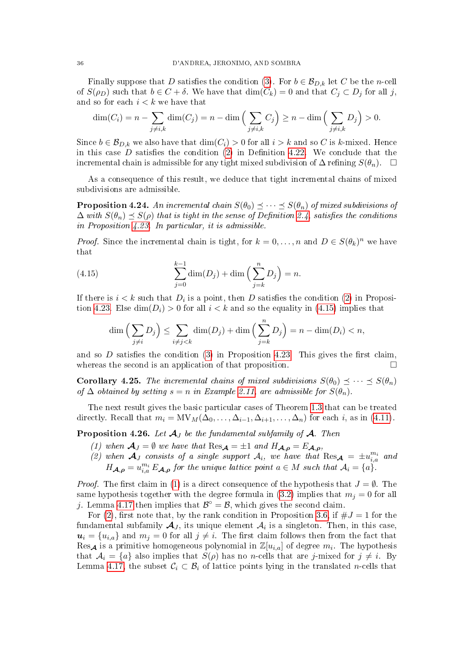Finally suppose that D satisfies the condition [\(3\)](#page-34-5). For  $b \in \mathcal{B}_{D,k}$  let C be the n-cell of  $S(\rho_D)$  such that  $b \in C + \delta$ . We have that  $\dim(C_k) = 0$  and that  $C_i \subset D_i$  for all j, and so for each  $i < k$  we have that

$$
\dim(C_i) = n - \sum_{j \neq i,k} \dim(C_j) = n - \dim\left(\sum_{j \neq i,k} C_j\right) \geq n - \dim\left(\sum_{j \neq i,k} D_j\right) > 0.
$$

Since  $b \in \mathcal{B}_{D,k}$  we also have that  $\dim(C_i) > 0$  for all  $i > k$  and so C is k-mixed. Hence in this case  $D$  satisfies the condition  $(2)$  in Definition [4.22.](#page-34-0) We conclude that the incremental chain is admissible for any tight mixed subdivision of  $\Delta$  refining  $S(\theta_n)$ .  $\Box$ 

As a consequence of this result, we deduce that tight incremental chains of mixed subdivisions are admissible.

**Proposition 4.24.** An incremental chain  $S(\theta_0) \preceq \cdots \preceq S(\theta_n)$  of mixed subdivisions of  $\Delta$  with  $S(\theta_n) \preceq S(\rho)$  that is tight in the sense of Definition [2.4,](#page-8-1) satisfies the conditions in Proposition [4.23.](#page-34-7) In particular, it is admissible.

*Proof.* Since the incremental chain is tight, for  $k = 0, ..., n$  and  $D \in S(\theta_k)^n$  we have that

(4.15) 
$$
\sum_{j=0}^{k-1} \dim(D_j) + \dim\left(\sum_{j=k}^n D_j\right) = n.
$$

If there is  $i < k$  such that  $D_i$  is a point, then D satisfies the condition [\(2\)](#page-34-4) in Proposi-tion [4.23.](#page-34-7) Else  $\dim(D_i) > 0$  for all  $i < k$  and so the equality in [\(4.15\)](#page-35-1) implies that

<span id="page-35-1"></span>
$$
\dim\left(\sum_{j\neq i} D_j\right) \le \sum_{i\neq j < k} \dim(D_j) + \dim\left(\sum_{j=k}^n D_j\right) = n - \dim(D_i) < n,
$$

and so  $D$  satisfies the condition [\(3\)](#page-34-5) in Proposition [4.23.](#page-34-7) This gives the first claim, whereas the second is an application of that proposition.

<span id="page-35-0"></span>**Corollary 4.25.** The incremental chains of mixed subdivisions  $S(\theta_0) \preceq \cdots \preceq S(\theta_n)$ of  $\Delta$  obtained by setting  $s = n$  in Example [2.11,](#page-12-0) are admissible for  $S(\theta_n)$ .

The next result gives the basic particular cases of Theorem [1.3](#page-4-1) that can be treated directly. Recall that  $m_i = MV_M(\Delta_0, \ldots, \Delta_{i-1}, \Delta_{i+1}, \ldots, \Delta_n)$  for each i, as in [\(4.11\)](#page-31-4).

<span id="page-35-4"></span><span id="page-35-2"></span>**Proposition 4.26.** Let  $\mathcal{A}_J$  be the fundamental subfamily of  $\mathcal{A}$ . Then

- (1) when  $\mathcal{A}_J = \emptyset$  we have that  $\text{Res}_{\mathcal{A}} = \pm 1$  and  $H_{\mathcal{A},\rho} = E_{\mathcal{A},\rho}$ ,
- <span id="page-35-3"></span>(2) when  $A_J$  consists of a single support  $A_i$ , we have that  $\text{Res}_{A} = \pm u_{i,a}^{m_i}$  and  $H_{\mathcal{A},\rho} = u_{i,a}^{m_i} E_{\mathcal{A},\rho}$  for the unique lattice point  $a \in M$  such that  $\mathcal{A}_i = \{a\}$ .

*Proof.* The first claim in [\(1\)](#page-35-2) is a direct consequence of the hypothesis that  $J = \emptyset$ . The same hypothesis together with the degree formula in [\(3.2\)](#page-15-0) implies that  $m_j = 0$  for all j. Lemma [4.17](#page-31-3) then implies that  $\mathcal{B}^{\circ} = \mathcal{B}$ , which gives the second claim.

For [\(2\)](#page-35-3), first note that, by the rank condition in Proposition [3.6,](#page-16-2) if  $\#J = 1$  for the fundamental subfamily  $\mathcal{A}_J,$  its unique element  $\mathcal{A}_i$  is a singleton. Then, in this case,  $u_i = \{u_{i,a}\}\$ and  $m_j = 0$  for all  $j \neq i$ . The first claim follows then from the fact that Res<sub>A</sub> is a primitive homogeneous polynomial in  $\mathbb{Z}[u_{i,a}]$  of degree  $m_i$ . The hypothesis that  $A_i = \{a\}$  also implies that  $S(\rho)$  has no *n*-cells that are *j*-mixed for  $j \neq i$ . By Lemma [4.17,](#page-31-3) the subset  $C_i \subset \mathcal{B}_i$  of lattice points lying in the translated n-cells that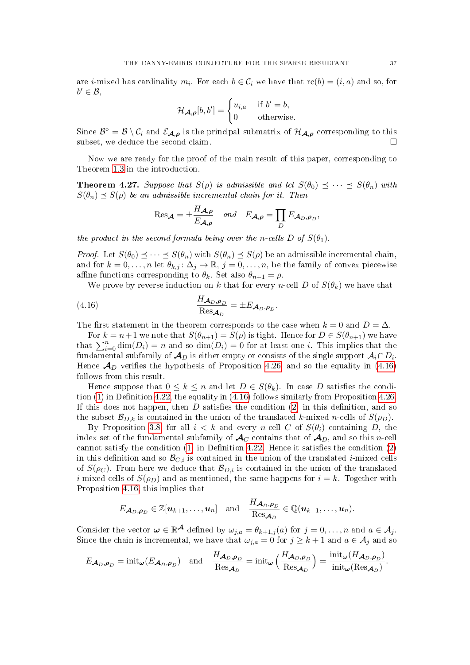are *i*-mixed has cardinality  $m_i$ . For each  $b \in C_i$  we have that  $\text{rc}(b) = (i, a)$  and so, for  $b' \in \mathcal{B}$ ,

$$
\mathcal{H}_{\mathcal{A},\boldsymbol{\rho}}[b,b'] = \begin{cases} u_{i,a} & \text{if } b'=b, \\ 0 & \text{otherwise.} \end{cases}
$$

Since  $\mathcal{B}^{\circ} = \mathcal{B} \setminus \mathcal{C}_i$  and  $\mathcal{E}_{\mathcal{A},\rho}$  is the principal submatrix of  $\mathcal{H}_{\mathcal{A},\rho}$  corresponding to this subset, we deduce the second claim.

Now we are ready for the proof of the main result of this paper, corresponding to Theorem [1.3](#page-4-1) in the introduction.

<span id="page-36-0"></span>**Theorem 4.27.** Suppose that  $S(\rho)$  is admissible and let  $S(\theta_0) \preceq \cdots \preceq S(\theta_n)$  with  $S(\theta_n) \preceq S(\rho)$  be an admissible incremental chain for it. Then

<span id="page-36-1"></span>
$$
\operatorname{Res}_{\mathbf{A}} = \pm \frac{H_{\mathbf{A},\rho}}{E_{\mathbf{A},\rho}} \quad \text{and} \quad E_{\mathbf{A},\rho} = \prod_{D} E_{\mathbf{A}_D,\rho_D},
$$

the product in the second formula being over the n-cells D of  $S(\theta_1)$ .

*Proof.* Let  $S(\theta_0) \leq \cdots \leq S(\theta_n)$  with  $S(\theta_n) \leq S(\rho)$  be an admissible incremental chain, and for  $k = 0, \ldots, n$  let  $\theta_{k,j} : \Delta_j \to \mathbb{R}, j = 0, \ldots, n$ , be the family of convex piecewise affine functions corresponding to  $\theta_k$ . Set also  $\theta_{n+1} = \rho$ .

We prove by reverse induction on k that for every n-cell D of  $S(\theta_k)$  we have that

(4.16) 
$$
\frac{H_{\mathcal{A}_D,\rho_D}}{\text{Res}_{\mathcal{A}_D}} = \pm E_{\mathcal{A}_D,\rho_D}.
$$

The first statement in the theorem corresponds to the case when  $k = 0$  and  $D = \Delta$ .

For  $k = n+1$  we note that  $S(\theta_{n+1}) = S(\rho)$  is tight. Hence for  $D \in S(\theta_{n+1})$  we have that  $\sum_{i=0}^{n} \dim(D_i) = n$  and so  $\dim(D_i) = 0$  for at least one *i*. This implies that the fundamental subfamily of  $\mathcal{A}_D$  is either empty or consists of the single support  $\mathcal{A}_i \cap D_i.$ Hence  $\mathcal{A}_D$  verifies the hypothesis of Proposition [4.26,](#page-35-4) and so the equality in [\(4.16\)](#page-36-1) follows from this result.

Hence suppose that  $0 \leq k \leq n$  and let  $D \in S(\theta_k)$ . In case D satisfies the condition  $(1)$  in Definition [4.22,](#page-34-0) the equality in  $(4.16)$  follows similarly from Proposition [4.26.](#page-35-4) If this does not happen, then  $D$  satisfies the condition [\(2\)](#page-34-6) in this definition, and so the subset  $\mathcal{B}_{D,k}$  is contained in the union of the translated k-mixed n-cells of  $S(\rho_D)$ .

By Proposition [3.8,](#page-16-3) for all  $i < k$  and every n-cell C of  $S(\theta_i)$  containing D, the index set of the fundamental subfamily of  $\mathcal{A}_{\mathcal{C}}$  contains that of  $\mathcal{A}_{\mathcal{D}}$ , and so this n-cell cannot satisfy the condition  $(1)$  in Definition [4.22.](#page-34-0) Hence it satisfies the condition  $(2)$ in this definition and so  $\mathcal{B}_{C,i}$  is contained in the union of the translated *i*-mixed cells of  $S(\rho_C)$ . From here we deduce that  $\mathcal{B}_{D,i}$  is contained in the union of the translated *i*-mixed cells of  $S(\rho_D)$  and as mentioned, the same happens for  $i = k$ . Together with Proposition [4.16,](#page-31-0) this implies that

$$
E_{\mathcal{A}_D,\boldsymbol{\rho}_D}\in\mathbb{Z}[\boldsymbol{u}_{k+1},\ldots,\boldsymbol{u}_n]\quad\text{and}\quad\frac{H_{\mathcal{A}_D,\boldsymbol{\rho}_D}}{\operatorname{Res}_{\mathcal{A}_D}}\in\mathbb{Q}(\boldsymbol{u}_{k+1},\ldots,\boldsymbol{u}_n).
$$

Consider the vector  $\omega \in \mathbb{R}^{\mathcal{A}}$  defined by  $\omega_{j,a} = \theta_{k+1,j}(a)$  for  $j = 0, \ldots, n$  and  $a \in \mathcal{A}_j$ . Since the chain is incremental, we have that  $\omega_{j,a} = 0$  for  $j \geq k+1$  and  $a \in A_j$  and so

$$
E_{\mathcal{A}_D,\rho_D} = \text{init}_{\boldsymbol{\omega}}(E_{\mathcal{A}_D,\rho_D}) \quad \text{and} \quad \frac{H_{\mathcal{A}_D,\rho_D}}{\text{Res}_{\mathcal{A}_D}} = \text{init}_{\boldsymbol{\omega}}\left(\frac{H_{\mathcal{A}_D,\rho_D}}{\text{Res}_{\mathcal{A}_D}}\right) = \frac{\text{init}_{\boldsymbol{\omega}}(H_{\mathcal{A}_D,\rho_D})}{\text{init}_{\boldsymbol{\omega}}(\text{Res}_{\mathcal{A}_D})}.
$$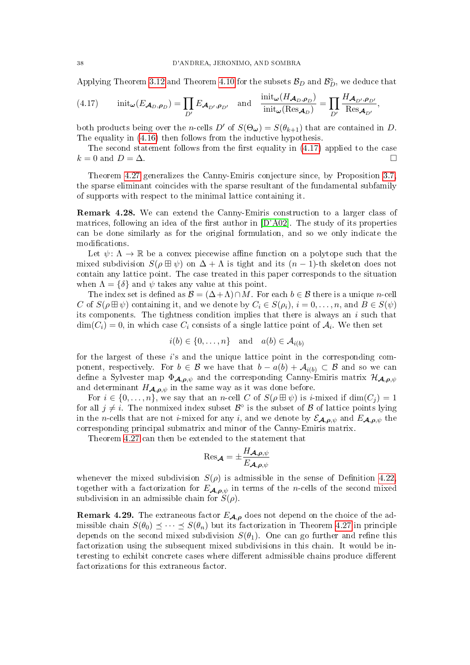Applying Theorem [3.12](#page-18-0) and Theorem [4.10](#page-28-0) for the subsets  $\mathcal{B}_D$  and  $\mathcal{B}_D^\circ$ , we deduce that

<span id="page-37-1"></span>(4.17) 
$$
\text{init}_{\omega}(E_{\mathcal{A}_D,\rho_D}) = \prod_{D'} E_{\mathcal{A}_{D'},\rho_{D'}} \text{ and } \frac{\text{init}_{\omega}(H_{\mathcal{A}_D,\rho_D})}{\text{init}_{\omega}(\text{Res}_{\mathcal{A}_D})} = \prod_{D'} \frac{H_{\mathcal{A}_{D'},\rho_{D'}}}{\text{Res}_{\mathcal{A}_{D'}}},
$$

both products being over the *n*-cells D' of  $S(\Theta_{\omega}) = S(\theta_{k+1})$  that are contained in D. The equality in [\(4.16\)](#page-36-1) then follows from the inductive hypothesis.

The second statement follows from the first equality in  $(4.17)$  applied to the case  $k = 0$  and  $D = \Delta$ .

Theorem [4.27](#page-36-0) generalizes the Canny-Emiris conjecture since, by Proposition [3.7,](#page-16-4) the sparse eliminant coincides with the sparse resultant of the fundamental subfamily of supports with respect to the minimal lattice containing it.

<span id="page-37-0"></span>Remark 4.28. We can extend the Canny-Emiris construction to a larger class of matrices, following an idea of the first author in  $[D'A02]$ . The study of its properties can be done similarly as for the original formulation, and so we only indicate the modifications.

Let  $\psi: \Lambda \to \mathbb{R}$  be a convex piecewise affine function on a polytope such that the mixed subdivision  $S(\rho \boxplus \psi)$  on  $\Delta + \Lambda$  is tight and its  $(n-1)$ -th skeleton does not contain any lattice point. The case treated in this paper corresponds to the situation when  $\Lambda = \{\delta\}$  and  $\psi$  takes any value at this point.

The index set is defined as  $\mathcal{B} = (\Delta + \Lambda) \cap M$ . For each  $b \in \mathcal{B}$  there is a unique n-cell C of  $S(\rho \boxplus \psi)$  containing it, and we denote by  $C_i \in S(\rho_i)$ ,  $i = 0, \ldots, n$ , and  $B \in S(\psi)$ its components. The tightness condition implies that there is always an  $i$  such that  $\dim(C_i) = 0$ , in which case  $C_i$  consists of a single lattice point of  $A_i$ . We then set

$$
i(b) \in \{0, \ldots, n\} \quad \text{and} \quad a(b) \in \mathcal{A}_{i(b)}
$$

for the largest of these  $i$ 's and the unique lattice point in the corresponding component, respectively. For  $b \in \mathcal{B}$  we have that  $b - a(b) + \mathcal{A}_{i(b)} \subset \mathcal{B}$  and so we can define a Sylvester map  $\Phi_{A,\rho,\psi}$  and the corresponding Canny-Emiris matrix  $\mathcal{H}_{A,\rho,\psi}$ and determinant  $H_{\mathcal{A},\rho,\psi}$  in the same way as it was done before.

For  $i \in \{0, \ldots, n\}$ , we say that an n-cell C of  $S(\rho \boxplus \psi)$  is i-mixed if  $\dim(C_i) = 1$ for all  $j \neq i$ . The nonmixed index subset  $\mathcal{B}^{\circ}$  is the subset of  $\mathcal{B}$  of lattice points lying in the n-cells that are not *i*-mixed for any *i*, and we denote by  $\mathcal{E}_{\mathcal{A},\rho,\psi}$  and  $E_{\mathcal{A},\rho,\psi}$  the corresponding principal submatrix and minor of the Canny-Emiris matrix.

Theorem [4.27](#page-36-0) can then be extended to the statement that

$$
\mathrm{Res}_{\boldsymbol{\mathcal{A}}} = \pm \frac{H_{\boldsymbol{\mathcal{A}},\boldsymbol{\rho},\psi}}{E_{\boldsymbol{\mathcal{A}},\boldsymbol{\rho},\psi}}
$$

whenever the mixed subdivision  $S(\rho)$  is admissible in the sense of Definition 4.22. together with a factorization for  $E_{A,\rho,\psi}$  in terms of the n-cells of the second mixed subdivision in an admissible chain for  $S(\rho)$ .

**Remark 4.29.** The extraneous factor  $E_{A,\rho}$  does not depend on the choice of the admissible chain  $S(\theta_0) \preceq \cdots \preceq S(\theta_n)$  but its factorization in Theorem [4.27](#page-36-0) in principle depends on the second mixed subdivision  $S(\theta_1)$ . One can go further and refine this factorization using the subsequent mixed subdivisions in this chain. It would be interesting to exhibit concrete cases where different admissible chains produce different factorizations for this extraneous factor.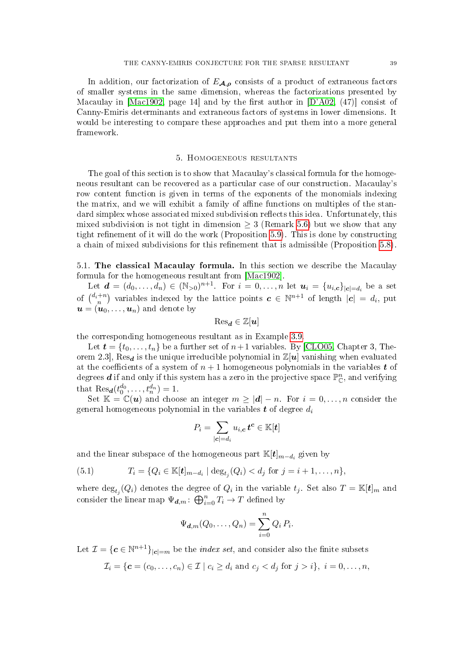In addition, our factorization of  $E_{\mathcal{A},\rho}$  consists of a product of extraneous factors of smaller systems in the same dimension, whereas the factorizations presented by Macaulay in  $[Mac1902, page 14]$  $[Mac1902, page 14]$  and by the first author in  $[D'A02, (47)]$  $[D'A02, (47)]$  consist of Canny-Emiris determinants and extraneous factors of systems in lower dimensions. It would be interesting to compare these approaches and put them into a more general framework.

### 5. Homogeneous resultants

<span id="page-38-0"></span>The goal of this section is to show that Macaulay's classical formula for the homogeneous resultant can be recovered as a particular case of our construction. Macaulay's row content function is given in terms of the exponents of the monomials indexing the matrix, and we will exhibit a family of affine functions on multiples of the standard simplex whose associated mixed subdivision reflects this idea. Unfortunately, this mixed subdivision is not tight in dimension  $\geq 3$  (Remark [5.6\)](#page-43-0) but we show that any tight refinement of it will do the work (Proposition  $5.9$ ). This is done by constructing a chain of mixed subdivisions for this refinement that is admissible (Proposition [5.8\)](#page-44-0).

<span id="page-38-1"></span>5.1. The classical Macaulay formula. In this section we describe the Macaulay formula for the homogeneous resultant from [\[Mac1902\]](#page-50-0).

Let  $\bm{d} = (d_0, \ldots, d_n) \in (\mathbb{N}_{>0})^{n+1}$ . For  $i = 0, \ldots, n$  let  $\bm{u}_i = \{u_{i,c}\}_{|c| = d_i}$  be a set of  $\binom{d_i+n}{n}$  variables indexed by the lattice points  $\boldsymbol{c} \in \mathbb{N}^{n+1}$  of length  $|\boldsymbol{c}| = d_i$ , put  $\mathbf{u} = (\mathbf{u}_0, \dots, \mathbf{u}_n)$  and denote by

$$
\mathrm{Res}_{\boldsymbol{d}}\in\mathbb{Z}[\boldsymbol{u}]
$$

the corresponding homogeneous resultant as in Example [3.9.](#page-17-2)

Let  $\boldsymbol{t} = \{t_0, \ldots, t_n\}$  be a further set of  $n+1$  variables. By [\[CLO05,](#page-49-3) Chapter 3, Theorem 2.3, Res<sub>d</sub> is the unique irreducible polynomial in  $\mathbb{Z}[u]$  vanishing when evaluated at the coefficients of a system of  $n + 1$  homogeneous polynomials in the variables t of degrees **d** if and only if this system has a zero in the projective space  $\mathbb{P}^n_{\mathbb{C}}$ , and verifying that  $\text{Res}_{d}(t_0^{d_0}, \ldots, t_n^{d_n}) = 1.$ 

Set  $\mathbb{K} = \mathbb{C}(u)$  and choose an integer  $m \geq |d| - n$ . For  $i = 0, ..., n$  consider the general homogeneous polynomial in the variables  $t$  of degree  $d_i$ 

$$
P_i = \sum_{|\bm{c}| = d_i} u_{i,\bm{c}} \, \bm{t}^{\bm{c}} \in \mathbb{K}[\bm{t}]
$$

and the linear subspace of the homogeneous part  $\mathbb{K}[t]_{m-d_i}$  given by

<span id="page-38-2"></span>(5.1) 
$$
T_i = \{Q_i \in \mathbb{K}[t]_{m-d_i} \mid \deg_{t_j}(Q_i) < d_j \text{ for } j = i+1,\ldots,n\},\
$$

where  $\deg_{t_j}(Q_i)$  denotes the degree of  $Q_i$  in the variable  $t_j$ . Set also  $T = \mathbb{K}[t]_m$  and consider the linear map  $\Psi_{d,m}$ :  $\bigoplus_{i=0}^{n} T_i \to T$  defined by

$$
\Psi_{\boldsymbol{d},m}(Q_0,\ldots,Q_n)=\sum_{i=0}^n Q_i P_i.
$$

Let  $\mathcal{I} = \{ \boldsymbol{c} \in \mathbb{N}^{n+1} \}_{|\boldsymbol{c}| = m}$  be the *index set*, and consider also the finite subsets

$$
\mathcal{I}_i = \{ \mathbf{c} = (c_0, \dots, c_n) \in \mathcal{I} \mid c_i \geq d_i \text{ and } c_j < d_j \text{ for } j > i \}, \ i = 0, \dots, n,
$$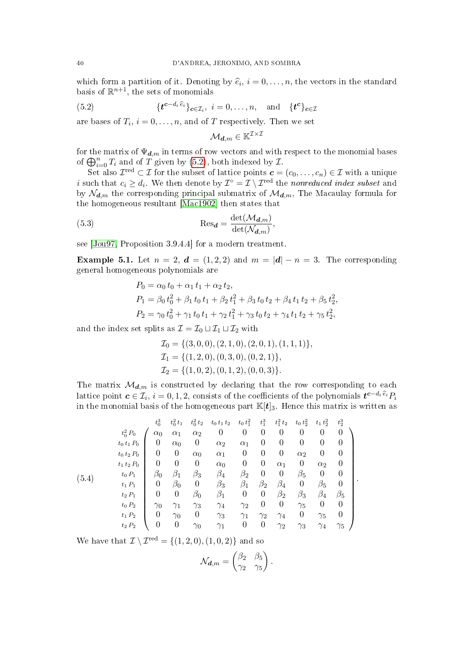which form a partition of it. Denoting by  $\hat{e}_i$ ,  $i = 0, \ldots, n$ , the vectors in the standard basis of  $\mathbb{R}^{n+1}$  the sets of monomials basis of  $\mathbb{R}^{n+1}$ , the sets of monomials

(5.2) 
$$
\{t^{c-d_i \hat{e}_i}\}_{c \in \mathcal{I}_i}, i = 0,\ldots,n, \text{ and } \{t^c\}_{c \in \mathcal{I}}
$$

are bases of  $T_i$ ,  $i = 0, \ldots, n$ , and of T respectively. Then we set

<span id="page-39-1"></span><span id="page-39-0"></span>
$$
\mathcal{M}_{\bm{d},m} \in \mathbb{K}^{\mathcal{I} \times \mathcal{I}}
$$

for the matrix of  $\Psi_{{\bf d},m}$  in terms of row vectors and with respect to the monomial bases of  $\bigoplus_{i=0}^{n} T_i$  and of T given by [\(5.2\)](#page-39-0), both indexed by  $\mathcal{I}$ .

Set also  $\mathcal{I}^{\text{red}} \subset \mathcal{I}$  for the subset of lattice points  $\mathbf{c} = (c_0, \ldots, c_n) \in \mathcal{I}$  with a unique *i* such that  $c_i \geq d_i$ . We then denote by  $\mathcal{I}^{\circ} = \mathcal{I} \setminus \mathcal{I}^{\text{red}}$  the nonreduced index subset and by  $\mathcal{N}_{d,m}$  the corresponding principal submatrix of  $\mathcal{M}_{d,m}$ , The Macaulay formula for the homogeneous resultant [\[Mac1902\]](#page-50-0) then states that

(5.3) 
$$
\operatorname{Res}_{d} = \frac{\det(\mathcal{M}_{d,m})}{\det(\mathcal{N}_{d,m})},
$$

see [\[Jou97,](#page-50-25) Proposition 3.9.4.4] for a modern treatment.

<span id="page-39-2"></span>**Example 5.1.** Let  $n = 2$ ,  $d = (1, 2, 2)$  and  $m = |d| - n = 3$ . The corresponding general homogeneous polynomials are

$$
P_0 = \alpha_0 t_0 + \alpha_1 t_1 + \alpha_2 t_2,
$$
  
\n
$$
P_1 = \beta_0 t_0^2 + \beta_1 t_0 t_1 + \beta_2 t_1^2 + \beta_3 t_0 t_2 + \beta_4 t_1 t_2 + \beta_5 t_2^2,
$$
  
\n
$$
P_2 = \gamma_0 t_0^2 + \gamma_1 t_0 t_1 + \gamma_2 t_1^2 + \gamma_3 t_0 t_2 + \gamma_4 t_1 t_2 + \gamma_5 t_2^2,
$$

and the index set splits as  $\mathcal{I} = \mathcal{I}_0 \sqcup \mathcal{I}_1 \sqcup \mathcal{I}_2$  with

$$
\mathcal{I}_0 = \{ (3,0,0), (2,1,0), (2,0,1), (1,1,1) \}, \n\mathcal{I}_1 = \{ (1,2,0), (0,3,0), (0,2,1) \}, \n\mathcal{I}_2 = \{ (1,0,2), (0,1,2), (0,0,3) \}.
$$

The matrix  $\mathcal{M}_{d,m}$  is constructed by declaring that the row corresponding to each lattice point  $\bm{c}\in\mathcal{I}_i,$   $i=0,1,2,$  consists of the coefficients of the polynomials  $\bm{t^{c-d_i}}$   $\widehat{e}_i$ in the monomial basis of the homogeneous part  $\mathbb{K}[t]_3$ . Hence this matrix is written as

<span id="page-39-3"></span>
$$
(5.4) \t t_0^{1} P_0 \t \begin{pmatrix} t_0^3 & t_0^2 t_1 & t_0^2 t_2 & t_0 t_1 t_2 & t_0 t_1^2 & t_1^3 & t_1^2 t_2 & t_0 t_2^2 & t_1 t_2^2 & t_2^3 \\ t_0 t_1 P_0 \t 0 & \alpha_0 & \alpha_1 & \alpha_2 & \alpha_1 & 0 & 0 & 0 & 0 & 0 \\ t_0 t_2 P_0 \t 0 & \alpha_0 & \alpha_1 & \alpha_1 & 0 & 0 & 0 & \alpha_2 & 0 & 0 \\ 0 & 0 & \alpha_0 & \alpha_1 & 0 & 0 & \alpha_2 & 0 & 0 & 0 \\ t_1 t_2 P_0 \t 0 & 0 & 0 & \alpha_0 & 0 & 0 & \alpha_1 & 0 & \alpha_2 & 0 \\ t_0 P_1 \t 0 & \beta_0 & \beta_1 & \beta_3 & \beta_4 & \beta_2 & 0 & 0 & \beta_5 & 0 & 0 \\ t_1 P_1 \t 0 & \beta_0 & 0 & \beta_3 & \beta_1 & \beta_2 & \beta_4 & 0 & \beta_5 & 0 \\ t_2 P_1 \t 0 & 0 & \beta_0 & \beta_1 & 0 & 0 & \beta_2 & \beta_3 & \beta_4 & \beta_5 \\ t_0 P_2 \t 0 & \gamma_0 & \gamma_1 & \gamma_3 & \gamma_4 & \gamma_2 & 0 & 0 & \gamma_5 & 0 & 0 \\ t_1 P_2 \t 0 & \gamma_0 & 0 & \gamma_3 & \gamma_1 & \gamma_2 & \gamma_4 & 0 & \gamma_5 & 0 \\ t_2 P_2 \t 0 & 0 & \gamma_0 & \gamma_1 & 0 & 0 & \gamma_2 & \gamma_3 & \gamma_4 & \gamma_5 \end{pmatrix}.
$$

We have that  $\mathcal{I} \setminus \mathcal{I}^{\text{red}} = \{(1, 2, 0), (1, 0, 2)\}$  and so

$$
\mathcal{N}_{\boldsymbol{d},m} = \begin{pmatrix} \beta_2 & \beta_5 \\ \gamma_2 & \gamma_5 \end{pmatrix}.
$$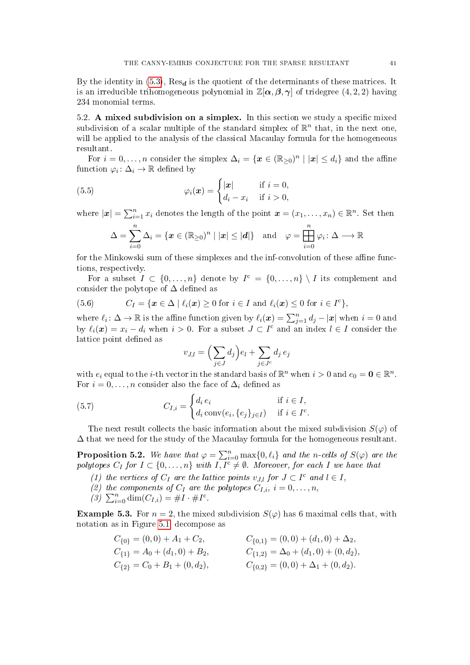By the identity in  $(5.3)$ , Res<sub>d</sub> is the quotient of the determinants of these matrices. It is an irreducible trihomogeneous polynomial in  $\mathbb{Z}[\alpha,\beta,\gamma]$  of tridegree  $(4,2,2)$  having 234 monomial terms.

<span id="page-40-2"></span>5.2. A mixed subdivision on a simplex. In this section we study a specific mixed subdivision of a scalar multiple of the standard simplex of  $\mathbb{R}^n$  that, in the next one, will be applied to the analysis of the classical Macaulay formula for the homogeneous resultant.

For  $i = 0, \ldots, n$  consider the simplex  $\Delta_i = \{ \boldsymbol{x} \in (\mathbb{R}_{\geq 0})^n \mid |\boldsymbol{x}| \leq d_i \}$  and the affine function  $\varphi_i \colon \Delta_i \to \mathbb{R}$  defined by

(5.5) 
$$
\varphi_i(\boldsymbol{x}) = \begin{cases} |\boldsymbol{x}| & \text{if } i = 0, \\ d_i - x_i & \text{if } i > 0, \end{cases}
$$

where  $|\mathbf{x}| = \sum_{i=1}^n x_i$  denotes the length of the point  $\mathbf{x} = (x_1, \dots, x_n) \in \mathbb{R}^n$ . Set then

$$
\Delta = \sum_{i=0}^{n} \Delta_i = \{ \boldsymbol{x} \in (\mathbb{R}_{\geq 0})^n \mid |\boldsymbol{x}| \leq |\boldsymbol{d}| \} \text{ and } \varphi = \prod_{i=0}^{n} \varphi_i \colon \Delta \longrightarrow \mathbb{R}
$$

for the Minkowski sum of these simplexes and the inf-convolution of these affine functions, respectively.

For a subset  $I \subset \{0, \ldots, n\}$  denote by  $I^c = \{0, \ldots, n\} \setminus I$  its complement and consider the polytope of  $\Delta$  defined as

<span id="page-40-4"></span>(5.6) 
$$
C_I = \{ \boldsymbol{x} \in \Delta \mid \ell_i(\boldsymbol{x}) \geq 0 \text{ for } i \in I \text{ and } \ell_i(\boldsymbol{x}) \leq 0 \text{ for } i \in I^c \},
$$

where  $\ell_i: \Delta \to \mathbb{R}$  is the affine function given by  $\ell_i(\bm{x}) = \sum_{j=1}^n d_j - |\bm{x}|$  when  $i = 0$  and by  $\ell_i(x) = x_i - d_i$  when  $i > 0$ . For a subset  $J \subset I^c$  and an index  $l \in I$  consider the lattice point defined as

<span id="page-40-3"></span>
$$
v_{J,l} = \left(\sum_{j \in J} d_j\right) e_l + \sum_{j \in J^c} d_j \, e_j
$$

with  $e_i$  equal to the *i*-th vector in the standard basis of  $\mathbb{R}^n$  when  $i > 0$  and  $e_0 = \mathbf{0} \in \mathbb{R}^n$ . For  $i = 0, \ldots, n$  consider also the face of  $\Delta_i$  defined as

(5.7) 
$$
C_{I,i} = \begin{cases} d_i e_i & \text{if } i \in I, \\ d_i \operatorname{conv}(e_i, \{e_j\}_{j \in I}) & \text{if } i \in I^c. \end{cases}
$$

The next result collects the basic information about the mixed subdivision  $S(\varphi)$  of  $\Delta$  that we need for the study of the Macaulay formula for the homogeneous resultant.

<span id="page-40-0"></span>**Proposition 5.2.** We have that  $\varphi = \sum_{i=0}^{n} \max\{0, \ell_i\}$  and the n-cells of  $S(\varphi)$  are the polytopes  $C_I$  for  $I \subset \{0,\ldots,n\}$  with  $I,\overline{I^c} \neq \emptyset$ . Moreover, for each I we have that

- (1) the vertices of  $C_I$  are the lattice points  $v_{J,l}$  for  $J \subset I^c$  and  $l \in I$ ,
- (2) the components of  $C_I$  are the polytopes  $C_{I,i}$ ,  $i = 0, \ldots, n$ ,
- <span id="page-40-1"></span>(3)  $\sum_{i=0}^{n} \dim(C_{I,i}) = \#I \cdot \#I^{c}$ .

**Example 5.3.** For  $n = 2$ , the mixed subdivision  $S(\varphi)$  has 6 maximal cells that, with notation as in Figure [5.1,](#page-9-0) decompose as

$$
C_{\{0\}} = (0,0) + A_1 + C_2,
$$
  
\n
$$
C_{\{1\}} = A_0 + (d_1, 0) + B_2,
$$
  
\n
$$
C_{\{2\}} = C_0 + B_1 + (0, d_2),
$$
  
\n
$$
C_{\{0,1\}} = (0,0) + (d_1, 0) + \Delta_2,
$$
  
\n
$$
C_{\{1,2\}} = \Delta_0 + (d_1, 0) + (0, d_2),
$$
  
\n
$$
C_{\{0,2\}} = (0, 0) + \Delta_1 + (0, d_2).
$$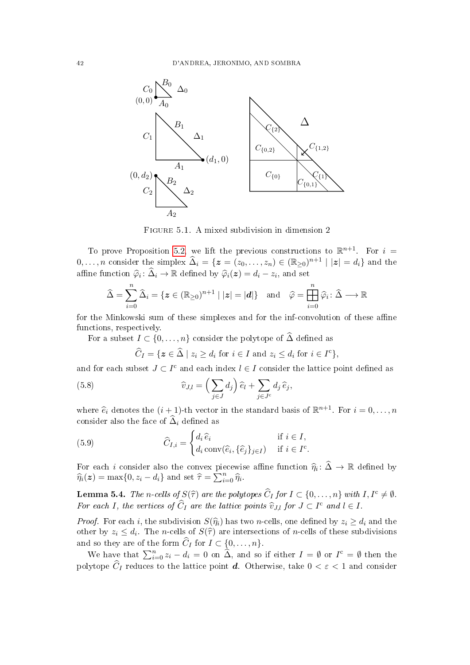

Figure 5.1. A mixed subdivision in dimension 2

To prove Proposition [5.2,](#page-40-0) we lift the previous constructions to  $\mathbb{R}^{n+1}$ . For  $i =$  $0, \ldots, n$  consider the simplex  $\widehat{\Delta}_i = \{z = (z_0, \ldots, z_n) \in (\mathbb{R}_{\geq 0})^{n+1} \mid |z| = d_i\}$  and the affine function  $\widehat{\varphi}_i \colon \widehat{\Delta}_i \to \mathbb{R}$  defined by  $\widehat{\varphi}_i(z) = d_i - z_i$ , and set

$$
\widehat{\Delta} = \sum_{i=0}^{n} \widehat{\Delta}_{i} = \{ \boldsymbol{z} \in (\mathbb{R}_{\geq 0})^{n+1} \mid |\boldsymbol{z}| = |\boldsymbol{d}| \} \text{ and } \widehat{\varphi} = \prod_{i=0}^{n} \widehat{\varphi}_{i} \colon \widehat{\Delta} \longrightarrow \mathbb{R}
$$

for the Minkowski sum of these simplexes and for the inf-convolution of these affine functions, respectively.

For a subset  $I \subset \{0, \ldots, n\}$  consider the polytope of  $\widehat{\Delta}$  defined as

<span id="page-41-1"></span>
$$
\widehat{C}_I = \{ \boldsymbol{z} \in \widehat{\Delta} \mid z_i \ge d_i \text{ for } i \in I \text{ and } z_i \le d_i \text{ for } i \in I^c \},
$$

and for each subset  $J \subset I^c$  and each index  $l \in I$  consider the lattice point defined as

(5.8) 
$$
\widehat{v}_{J,l} = \left(\sum_{j\in J} d_j\right) \widehat{e}_l + \sum_{j\in J^c} d_j \,\widehat{e}_j,
$$

where  $\hat{e}_i$  denotes the  $(i + 1)$ -th vector in the standard basis of  $\mathbb{R}^{n+1}$ . For  $i = 0, \ldots, n$ consider also the face of  $\widehat{\Delta}_i$  defined as

<span id="page-41-0"></span>(5.9) 
$$
\widehat{C}_{I,i} = \begin{cases} d_i \,\widehat{e}_i & \text{if } i \in I, \\ d_i \, \text{conv}(\widehat{e}_i, \{\widehat{e}_j\}_{j \in I}) & \text{if } i \in I^c. \end{cases}
$$

For each *i* consider also the convex piecewise affine function  $\hat{\eta}_i \colon \hat{\Delta} \to \mathbb{R}$  defined by  $\hat{\eta}_i(\tau) = \max\{0, z_i - d_i\}$  and set  $\hat{\tau} = \sum_{i=1}^n \hat{\eta}_i$ .  $\widehat{\eta}_i(\boldsymbol{z}) = \max\{0, z_i - d_i\}$  and set  $\widehat{\tau} = \sum_{i=0}^n \widehat{\eta}_i$ .

<span id="page-41-2"></span>**Lemma 5.4.** The n-cells of  $S(\hat{\tau})$  are the polytopes  $\widehat{C}_I$  for  $I \subset \{0, \ldots, n\}$  with  $I, I^c \neq \emptyset$ . For each I, the vertices of  $\widehat{C}_I$  are the lattice points  $\widehat{v}_{J,l}$  for  $J \subset I^c$  and  $l \in I$ .

*Proof.* For each i, the subdivision  $S(\hat{\eta}_i)$  has two n-cells, one defined by  $z_i \geq d_i$  and the other by  $z_i \leq d_i$ . The n-cells of  $S(\hat{\tau})$  are intersections of n-cells of these subdivisions and so they are of the form  $\widehat{C}_I$  for  $I \subset \{0, \ldots, n\}.$ 

We have that  $\sum_{i=0}^{n} z_i - d_i = 0$  on  $\widehat{\Delta}$ , and so if either  $I = \emptyset$  or  $I^c = \emptyset$  then the polytope  $\widehat{C}_I$  reduces to the lattice point **d**. Otherwise, take  $0 < \varepsilon < 1$  and consider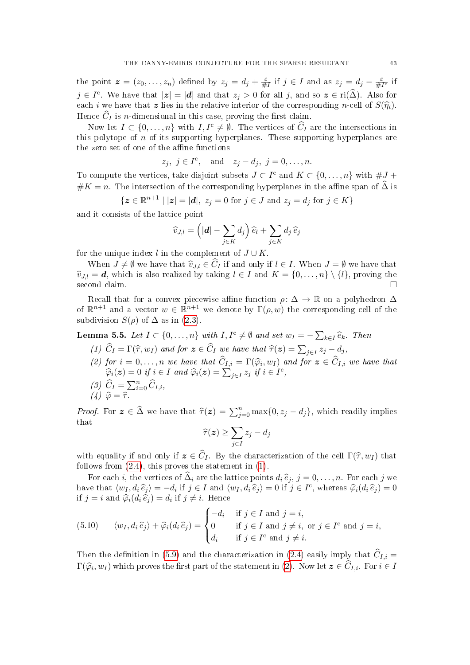the point  $\boldsymbol{z} = (z_0, \dots, z_n)$  defined by  $z_j = d_j + \frac{\varepsilon}{\#}$  $\frac{\varepsilon}{\#I}$  if  $j \in I$  and as  $z_j = d_j - \frac{\varepsilon}{\#I}$  $rac{\varepsilon}{\#I^c}$  if  $j \in I^c$ . We have that  $|z| = |d|$  and that  $z_j > 0$  for all j, and so  $z \in \text{ri}(\widehat{\Delta})$ . Also for each i we have that z lies in the relative interior of the corresponding n-cell of  $S(\hat{\eta}_i)$ . Hence  $\widehat{C}_I$  is *n*-dimensional in this case, proving the first claim.

Now let  $I \subset \{0,\ldots,n\}$  with  $I, I^c \neq \emptyset$ . The vertices of  $\widehat{C}_I$  are the intersections in this polytope of  $n$  of its supporting hyperplanes. These supporting hyperplanes are the zero set of one of the affine functions

$$
z_j, j \in I^c
$$
, and  $z_j - d_j, j = 0, \ldots, n$ .

To compute the vertices, take disjoint subsets  $J \subset I^c$  and  $K \subset \{0, \ldots, n\}$  with  $\#J +$ # $K = n$ . The intersection of the corresponding hyperplanes in the affine span of  $\widehat{\Delta}$  is

$$
\{ \mathbf{z} \in \mathbb{R}^{n+1} \mid |\mathbf{z}| = |\mathbf{d}|, \ z_j = 0 \text{ for } j \in J \text{ and } z_j = d_j \text{ for } j \in K \}
$$

and it consists of the lattice point

$$
\widehat{v}_{J,l} = \left( |\boldsymbol{d}| - \sum_{j \in K} d_j \right) \widehat{e}_l + \sum_{j \in K} d_j \,\widehat{e}_j
$$

for the unique index l in the complement of  $J \cup K$ .

When  $J \neq \emptyset$  we have that  $\widehat{v}_{J,l} \in \widehat{C}_I$  if and only if  $l \in I$ . When  $J = \emptyset$  we have that  $\widehat{v}_{J,l} = d$ , which is also realized by taking  $l \in I$  and  $K = \{0, \ldots, n\} \setminus \{l\}$ , proving the second claim second claim.

Recall that for a convex piecewise affine function  $\rho: \Delta \to \mathbb{R}$  on a polyhedron  $\Delta$ of  $\mathbb{R}^{n+1}$  and a vector  $w \in \mathbb{R}^{n+1}$  we denote by  $\Gamma(\rho, w)$  the corresponding cell of the subdivision  $S(\rho)$  of  $\Delta$  as in [\(2.3\)](#page-6-4).

<span id="page-42-5"></span><span id="page-42-1"></span><span id="page-42-0"></span>**Lemma 5.5.** Let  $I \subset \{0, ..., n\}$  with  $I, I^c \neq \emptyset$  and set  $w_I = -\sum_{k \in I} \widehat{e}_k$ . Then (1)  $C_I = \Gamma(\hat{\tau}, w_I)$  and for  $z \in C_I$  we have that  $\hat{\tau}(z) = \sum_{j \in I} z_j - d_j$ , (2) for  $i = 0, ..., n$  we have that  $C_{I,i} = \Gamma(\widehat{\varphi}_i, w_I)$  and for  $\mathbf{z} \in C_{I,i}$  we have that  $\widehat{\varphi}_i(\mathbf{z}) = 0$  if  $i \in I$  and  $\widehat{\varphi}_i(\mathbf{z}) = \sum_{i=1}^{\infty} \widehat{\varphi}_i(i)$  $\widehat{\varphi}_i(z) = 0$  if  $i \in I$  and  $\widehat{\varphi}_i(z) = \sum_{j \in I} z_j$  if  $i \in I^c$ , (3)  $\widehat{C}_I = \sum_{i=0}^n \widehat{C}_{I,i},$ (4)  $\widehat{\varphi} = \widehat{\tau}$ .

<span id="page-42-4"></span><span id="page-42-3"></span>*Proof.* For  $z \in \widehat{\Delta}$  we have that  $\widehat{\tau}(z) = \sum_{j=0}^{n} \max\{0, z_j - d_j\}$ , which readily implies that

$$
\widehat{\tau}(\boldsymbol{z}) \geq \sum_{j \in I} z_j - d_j
$$

with equality if and only if  $\mathbf{z} \in \widehat{C}_I$ . By the characterization of the cell  $\Gamma(\widehat{\tau}, w_I)$  that follows from  $(2.4)$ , this proves the statement in  $(1)$ .

For each i, the vertices of  $\widehat{\Delta}_i$  are the lattice points  $d_i \widehat{e}_j$ ,  $j = 0, \ldots, n$ . For each j we have that  $\langle w_I, d_i \hat{e}_j \rangle = -d_i$  if  $j \in I$  and  $\langle w_I, d_i \hat{e}_j \rangle = 0$  if  $j \in I^c$ , whereas  $\hat{\varphi}_i(d_i \hat{e}_j) = 0$ <br>if  $i = i$  and  $\hat{\varphi}_i(d_i \hat{e}_j) = d_i$  if  $i \neq i$ . Hence if  $j = i$  and  $\widehat{\varphi}_i(d_i \,\widehat{e}_j) = d_i$  if  $j \neq i$ . Hence

<span id="page-42-2"></span>(5.10) 
$$
\langle w_I, d_i \hat{e}_j \rangle + \hat{\varphi}_i (d_i \hat{e}_j) = \begin{cases} -d_i & \text{if } j \in I \text{ and } j = i, \\ 0 & \text{if } j \in I \text{ and } j \neq i, \text{ or } j \in I^c \text{ and } j = i, \\ d_i & \text{if } j \in I^c \text{ and } j \neq i. \end{cases}
$$

Then the definition in [\(5.9\)](#page-41-0) and the characterization in [\(2.4\)](#page-6-1) easily imply that  $\hat{C}_{I,i} =$  $\Gamma(\widehat{\varphi}_i, w_I)$  which proves the first part of the statement in [\(2\)](#page-42-1). Now let  $\boldsymbol{z} \in C_{I,i}$ . For  $i \in I$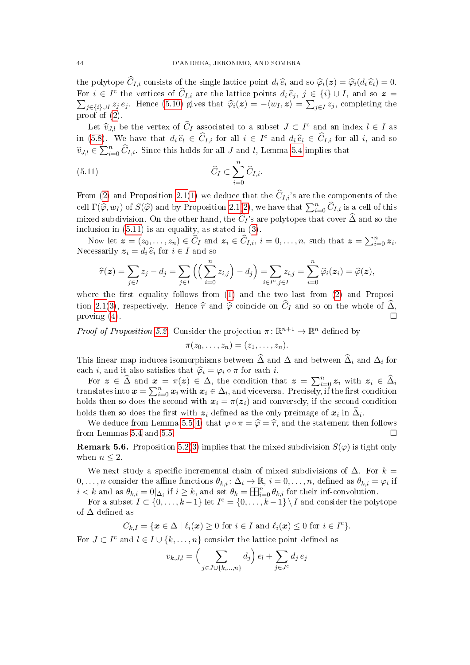the polytope  $\widehat{C}_{I,i}$  consists of the single lattice point  $d_i \widehat{e}_i$  and so  $\widehat{\varphi}_i(z) = \widehat{\varphi}_i(d_i \widehat{e}_i) = 0$ . For  $i \in I^c$  the vertices of  $\widehat{C}_{I,i}$  are the lattice points  $d_i \widehat{e}_j$ ,  $j \in \{i\} \cup I$ , and so  $\mathbf{z} = \sum_{j \in \{i\} \cup I} z_j e_j$ . Hence [\(5.10\)](#page-42-2) gives that  $\widehat{\varphi}_i(\mathbf{z}) = -\langle w_I, \mathbf{z} \rangle = \sum_{j \in I} z_j$ , completing the proof of  $(2)$ .

Let  $\widehat{v}_{J,l}$  be the vertex of  $\widehat{C}_I$  associated to a subset  $J \subset I^c$  and an index  $l \in I$  as in [\(5.8\)](#page-41-1). We have that  $d_i \hat{e}_l \in \hat{C}_{I,i}$  for all  $i \in I^c$  and  $d_i \hat{e}_i \in \hat{C}_{I,i}$  for all i, and so  $\widehat{v}_{J,l} \in \sum_{i=0}^{n} \widehat{C}_{I,i}$ . Since this holds for all J and l, Lemma [5.4](#page-41-2) implies that

<span id="page-43-1"></span>(5.11) 
$$
\widehat{C}_I \subset \sum_{i=0}^n \widehat{C}_{I,i}.
$$

From [\(2\)](#page-42-1) and Proposition [2.1](#page-7-4)[\(1\)](#page-7-0) we deduce that the  $\hat{C}_{I,i}$ 's are the components of the cell  $\Gamma(\widehat{\varphi}, w_I)$  of  $S(\widehat{\varphi})$  and by Proposition [2.1](#page-7-4)[\(2\)](#page-7-2), we have that  $\sum_{i=0}^n \widehat{C}_{I,i}$  is a cell of this mixed subdivision. On the other hand, the  $\hat{C}_I$ 's are polytopes that cover  $\hat{\Delta}$  and so the inclusion in [\(5.11\)](#page-43-1) is an equality, as stated in [\(3\)](#page-42-3).

Now let  $\boldsymbol{z} = (z_0, \ldots, z_n) \in \widehat{C}_I$  and  $\boldsymbol{z}_i \in \widehat{C}_{I,i}, i = 0, \ldots, n$ , such that  $\boldsymbol{z} = \sum_{i=0}^n z_i$ . Necessarily  $z_i = d_i \,\widehat{e}_i$  for  $i \in I$  and so

$$
\widehat{\tau}(\boldsymbol{z}) = \sum_{j \in I} z_j - d_j = \sum_{j \in I} \left( \left( \sum_{i=0}^n z_{i,j} \right) - d_j \right) = \sum_{i \in I^c, j \in I} z_{i,j} = \sum_{i=0}^n \widehat{\varphi}_i(\boldsymbol{z}_i) = \widehat{\varphi}(\boldsymbol{z}),
$$

where the first equality follows from  $(1)$  and the two last from  $(2)$  and Proposi-tion [2.1\(](#page-7-4)[3\)](#page-7-1), respectively. Hence  $\hat{\tau}$  and  $\hat{\varphi}$  coincide on  $\hat{C}_I$  and so on the whole of  $\hat{\Delta}$ , proving (4) proving [\(4\)](#page-42-4).

*Proof of Proposition [5.2.](#page-40-0)* Consider the projection  $\pi \colon \mathbb{R}^{n+1} \to \mathbb{R}^n$  defined by

$$
\pi(z_0,\ldots,z_n)=(z_1,\ldots,z_n).
$$

This linear map induces isomorphisms between  $\widehat{\Delta}$  and  $\Delta$  and between  $\widehat{\Delta}_i$  and  $\Delta_i$  for each *i*, and it also satisfies that  $\hat{\varphi}_i = \varphi_i \circ \pi$  for each *i*.

For  $z \in \widehat{\Delta}$  and  $x = \pi(z) \in \Delta$ , the condition that  $z = \sum_{i=0}^n z_i$  with  $z_i \in \widehat{\Delta}_i$ translates into  $\boldsymbol{x} = \sum_{i=0}^n \boldsymbol{x}_i$  with  $\boldsymbol{x}_i \in \Delta_i$ , and viceversa. Precisely, if the first condition holds then so does the second with  $x_i = \pi(z_i)$  and conversely, if the second condition holds then so does the first with  $z_i$  defined as the only preimage of  $x_i$  in  $\Delta_i$ .

We deduce from Lemma [5.5](#page-42-5)[\(4\)](#page-42-4) that  $\varphi \circ \pi = \widehat{\varphi} = \widehat{\tau}$ , and the statement then follows m Lemmas 5.4 and 5.5. from Lemmas [5.4](#page-41-2) and [5.5.](#page-42-5)

<span id="page-43-0"></span>**Remark 5.6.** Proposition [5.2](#page-40-0)[\(3\)](#page-40-1) implies that the mixed subdivision  $S(\varphi)$  is tight only when  $n \leq 2$ .

We next study a specific incremental chain of mixed subdivisions of  $\Delta$ . For  $k =$  $0,\ldots,n$  consider the affine functions  $\theta_{k,i}\colon \Delta_i\to\mathbb{R}, i=0,\ldots,n$ , defined as  $\theta_{k,i}=\varphi_i$  if  $i < k$  and as  $\theta_{k,i} = 0 |_{\Delta_i}$  if  $i \geq k$ , and set  $\theta_k = \prod_{i=0}^n \theta_{k,i}$  for their inf-convolution.

For a subset  $I \subset \{0, \ldots, k-1\}$  let  $I^c = \{0, \ldots, k-1\} \setminus I$  and consider the polytope of  $\Delta$  defined as

$$
C_{k,I} = \{ \boldsymbol{x} \in \Delta \mid \ell_i(\boldsymbol{x}) \geq 0 \text{ for } i \in I \text{ and } \ell_i(\boldsymbol{x}) \leq 0 \text{ for } i \in I^c \}.
$$

For  $J \subset I^c$  and  $l \in I \cup \{k, \ldots, n\}$  consider the lattice point defined as

$$
v_{k,J,l} = \left(\sum_{j \in J \cup \{k,\dots,n\}} d_j\right) e_l + \sum_{j \in J^c} d_j e_j
$$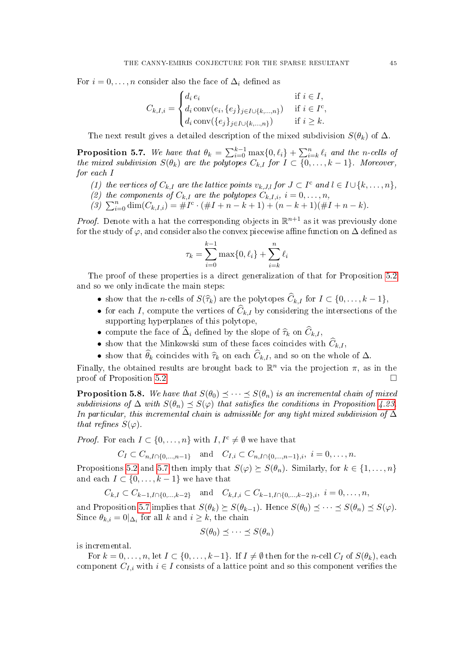For  $i = 0, \ldots, n$  consider also the face of  $\Delta_i$  defined as

$$
C_{k,I,i} = \begin{cases} d_i e_i & \text{if } i \in I, \\ d_i \operatorname{conv}(e_i, \{e_j\}_{j \in I \cup \{k,\dots,n\}}) & \text{if } i \in I^c, \\ d_i \operatorname{conv}(\{e_j\}_{j \in I \cup \{k,\dots,n\}}) & \text{if } i \geq k. \end{cases}
$$

The next result gives a detailed description of the mixed subdivision  $S(\theta_k)$  of  $\Delta$ .

<span id="page-44-1"></span>**Proposition 5.7.** We have that  $\theta_k = \sum_{i=0}^{k-1} \max\{0, \ell_i\} + \sum_{i=k}^{n} \ell_i$  and the n-cells of the mixed subdivision  $S(\theta_k)$  are the polytopes  $C_{k,I}$  for  $I \subset \{0,\ldots,k-1\}$ . Moreover, for each I

- (1) the vertices of  $C_{k,I}$  are the lattice points  $v_{k,J,l}$  for  $J \subset I^c$  and  $l \in I \cup \{k,\ldots,n\}$ ,
- (2) the components of  $C_{k,I}$  are the polytopes  $C_{k,I,i}$ ,  $i = 0, \ldots, n$ ,
- (3)  $\sum_{i=0}^{n} \dim(C_{k,I,i}) = \#I^c \cdot (\#I + n k + 1) + (n k + 1)(\#I + n k).$

*Proof.* Denote with a hat the corresponding objects in  $\mathbb{R}^{n+1}$  as it was previously done for the study of  $\varphi$ , and consider also the convex piecewise affine function on  $\Delta$  defined as

$$
\tau_k = \sum_{i=0}^{k-1} \max\{0, \ell_i\} + \sum_{i=k}^n \ell_i
$$

The proof of these properties is a direct generalization of that for Proposition [5.2](#page-40-0) and so we only indicate the main steps:

- show that the *n*-cells of  $S(\widehat{\tau}_k)$  are the polytopes  $\widehat{C}_{k,I}$  for  $I \subset \{0,\ldots,k-1\}$ ,
- for each I, compute the vertices of  $\widehat{C}_{k,I}$  by considering the intersections of the supporting hyperplanes of this polytope,
- compute the face of  $\Delta_i$  defined by the slope of  $\widehat{\tau}_k$  on  $C_{k,I}$ ,
- show that the Minkowski sum of these faces coincides with  $\hat{C}_{k,I}$ ,
- show that  $\theta_k$  coincides with  $\hat{\tau}_k$  on each  $C_{k,I}$ , and so on the whole of  $\Delta$ .

Finally, the obtained results are brought back to  $\mathbb{R}^n$  via the projection  $\pi$ , as in the proof of Proposition [5.2.](#page-40-0)

<span id="page-44-0"></span>**Proposition 5.8.** We have that  $S(\theta_0) \prec \cdots \prec S(\theta_n)$  is an incremental chain of mixed subdivisions of  $\Delta$  with  $S(\theta_n) \preceq S(\varphi)$  that satisfies the conditions in Proposition [4.23.](#page-34-7) In particular, this incremental chain is admissible for any tight mixed subdivision of  $\Delta$ that refines  $S(\varphi)$ .

*Proof.* For each  $I \subset \{0, \ldots, n\}$  with  $I, I^c \neq \emptyset$  we have that

$$
C_I \subset C_{n,I \cap \{0,\ldots,n-1\}}
$$
 and  $C_{I,i} \subset C_{n,I \cap \{0,\ldots,n-1\},i}$ ,  $i = 0,\ldots,n$ .

Propositions [5.2](#page-40-0) and [5.7](#page-44-1) then imply that  $S(\varphi) \succeq S(\theta_n)$ . Similarly, for  $k \in \{1, \ldots, n\}$ and each  $I \subset \{0, \ldots, k-1\}$  we have that

$$
C_{k,I} \subset C_{k-1,I \cap \{0,\dots,k-2\}} \quad \text{and} \quad C_{k,I,i} \subset C_{k-1,I \cap \{0,\dots,k-2\},i}, \ i=0,\dots,n,
$$

and Proposition [5.7](#page-44-1) implies that  $S(\theta_k) \succeq S(\theta_{k-1})$ . Hence  $S(\theta_0) \preceq \cdots \preceq S(\theta_n) \preceq S(\varphi)$ . Since  $\theta_{k,i} = 0|_{\Delta_i}$  for all k and  $i \geq k$ , the chain

$$
S(\theta_0) \preceq \cdots \preceq S(\theta_n)
$$

is incremental.

For  $k = 0, \ldots, n$ , let  $I \subset \{0, \ldots, k-1\}$ . If  $I \neq \emptyset$  then for the *n*-cell  $C_I$  of  $S(\theta_k)$ , each component  $C_{I,i}$  with  $i \in I$  consists of a lattice point and so this component verifies the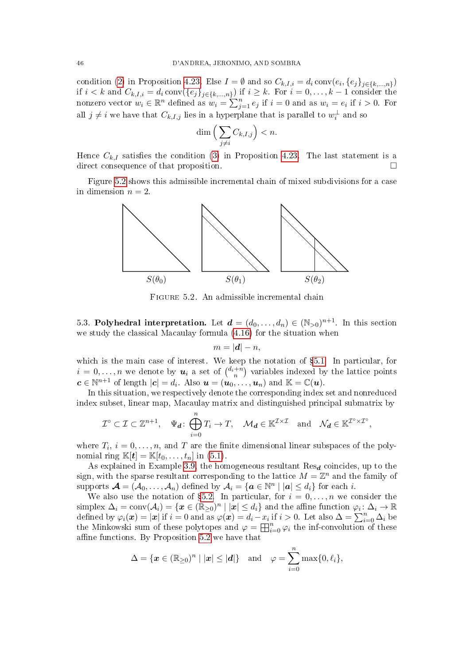condition [\(2\)](#page-34-4) in Proposition [4.23.](#page-34-7) Else  $I = \emptyset$  and so  $C_{k,I,i} = d_i \text{ conv}(e_i, \{e_j\}_{j \in \{k,\dots,n\}})$ if  $i < k$  and  $C_{k,I,i} = d_i \text{conv}(\{e_j\}_{j \in \{k,...,n\}})$  if  $i \geq k$ . For  $i = 0, \ldots, k-1$  consider the nonzero vector  $w_i \in \mathbb{R}^n$  defined as  $w_i = \sum_{j=1}^n e_j$  if  $i = 0$  and as  $w_i = e_i$  if  $i > 0$ . For all  $j \neq i$  we have that  $C_{k,I,j}$  lies in a hyperplane that is parallel to  $w_i^{\perp}$  and so

$$
\dim\Big(\sum_{j\neq i} C_{k,I,j}\Big) < n.
$$

Hence  $C_{k,I}$  satisfies the condition [\(3\)](#page-34-5) in Proposition [4.23.](#page-34-7) The last statement is a direct consequence of that proposition.

Figure [5.2](#page-23-2) shows this admissible incremental chain of mixed subdivisions for a case in dimension  $n = 2$ .



Figure 5.2. An admissible incremental chain

5.3. Polyhedral interpretation. Let  $\boldsymbol{d} = (d_0, \ldots, d_n) \in (\mathbb{N}_{>0})^{n+1}$ . In this section we study the classical Macaulay formula [\(4.16\)](#page-36-1) for the situation when

$$
m=|\boldsymbol{d}|-n,
$$

which is the main case of interest. We keep the notation of §[5.1.](#page-38-1) In particular, for  $i = 0, \ldots, n$  we denote by  $u_i$  a set of  $\binom{d_i+n}{n}$  variables indexed by the lattice points  $c \in \mathbb{N}^{n+1}$  of length  $|c| = d_i$ . Also  $u = (u_0, \ldots, u_n)$  and  $\mathbb{K} = \mathbb{C}(u)$ .

In this situation, we respectively denote the corresponding index set and nonreduced index subset, linear map, Macaulay matrix and distinguished principal submatrix by

$$
\mathcal{I}^{\circ} \subset \mathcal{I} \subset \mathbb{Z}^{n+1}, \quad \Psi_{\boldsymbol{d}} \colon \bigoplus_{i=0}^{n} T_i \to T, \quad \mathcal{M}_{\boldsymbol{d}} \in \mathbb{K}^{\mathcal{I} \times \mathcal{I}} \quad \text{and} \quad \mathcal{N}_{\boldsymbol{d}} \in \mathbb{K}^{\mathcal{I}^{\circ} \times \mathcal{I}^{\circ}},
$$

where  $T_i$ ,  $i = 0, \ldots, n$ , and T are the finite dimensional linear subspaces of the polynomial ring  $\mathbb{K}[\mathbf{t}] = \mathbb{K}[t_0, \ldots, t_n]$  in [\(5.1\)](#page-38-2).

As explained in Example [3.9,](#page-17-2) the homogeneous resultant  $\text{Res}_{d}$  coincides, up to the sign, with the sparse resultant corresponding to the lattice  $M = \mathbb{Z}^n$  and the family of supports  $\bm{\mathcal{A}} = (\mathcal{A}_0, \dots, \mathcal{A}_n)$  defined by  $\mathcal{A}_i = \{\bm{a} \in \mathbb{N}^n \mid |\bm{a}| \leq d_i\}$  for each  $i$ .

We also use the notation of §[5.2.](#page-40-2) In particular, for  $i = 0, \ldots, n$  we consider the  $\text{simplex } \Delta_i = \text{conv}(\mathcal{A}_i) = \{\boldsymbol{x} \in (\mathbb{R}_{\geq 0})^n \mid |\boldsymbol{x}| \leq d_i\} \text{ and the affine function } \varphi_i \colon \Delta_i \to \mathbb{R}$ defined by  $\varphi_i(\boldsymbol{x}) = |\boldsymbol{x}|$  if  $i = 0$  and as  $\varphi(\boldsymbol{x}) = d_i - x_i$  if  $i > 0$ . Let also  $\Delta = \sum_{i=0}^n \Delta_i$  be the Minkowski sum of these polytopes and  $\varphi = \boxplus_{i=0}^{n} \varphi_i$  the inf-convolution of these affine functions. By Proposition  $5.2$  we have that

$$
\Delta = \{\boldsymbol{x} \in (\mathbb{R}_{\geq 0})^n \mid |\boldsymbol{x}| \leq |\boldsymbol{d}| \} \quad \text{and} \quad \varphi = \sum_{i=0}^n \max\{0, \ell_i\},
$$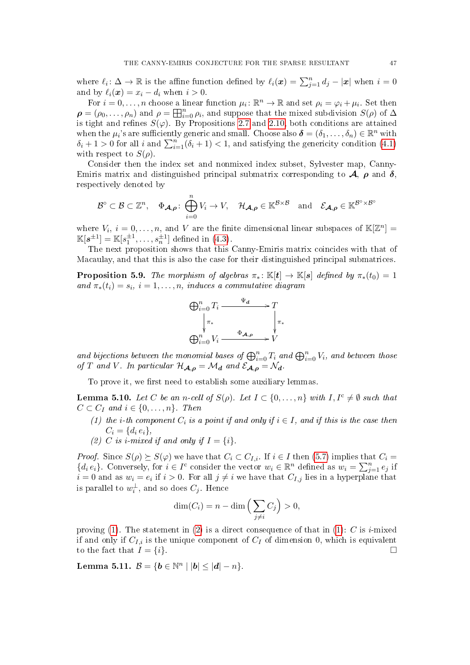where  $\ell_i: \Delta \to \mathbb{R}$  is the affine function defined by  $\ell_i(\bm{x}) = \sum_{j=1}^n d_j - |\bm{x}|$  when  $i = 0$ and by  $\ell_i(\boldsymbol{x}) = x_i - d_i$  when  $i > 0$ .

For  $i = 0, \ldots, n$  choose a linear function  $\mu_i \colon \mathbb{R}^n \to \mathbb{R}$  and set  $\rho_i = \varphi_i + \mu_i$ . Set then  $\rho = (\rho_0, \ldots, \rho_n)$  and  $\rho = \prod_{i=0}^n \rho_i$ , and suppose that the mixed subdivision  $S(\rho)$  of  $\Delta$ is tight and refines  $S(\varphi)$ . By Propositions [2.7](#page-9-1) and [2.10,](#page-11-4) both conditions are attained when the  $\mu_i$ 's are sufficiently generic and small. Choose also  $\boldsymbol{\delta} = (\delta_1, \ldots, \delta_n) \in \mathbb{R}^n$  with  $\delta_i + 1 > 0$  for all i and  $\sum_{i=1}^{n} (\delta_i + 1) < 1$ , and satisfying the genericity condition [\(4.1\)](#page-24-3) with respect to  $S(\rho)$ .

Consider then the index set and nonmixed index subset, Sylvester map, Canny-Emiris matrix and distinguished principal submatrix corresponding to  $\mathcal{A}, \rho$  and  $\delta$ , respectively denoted by

$$
\mathcal{B}^{\circ} \subset \mathcal{B} \subset \mathbb{Z}^n, \quad \Phi_{\mathcal{A},\rho} \colon \bigoplus_{i=0}^n V_i \to V, \quad \mathcal{H}_{\mathcal{A},\rho} \in \mathbb{K}^{\mathcal{B} \times \mathcal{B}} \quad \text{and} \quad \mathcal{E}_{\mathcal{A},\rho} \in \mathbb{K}^{\mathcal{B}^{\circ} \times \mathcal{B}^{\circ}}
$$

where  $V_i$ ,  $i = 0, \ldots, n$ , and V are the finite dimensional linear subspaces of  $\mathbb{K}[\mathbb{Z}^n] =$  $\mathbb{K}[s^{\pm 1}] = \mathbb{K}[s_1^{\pm 1}, \dots, s_n^{\pm 1}]$  defined in [\(4.3\)](#page-25-3).

The next proposition shows that this Canny-Emiris matrix coincides with that of Macaulay, and that this is also the case for their distinguished principal submatrices.

<span id="page-46-0"></span>**Proposition 5.9.** The morphism of algebras  $\pi_* : \mathbb{K}[t] \to \mathbb{K}[s]$  defined by  $\pi_*(t_0) = 1$ and  $\pi_*(t_i) = s_i$ ,  $i = 1, \ldots, n$ , induces a commutative diagram



and bijections between the monomial bases of  $\bigoplus_{i=0}^n T_i$  and  $\bigoplus_{i=0}^n V_i$ , and between those of T and V. In particular  $\mathcal{H}_{\mathcal{A},\rho} = \mathcal{M}_d$  and  $\mathcal{E}_{\mathcal{A},\rho} = \mathcal{N}_d$ .

To prove it, we first need to establish some auxiliary lemmas.

<span id="page-46-4"></span>**Lemma 5.10.** Let C be an n-cell of  $S(\rho)$ . Let  $I \subset \{0, \ldots, n\}$  with  $I, I^c \neq \emptyset$  such that  $C \subset C_I$  and  $i \in \{0, \ldots, n\}$ . Then

- <span id="page-46-1"></span>(1) the i-th component  $C_i$  is a point if and only if  $i \in I$ , and if this is the case then  $C_i = \{d_i e_i\},\,$
- <span id="page-46-2"></span>(2) C is i-mixed if and only if  $I = \{i\}.$

*Proof.* Since  $S(\rho) \succeq S(\varphi)$  we have that  $C_i \subset C_{I,i}$ . If  $i \in I$  then [\(5.7\)](#page-40-3) implies that  $C_i =$  $\{d_i e_i\}$ . Conversely, for  $i \in I^c$  consider the vector  $w_i \in \mathbb{R}^n$  defined as  $w_i = \sum_{j=1}^n e_j$  if  $i = 0$  and as  $w_i = e_i$  if  $i > 0$ . For all  $j \neq i$  we have that  $C_{I,j}$  lies in a hyperplane that is parallel to  $w_i^{\perp}$ , and so does  $C_j$ . Hence

$$
\dim(C_i) = n - \dim\left(\sum_{j \neq i} C_j\right) > 0,
$$

proving [\(1\)](#page-46-1). The statement in [\(2\)](#page-46-2) is a direct consequence of that in (1): C is i-mixed if and only if  $C_{I,i}$  is the unique component of  $C_I$  of dimension 0, which is equivalent to the fact that  $I = \{i\}.$ 

<span id="page-46-3"></span>Lemma 5.11.  $B = \{b \in \mathbb{N}^n \mid |b| \le |d| - n\}.$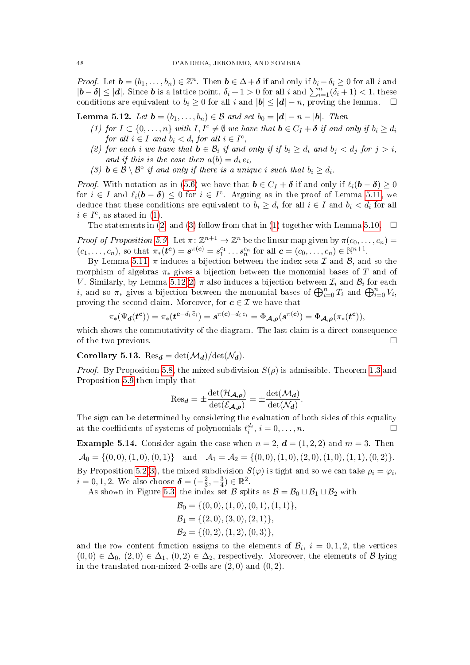*Proof.* Let  $\mathbf{b} = (b_1, \ldots, b_n) \in \mathbb{Z}^n$ . Then  $\mathbf{b} \in \Delta + \delta$  if and only if  $b_i - \delta_i \geq 0$  for all i and  $|\boldsymbol{b} - \boldsymbol{\delta}| \leq |\boldsymbol{d}|$ . Since **b** is a lattice point,  $\delta_i + 1 > 0$  for all i and  $\sum_{i=1}^n (\delta_i + 1) < 1$ , these conditions are equivalent to  $b_i \geq 0$  for all i and  $|b| \leq |d| - n$ , proving the lemma.  $\square$ 

<span id="page-47-4"></span><span id="page-47-1"></span>**Lemma 5.12.** Let  $\mathbf{b} = (b_1, \ldots, b_n) \in \mathcal{B}$  and set  $b_0 = |\mathbf{d}| - n - |\mathbf{b}|$ . Then

- (1) for  $I \subset \{0,\ldots,n\}$  with  $I, I^c \neq \emptyset$  we have that  $\mathbf{b} \in C_I + \delta$  if and only if  $b_i \geq d_i$ for all  $i \in I$  and  $b_i < d_i$  for all  $i \in I^c$ ,
- <span id="page-47-2"></span>(2) for each i we have that  $\mathbf{b} \in \mathcal{B}_i$  if and only if if  $b_i \geq d_i$  and  $b_j < d_j$  for  $j > i$ , and if this is the case then  $a(b) = d_i e_i$ ,
- <span id="page-47-3"></span>(3)  $\mathbf{b} \in \mathcal{B} \setminus \mathcal{B}^{\circ}$  if and only if there is a unique i such that  $b_i \geq d_i$ .

*Proof.* With notation as in [\(5.6\)](#page-40-4) we have that  $\mathbf{b} \in C_I + \delta$  if and only if  $\ell_i(\mathbf{b} - \delta) \geq 0$ for  $i \in I$  and  $\ell_i(\boldsymbol{b} - \boldsymbol{\delta}) \leq 0$  for  $i \in I^c$ . Arguing as in the proof of Lemma [5.11,](#page-46-3) we deduce that these conditions are equivalent to  $b_i \geq d_i$  for all  $i \in I$  and  $b_i < d_i$  for all  $i \in I^c$ , as stated in [\(1\)](#page-47-1).

The statements in [\(2\)](#page-47-2) and [\(3\)](#page-47-3) follow from that in [\(1\)](#page-47-1) together with Lemma [5.10.](#page-46-4)  $\Box$ 

Proof of Proposition [5.9.](#page-46-0) Let  $\pi: \mathbb{Z}^{n+1} \to \mathbb{Z}^n$  be the linear map given by  $\pi(c_0, \ldots, c_n)$  $(c_1, \ldots, c_n)$ , so that  $\pi_*(t^c) = s^{\pi(c)} = s_1^{c_1} \ldots s_n^{c_n}$  for all  $c = (c_0, \ldots, c_n) \in \mathbb{N}^{n+1}$ .

By Lemma [5.11,](#page-46-3)  $\pi$  induces a bijection between the index sets  $\mathcal I$  and  $\mathcal B$ , and so the morphism of algebras  $\pi_*$  gives a bijection between the monomial bases of T and of V. Similarly, by Lemma [5.12](#page-47-4)[\(2\)](#page-47-2)  $\pi$  also induces a bijection between  $\mathcal{I}_i$  and  $\mathcal{B}_i$  for each *i*, and so  $\pi_*$  gives a bijection between the monomial bases of  $\bigoplus_{i=0}^n T_i$  and  $\bigoplus_{i=0}^n V_i$ , proving the second claim. Moreover, for  $c \in \mathcal{I}$  we have that

$$
\pi_*(\Psi_{\mathbf{d}}(\mathbf{t}^{\mathbf{c}})) = \pi_*(\mathbf{t}^{\mathbf{c}-d_i \widehat{e}_i}) = \mathbf{s}^{\pi(\mathbf{c})-d_i e_i} = \Phi_{\mathbf{A},\mathbf{p}}(\mathbf{s}^{\pi(\mathbf{c})}) = \Phi_{\mathbf{A},\mathbf{p}}(\pi_*(\mathbf{t}^{\mathbf{c}})),
$$

which shows the commutativity of the diagram. The last claim is a direct consequence of the two previous.  $\Box$ 

## <span id="page-47-0"></span>Corollary 5.13. Res<sub>d</sub> = det( $\mathcal{M}_d$ )/det( $\mathcal{N}_d$ ).

*Proof.* By Proposition [5.8,](#page-44-0) the mixed subdivision  $S(\rho)$  is admissible. Theorem [1.3](#page-4-1) and Proposition [5.9](#page-46-0) then imply that

$$
\text{Res}_{\mathbf{d}} = \pm \frac{\det(\mathcal{H}_{\mathbf{A},\boldsymbol{\rho}})}{\det(\mathcal{E}_{\mathbf{A},\boldsymbol{\rho}})} = \pm \frac{\det(\mathcal{M}_{\mathbf{d}})}{\det(\mathcal{N}_{\mathbf{d}})}.
$$

The sign can be determined by considering the evaluation of both sides of this equality at the coefficients of systems of polynomials  $t_i^{d_i}$ ,  $i = 0, \ldots, n$ .

<span id="page-47-5"></span>**Example 5.14.** Consider again the case when  $n = 2$ ,  $d = (1, 2, 2)$  and  $m = 3$ . Then  $\mathcal{A}_0 = \{(0,0), (1,0), (0,1)\}$  and  $\mathcal{A}_1 = \mathcal{A}_2 = \{(0,0), (1,0), (2,0), (1,0), (1,1), (0,2)\}.$ By Proposition [5.2\(](#page-40-0)[3\)](#page-40-1), the mixed subdivision  $S(\varphi)$  is tight and so we can take  $\rho_i = \varphi_i,$  $i = 0, 1, 2$ . We also choose  $\boldsymbol{\delta} = (-\frac{2}{3})$  $\frac{2}{3}, -\frac{3}{4}$  $(\frac{3}{4}) \in \mathbb{R}^2$ .

As shown in Figure [5.3,](#page-48-1) the index set B splits as  $B = B_0 \sqcup B_1 \sqcup B_2$  with

$$
\mathcal{B}_0 = \{ (0,0), (1,0), (0,1), (1,1) \},\n\n\mathcal{B}_1 = \{ (2,0), (3,0), (2,1) \},\n\n\mathcal{B}_2 = \{ (0,2), (1,2), (0,3) \},
$$

and the row content function assigns to the elements of  $\mathcal{B}_i$ ,  $i=0,1,2$ , the vertices  $(0,0) \in \Delta_0$ ,  $(2,0) \in \Delta_1$ ,  $(0,2) \in \Delta_2$ , respectively. Moreover, the elements of B lying in the translated non-mixed 2-cells are  $(2,0)$  and  $(0,2)$ .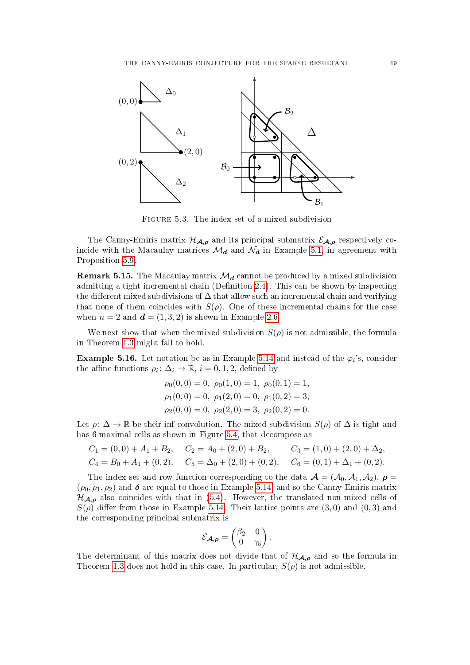

<span id="page-48-1"></span>Figure 5.3. The index set of a mixed subdivision

The Canny-Emiris matrix  $\mathcal{H}_{\mathcal{A},\rho}$  and its principal submatrix  $\mathcal{E}_{\mathcal{A},\rho}$  respectively coincide with the Macaulay matrices  $\mathcal{M}_d$  and  $\mathcal{N}_d$  in Example [5.1,](#page-39-2) in agreement with Proposition [5.9.](#page-46-0)

**Remark 5.15.** The Macaulay matrix  $\mathcal{M}_d$  cannot be produced by a mixed subdivision admitting a tight incremental chain (Definition [2.4\)](#page-8-1). This can be shown by inspecting the different mixed subdivisions of  $\Delta$  that allow such an incremental chain and verifying that none of them coincides with  $S(\rho)$ . One of these incremental chains for the case when  $n = 2$  and  $\mathbf{d} = (1, 3, 2)$  is shown in Example [2.6.](#page-8-3)

We next show that when the mixed subdivision  $S(\rho)$  is not admissible, the formula in Theorem [1.3](#page-4-1) might fail to hold.

<span id="page-48-0"></span>**Example 5.16.** Let notation be as in Example [5.14](#page-47-5) and instead of the  $\varphi_i$ 's, consider the affine functions  $\rho_i: \Delta_i \to \mathbb{R}, i = 0, 1, 2$ , defined by

$$
\rho_0(0,0) = 0, \ \rho_0(1,0) = 1, \ \rho_0(0,1) = 1, \n\rho_1(0,0) = 0, \ \rho_1(2,0) = 0, \ \rho_1(0,2) = 3, \n\rho_2(0,0) = 0, \ \rho_2(2,0) = 3, \ \rho_2(0,2) = 0.
$$

Let  $\rho: \Delta \to \mathbb{R}$  be their inf-convolution. The mixed subdivision  $S(\rho)$  of  $\Delta$  is tight and has 6 maximal cells as shown in Figure [5.4,](#page-49-10) that decompose as

$$
C_1 = (0,0) + A_1 + B_2, \quad C_2 = A_0 + (2,0) + B_2, \quad C_3 = (1,0) + (2,0) + \Delta_2,
$$
  
\n
$$
C_4 = B_0 + A_1 + (0,2), \quad C_5 = \Delta_0 + (2,0) + (0,2), \quad C_6 = (0,1) + \Delta_1 + (0,2).
$$

The index set and row function corresponding to the data  $\mathcal{A} = (\mathcal{A}_0, \mathcal{A}_1, \mathcal{A}_2), \rho =$  $(\rho_0, \rho_1, \rho_2)$  and  $\delta$  are equal to those in Example [5.14,](#page-47-5) and so the Canny-Emiris matrix  $\mathcal{H}_{\mathcal{A},\rho}$  also coincides with that in [\(5.4\)](#page-39-3). However, the translated non-mixed cells of  $S(\rho)$  differ from those in Example [5.14.](#page-47-5) Their lattice points are  $(3,0)$  and  $(0,3)$  and the corresponding principal submatrix is

$$
\mathcal{E}_{\mathcal{A},\boldsymbol{\rho}} = \begin{pmatrix} \beta_2 & 0 \\ 0 & \gamma_5 \end{pmatrix}.
$$

The determinant of this matrix does not divide that of  $\mathcal{H}_{A,\rho}$  and so the formula in Theorem [1.3](#page-4-1) does not hold in this case. In particular,  $S(\rho)$  is not admissible.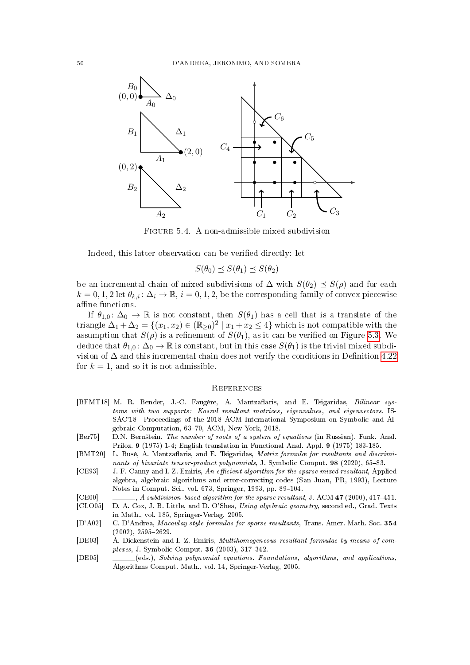

Figure 5.4. A non-admissible mixed subdivision

Indeed, this latter observation can be verified directly: let

<span id="page-49-10"></span>
$$
S(\theta_0) \preceq S(\theta_1) \preceq S(\theta_2)
$$

be an incremental chain of mixed subdivisions of  $\Delta$  with  $S(\theta_2) \preceq S(\rho)$  and for each  $k = 0, 1, 2$  let  $\theta_{k,i} : \Delta_i \to \mathbb{R}, i = 0, 1, 2$ , be the corresponding family of convex piecewise affine functions.

If  $\theta_{1,0}$ :  $\Delta_0 \to \mathbb{R}$  is not constant, then  $S(\theta_1)$  has a cell that is a translate of the triangle  $\Delta_1 + \Delta_2 = \{(x_1, x_2) \in (\mathbb{R}_{\geq 0})^2 \mid x_1 + x_2 \leq 4\}$  which is not compatible with the assumption that  $S(\rho)$  is a refinement of  $S(\theta_1)$ , as it can be verified on Figure [5.3.](#page-48-1) We deduce that  $\theta_{1,0}$ :  $\Delta_0 \to \mathbb{R}$  is constant, but in this case  $S(\theta_1)$  is the trivial mixed subdivision of  $\Delta$  and this incremental chain does not verify the conditions in Definition [4.22](#page-34-0) for  $k = 1$ , and so it is not admissible.

## <span id="page-49-0"></span>**REFERENCES**

- <span id="page-49-7"></span>[BFMT18] M. R. Bender, J.-C. Faugère, A. Mantzaflaris, and E. Tsigaridas, Bilinear systems with two supports: Koszul resultant matrices, eigenvalues, and eigenvectors. IS-SAC'18-Proceedings of the 2018 ACM International Symposium on Symbolic and Algebraic Computation, 63-70, ACM, New York, 2018.
- <span id="page-49-9"></span>[Ber75] D.N. Bernštein, The number of roots of a system of equations (in Russian), Funk. Anal. Priloz. 9 (1975) 1-4; English translation in Functional Anal. Appl. 9 (1975) 183-185.
- <span id="page-49-8"></span>[BMT20] L. Busé, A. Mantzaflaris, and E. Tsigaridas, Matrix formulæ for resultants and discriminants of bivariate tensor-product polynomials, J. Symbolic Comput. 98 (2020), 65-83.
- <span id="page-49-5"></span>[CE93] J. F. Canny and I. Z. Emiris, An efficient algorithm for the sparse mixed resultant, Applied algebra, algebraic algorithms and error-correcting codes (San Juan, PR, 1993), Lecture Notes in Comput. Sci., vol. 673, Springer, 1993, pp. 89-104.
- <span id="page-49-3"></span><span id="page-49-1"></span>[CE00] , A subdivision-based algorithm for the sparse resultant, J. ACM 47 (2000), 417-451. [CLO05] D. A. Cox, J. B. Little, and D. O'Shea, Using algebraic geometry, second ed., Grad. Texts

in Math., vol. 185, Springer-Verlag, 2005.

- <span id="page-49-2"></span>[D'A02] C. D'Andrea, Macaulay style formulas for sparse resultants, Trans. Amer. Math. Soc. 354  $(2002), 2595 - 2629.$
- <span id="page-49-6"></span>[DE03] A. Dickenstein and I. Z. Emiris, Multihomogeneous resultant formulae by means of complexes, J. Symbolic Comput.  $36$  (2003), 317-342.
- <span id="page-49-4"></span>[DE05] (eds.), Solving polynomial equations. Foundations, algorithms, and applications, Algorithms Comput. Math., vol. 14, Springer-Verlag, 2005.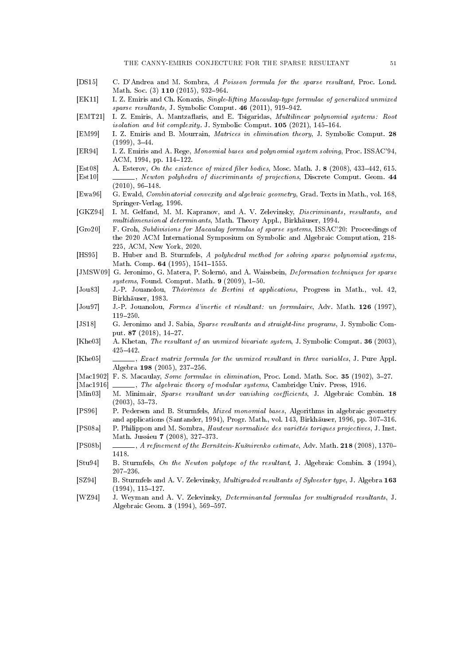- <span id="page-50-4"></span>[DS15] C. D'Andrea and M. Sombra, A Poisson formula for the sparse resultant, Proc. Lond. Math. Soc. (3) 110 (2015), 932-964.
- <span id="page-50-7"></span>[EK11] I. Z. Emiris and Ch. Konaxis, Single-lifting Macaulay-type formulae of generalized unmixed sparse resultants, J. Symbolic Comput.  $46$  (2011), 919-942.
- <span id="page-50-13"></span>[EMT21] I. Z. Emiris, A. Mantzaflaris, and E. Tsigaridas, Multilinear polynomial systems: Root isolation and bit complexity. J. Symbolic Comput.  $105$  (2021), 145-164.
- <span id="page-50-5"></span>[EM99] I. Z. Emiris and B. Mourrain, Matrices in elimination theory, J. Symbolic Comput. 28  $(1999)$ ,  $3-44$ .
- <span id="page-50-23"></span>[ER94] I. Z. Emiris and A. Rege, Monomial bases and polynomial system solving, Proc. ISSAC'94, ACM, 1994, pp. 114-122.
- <span id="page-50-19"></span>[Est08] A. Esterov, On the existence of mixed fiber bodies, Mosc. Math. J. 8 (2008), 433-442, 615.
- <span id="page-50-3"></span>[Est10] , Newton polyhedra of discriminants of projections, Discrete Comput. Geom. 44  $(2010), 96-148.$
- <span id="page-50-18"></span>[Ewa96] G. Ewald, Combinatorial convexity and algebraic geometry, Grad. Texts in Math., vol. 168, Springer-Verlag, 1996.
- <span id="page-50-1"></span>[GKZ94] I. M. Gelfand, M. M. Kapranov, and A. V. Zelevinsky, Discriminants, resultants, and multidimensional determinants, Math. Theory Appl., Birkhäuser, 1994.
- <span id="page-50-12"></span>[Gro20] F. Groh, Subdivisions for Macaulay formulas of sparse systems, ISSAC'20: Proceedings of the 2020 ACM International Symposium on Symbolic and Algebraic Computation, 218- 225, ACM, New York, 2020.
- <span id="page-50-16"></span>[HS95] B. Huber and B. Sturmfels, A polyhedral method for solving sparse polynomial systems, Math. Comp.  $64$  (1995), 1541-1555.
- <span id="page-50-17"></span>[JMSW09] G. Jeronimo, G. Matera, P. Solernó, and A. Waissbein, Deformation techniques for sparse systems, Found. Comput. Math.  $9$  (2009), 1-50.
- <span id="page-50-24"></span>[Jou83] J.-P. Jouanolou, Théorèmes de Bertini et applications, Progress in Math., vol. 42, Birkhäuser, 1983.
- <span id="page-50-25"></span>[Jou97] J.-P. Jouanolou, Formes d'inertie et résultant: un formulaire, Adv. Math. 126 (1997), 119250.
- <span id="page-50-6"></span>[JS18] G. Jeronimo and J. Sabia, Sparse resultants and straight-line programs, J. Symbolic Comput. 87 (2018), 14-27.
- <span id="page-50-10"></span>[Khe03] A. Khetan, The resultant of an unmixed bivariate system, J. Symbolic Comput. 36 (2003), 425442.
- <span id="page-50-11"></span>[Khe05] , Exact matrix formula for the unmixed resultant in three variables, J. Pure Appl. Algebra 198 (2005), 237-256.
- <span id="page-50-0"></span>[Mac1902] F. S. Macaulay, Some formulae in elimination, Proc. Lond. Math. Soc. 35 (1902), 3-27.
- <span id="page-50-21"></span>[Mac1916]  $\ldots$ , The algebraic theory of modular systems, Cambridge Univ. Press, 1916.
- <span id="page-50-15"></span>[Min03] M. Minimair, Sparse resultant under vanishing coefficients, J. Algebraic Combin. 18  $(2003), 53-73.$
- <span id="page-50-22"></span>[PS96] P. Pedersen and B. Sturmfels, *Mixed monomial bases*, Algorithms in algebraic geometry and applications (Santander, 1994), Progr. Math., vol. 143, Birkhäuser, 1996, pp. 307-316.
- <span id="page-50-14"></span>[PS08a] P. Philippon and M. Sombra, Hauteur normalisée des variétés toriques projectives, J. Inst. Math. Jussieu 7 (2008), 327-373.
- <span id="page-50-20"></span>[PS08b] , A refinement of the Bernstein-Kušnirenko estimate, Adv. Math. 218 (2008), 1370– 1418.
- <span id="page-50-2"></span>[Stu94] B. Sturmfels, On the Newton polytope of the resultant, J. Algebraic Combin. 3 (1994),  $207 - 236.$
- <span id="page-50-8"></span>[SZ94] B. Sturmfels and A. V. Zelevinsky, Multigraded resultants of Sylvester type, J. Algebra 163  $(1994), 115-127.$
- <span id="page-50-9"></span>[WZ94] J. Weyman and A. V. Zelevinsky, Determinantal formulas for multigraded resultants, J. Algebraic Geom. 3 (1994), 569-597.